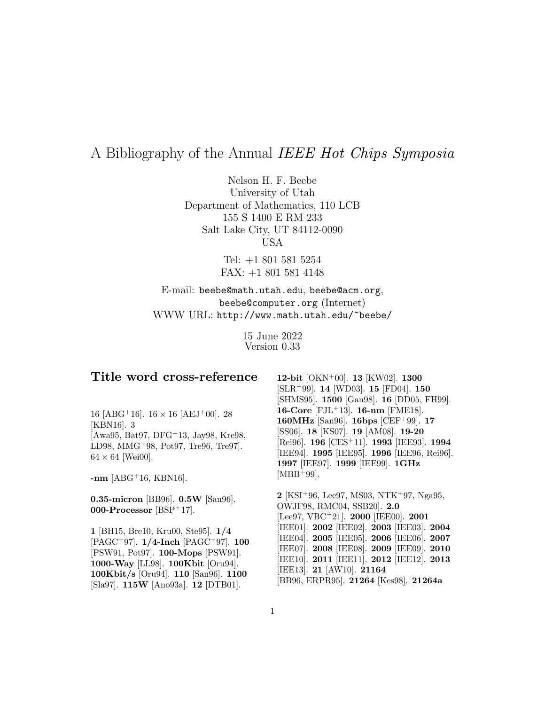# A Bibliography of the Annual IEEE Hot Chips Symposia

Nelson H. F. Beebe University of Utah Department of Mathematics, 110 LCB 155 S 1400 E RM 233 Salt Lake City, UT 84112-0090 USA

> Tel: +1 801 581 5254 FAX: +1 801 581 4148

E-mail: beebe@math.utah.edu, beebe@acm.org, beebe@computer.org (Internet) WWW URL: http://www.math.utah.edu/~beebe/

> 15 June 2022 Version 0.33

# **Title word cross-reference**

16 [ABG<sup>+</sup>16].  $16 \times 16$  [AEJ<sup>+</sup>00]. 28 [KBN16]. 3 [Awa95, Bat97, DFG<sup>+</sup>13, Jay98, Kre98, LD98, MMG<sup>+</sup>98, Pot97, Tre96, Tre97].  $64 \times 64$  [Wei00].

**-nm** [ABG<sup>+</sup>16, KBN16].

**0.35-micron** [BB96]. **0.5W** [San96]. **000-Processor** [BSP<sup>+</sup>17].

**1** [BH15, Bre10, Kru00, Ste95]. **1/4** [PAGC<sup>+</sup>97]. **1/4-Inch** [PAGC<sup>+</sup>97]. **100** [PSW91, Pot97]. **100-Mops** [PSW91]. **1000-Way** [LL98]. **100Kbit** [Oru94]. **100Kbit/s** [Oru94]. **110** [San96]. **1100** [Sla97]. **115W** [Ano93a]. **12** [DTB01].

**12-bit** [OKN<sup>+</sup>00]. **13** [KW02]. **1300** [SLR<sup>+</sup>99]. **14** [WD03]. **15** [FD04]. **150** [SHMS95]. **1500** [Gan98]. **16** [DD05, FH99]. **16-Core** [FJL<sup>+</sup>13]. **16-nm** [FME18]. **160MHz** [San96]. **16bps** [CEF<sup>+</sup>99]. **17** [SS06]. **18** [KS07]. **19** [AM08]. **19-20** [Rei96]. **196** [CES<sup>+</sup>11]. **1993** [IEE93]. **1994** [IEE94]. **1995** [IEE95]. **1996** [IEE96, Rei96]. **1997** [IEE97]. **1999** [IEE99]. **1GHz**  $[MBB+99]$ .

**2** [KSI<sup>+</sup>96, Lee97, MS03, NTK<sup>+</sup>97, Nga95, OWJF98, RMC04, SSB20]. **2.0** [Lee97, VBC<sup>+</sup>21]. **2000** [IEE00]. **2001** [IEE01]. **2002** [IEE02]. **2003** [IEE03]. **2004** [IEE04]. **2005** [IEE05]. **2006** [IEE06]. **2007** [IEE07]. **2008** [IEE08]. **2009** [IEE09]. **2010** [IEE10]. **2011** [IEE11]. **2012** [IEE12]. **2013** [IEE13]. **21** [AW10]. **21164** [BB96, ERPR95]. **21264** [Kes98]. **21264a**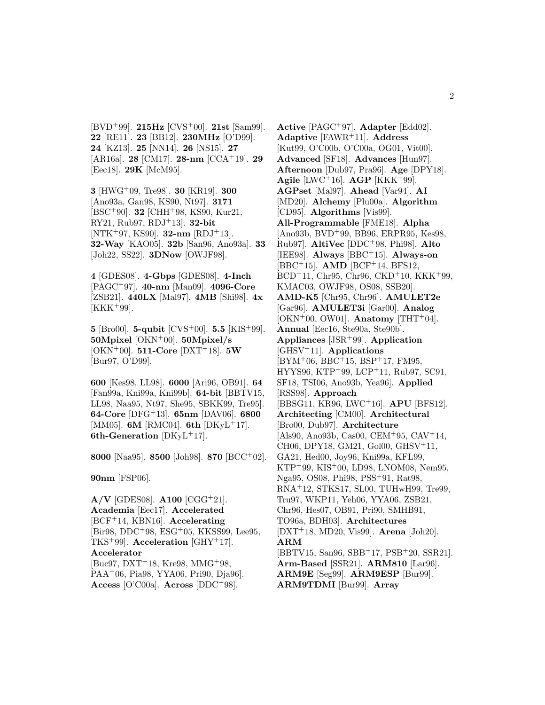[BVD<sup>+</sup>99]. **215Hz** [CVS<sup>+</sup>00]. **21st** [Sam99]. **22** [RE11]. **23** [BB12]. **230MHz** [O'D99]. **24** [KZ13]. **25** [NN14]. **26** [NS15]. **27** [AR16a]. **28** [CM17]. **28-nm** [CCA<sup>+</sup>19]. **29** [Eec18]. **29K** [McM95].

**3** [HWG<sup>+</sup>09, Tre98]. **30** [KR19]. **300** [Ano93a, Gan98, KS90, Nt97]. **3171** [BSC<sup>+</sup>90]. **32** [CHH<sup>+</sup>98, KS90, Kur21, RY21, Rub97, RDJ<sup>+</sup>13]. **32-bit** [NTK<sup>+</sup>97, KS90]. **32-nm** [RDJ<sup>+</sup>13]. **32-Way** [KAO05]. **32b** [San96, Ano93a]. **33** [Joh22, SS22]. **3DNow** [OWJF98].

**4** [GDES08]. **4-Gbps** [GDES08]. **4-Inch** [PAGC<sup>+</sup>97]. **40-nm** [Man09]. **4096-Core** [ZSB21]. **440LX** [Mal97]. **4MB** [Shi98]. **4x**  $[KKK^+99].$ 

**5** [Bro00]. **5-qubit** [CVS<sup>+</sup>00]. **5.5** [KIS<sup>+</sup>99]. **50Mpixel** [OKN<sup>+</sup>00]. **50Mpixel/s** [OKN<sup>+</sup>00]. **511-Core** [DXT<sup>+</sup>18]. **5W** [Bur97, O'D99].

**600** [Kes98, LL98]. **6000** [Ari96, OB91]. **64** [Fan99a, Kni99a, Kni99b]. **64-bit** [BBTV15, LL98, Naa95, Nt97, She95, SBKK99, Tre95]. **64-Core** [DFG<sup>+</sup>13]. **65nm** [DAV06]. **6800** [MM05]. **6M** [RMC04]. **6th** [DKyL<sup>+</sup>17]. **6th-Generation** [DKyL<sup>+</sup>17].

**8000** [Naa95]. **8500** [Joh98]. **870** [BCC<sup>+</sup>02].

**90nm** [FSP06].

**A/V** [GDES08]. **A100** [CGG<sup>+</sup>21]. **Academia** [Eec17]. **Accelerated** [BCF<sup>+</sup>14, KBN16]. **Accelerating** [Bir98, DDC<sup>+</sup>98, ESG<sup>+</sup>05, KKSS99, Lee95, TKS<sup>+</sup>99]. **Acceleration** [GHY<sup>+</sup>17]. **Accelerator** [Buc97, DXT<sup>+</sup>18, Kre98, MMG<sup>+</sup>98, PAA<sup>+</sup>06, Pia98, YYA06, Pri90, Dja96]. **Access** [O'C00a]. **Across** [DDC<sup>+</sup>98].

**Active** [PAGC<sup>+</sup>97]. **Adapter** [Edd02]. **Adaptive** [FAWR<sup>+</sup>11]. **Address** [Kut99, O'C00b, O'C00a, OG01, Vit00]. **Advanced** [SF18]. **Advances** [Hun97]. **Afternoon** [Dub97, Pra96]. **Age** [DPY18]. **Agile** [LWC<sup>+</sup>16]. **AGP** [KKK<sup>+</sup>99]. **AGPset** [Mal97]. **Ahead** [Var94]. **AI** [MD20]. **Alchemy** [Plu00a]. **Algorithm** [CD95]. **Algorithms** [Vis99]. **All-Programmable** [FME18]. **Alpha** [Ano93b, BVD<sup>+</sup>99, BB96, ERPR95, Kes98, Rub97]. **AltiVec** [DDC<sup>+</sup>98, Phi98]. **Alto** [IEE98]. **Always** [BBC<sup>+</sup>15]. **Always-on** [BBC<sup>+</sup>15]. **AMD** [BCF<sup>+</sup>14, BFS12,  $BCD+11$ , Chr95, Chr96, CKD+10, KKK+99, KMAC03, OWJF98, OS08, SSB20]. **AMD-K5** [Chr95, Chr96]. **AMULET2e** [Gar96]. **AMULET3i** [Gar00]. **Analog**  $[OKN<sup>+</sup>00, OW01]$ . **Anatomy**  $[THT<sup>+</sup>04]$ . **Annual** [Eec16, Ste90a, Ste90b]. **Appliances** [JSR<sup>+</sup>99]. **Application** [GHSV<sup>+</sup>11]. **Applications**  $[BYM<sup>+</sup>06, BBC<sup>+</sup>15, PSP<sup>+</sup>17, FM95,$ HYYS96, KTP<sup>+</sup>99, LCP<sup>+</sup>11, Rub97, SC91, SF18, TSI06, Ano93b, Yea96]. **Applied** [RSS98]. **Approach** [BBSG11, KR96, LWC<sup>+</sup>16]. **APU** [BFS12]. **Architecting** [CM00]. **Architectural** [Bro00, Dub97]. **Architecture** [Als90, Ano93b, Cas00, CEM<sup>+</sup>95, CAV<sup>+</sup>14, CH06, DPY18, GM21, Gol00, GHSV<sup>+</sup>11, GA21, Hed00, Joy96, Kni99a, KFL99, KTP<sup>+</sup>99, KIS<sup>+</sup>00, LD98, LNOM08, Nem95, Nga95, OS08, Phi98, PSS<sup>+</sup>91, Rat98, RNA<sup>+</sup>12, STKS17, SL00, TUHwH99, Tre99, Tru97, WKP11, Yeh06, YYA06, ZSB21, Chr96, Hes07, OB91, Pri90, SMHB91, TO96a, BDH03]. **Architectures** [DXT<sup>+</sup>18, MD20, Vis99]. **Arena** [Joh20]. **ARM** [BBTV15, San96, SBB<sup>+</sup>17, PSB<sup>+</sup>20, SSR21]. **Arm-Based** [SSR21]. **ARM810** [Lar96]. **ARM9E** [Seg99]. **ARM9ESP** [Bur99]. **ARM9TDMI** [Bur99]. **Array**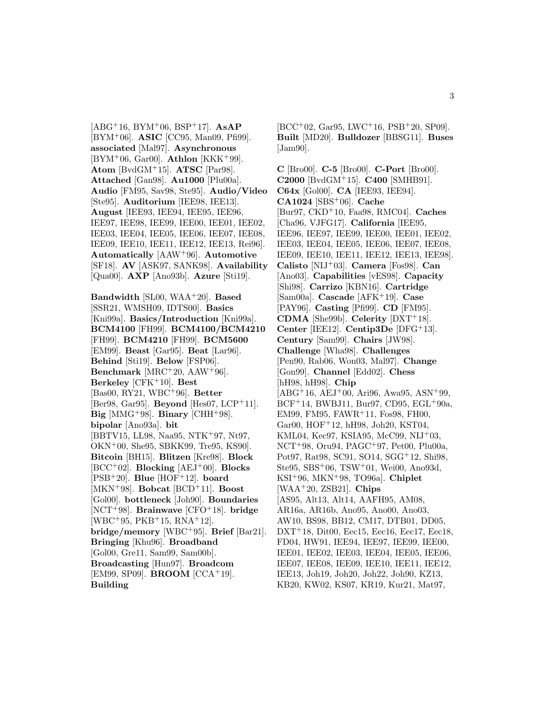[ABG<sup>+</sup>16, BYM<sup>+</sup>06, BSP<sup>+</sup>17]. **AsAP** [BYM<sup>+</sup>06]. **ASIC** [CC95, Man09, Pfi99]. **associated** [Mal97]. **Asynchronous** [BYM<sup>+</sup>06, Gar00]. **Athlon** [KKK<sup>+</sup>99]. **Atom** [BvdGM<sup>+</sup>15]. **ATSC** [Par98]. **Attached** [Gan98]. **Au1000** [Plu00a]. **Audio** [FM95, Sav98, Ste95]. **Audio/Video** [Ste95]. **Auditorium** [IEE98, IEE13]. **August** [IEE93, IEE94, IEE95, IEE96, IEE97, IEE98, IEE99, IEE00, IEE01, IEE02, IEE03, IEE04, IEE05, IEE06, IEE07, IEE08, IEE09, IEE10, IEE11, IEE12, IEE13, Rei96]. **Automatically** [AAW<sup>+</sup>96]. **Automotive** [SF18]. **AV** [ASK97, SANK98]. **Availability** [Qua00]. **AXP** [Ano93b]. **Azure** [Sti19].

**Bandwidth** [SL00, WAA<sup>+</sup>20]. **Based** [SSR21, WMSH09, IDTS00]. **Basics** [Kni99a]. **Basics/Introduction** [Kni99a]. **BCM4100** [FH99]. **BCM4100/BCM4210** [FH99]. **BCM4210** [FH99]. **BCM5600** [EM99]. **Beast** [Gar95]. **Beat** [Lar96]. **Behind** [Sti19]. **Below** [FSP06]. **Benchmark** [MRC<sup>+</sup>20, AAW<sup>+</sup>96]. **Berkeley** [CFK<sup>+</sup>10]. **Best** [Bas00, RY21, WBC<sup>+</sup>96]. **Better** [Ber98, Gar95]. **Beyond** [Hes07, LCP<sup>+</sup>11]. **Big** [MMG<sup>+</sup>98]. **Binary** [CHH<sup>+</sup>98]. **bipolar** [Ano93a]. **bit** [BBTV15, LL98, Naa95, NTK<sup>+</sup>97, Nt97, OKN<sup>+</sup>00, She95, SBKK99, Tre95, KS90]. **Bitcoin** [BH15]. **Blitzen** [Kre98]. **Block** [BCC<sup>+</sup>02]. **Blocking** [AEJ<sup>+</sup>00]. **Blocks** [PSB<sup>+</sup>20]. **Blue** [HOF<sup>+</sup>12]. **board** [MKN<sup>+</sup>98]. **Bobcat** [BCD<sup>+</sup>11]. **Boost** [Gol00]. **bottleneck** [Joh90]. **Boundaries** [NCT<sup>+</sup>98]. **Brainwave** [CFO<sup>+</sup>18]. **bridge** [WBC<sup>+</sup>95, PKB<sup>+</sup>15, RNA<sup>+</sup>12]. **bridge/memory** [WBC<sup>+</sup>95]. **Brief** [Bar21]. **Bringing** [Khu96]. **Broadband** [Gol00, Gre11, Sam99, Sam00b]. **Broadcasting** [Hun97]. **Broadcom** [EM99, SP09]. **BROOM** [CCA<sup>+</sup>19]. **Building**

 $[BCC<sup>+</sup>02, Gar95, LWC<sup>+</sup>16, PSB<sup>+</sup>20, SP09].$ **Built** [MD20]. **Bulldozer** [BBSG11]. **Buses** [Jam90].

**C** [Bro00]. **C-5** [Bro00]. **C-Port** [Bro00]. **C2000** [BvdGM<sup>+</sup>15]. **C400** [SMHB91]. **C64x** [Gol00]. **CA** [IEE93, IEE94]. **CA1024** [SBS<sup>+</sup>06]. **Cache** [Bur97, CKD<sup>+</sup>10, Faa98, RMC04]. **Caches** [Cha96, VJFG17]. **California** [IEE95, IEE96, IEE97, IEE99, IEE00, IEE01, IEE02, IEE03, IEE04, IEE05, IEE06, IEE07, IEE08, IEE09, IEE10, IEE11, IEE12, IEE13, IEE98]. **Calisto** [NIJ<sup>+</sup>03]. **Camera** [Fos98]. **Can** [Ano03]. **Capabilities** [vES98]. **Capacity** [Shi98]. **Carrizo** [KBN16]. **Cartridge** [Sam00a]. **Cascade** [AFK<sup>+</sup>19]. **Case** [PAY96]. **Casting** [Pfi99]. **CD** [FM95]. **CDMA** [She99b]. **Celerity** [DXT<sup>+</sup>18]. **Center** [IEE12]. **Centip3De** [DFG<sup>+</sup>13]. **Century** [Sam99]. **Chairs** [JW98]. **Challenge** [Wha98]. **Challenges** [Pen90, Rab06, Won03, Mal97]. **Change** [Gon99]. **Channel** [Edd02]. **Chess** [hH98, hH98]. **Chip**  $[ABC^{+}16, AEJ^{+}00, Ari96, Awa95, ASN^{+}99,$  $BCF+14$ , BWBJ11, Bur97, CD95, EGL+90a, EM99, FM95, FAWR<sup>+</sup>11, Fos98, FH00, Gar00, HOF<sup>+</sup>12, hH98, Joh20, KST04, KML04, Kec97, KSIA95, McC99, NIJ<sup>+</sup>03, NCT<sup>+</sup>98, Oru94, PAGC<sup>+</sup>97, Pet00, Plu00a, Pot97, Rat98, SC91, SO14, SGG<sup>+</sup>12, Shi98, Ste95, SBS<sup>+</sup>06, TSW<sup>+</sup>01, Wei00, Ano93d, KSI<sup>+</sup>96, MKN<sup>+</sup>98, TO96a]. **Chiplet** [WAA<sup>+</sup>20, ZSB21]. **Chips** [AS95, Alt13, Alt14, AAFH95, AM08, AR16a, AR16b, Ano95, Ano00, Ano03, AW10, BS98, BB12, CM17, DTB01, DD05, DXT<sup>+</sup>18, Dit00, Eec15, Eec16, Eec17, Eec18, FD04, HW91, IEE94, IEE97, IEE99, IEE00, IEE01, IEE02, IEE03, IEE04, IEE05, IEE06, IEE07, IEE08, IEE09, IEE10, IEE11, IEE12, IEE13, Joh19, Joh20, Joh22, Joh90, KZ13, KB20, KW02, KS07, KR19, Kur21, Mat97,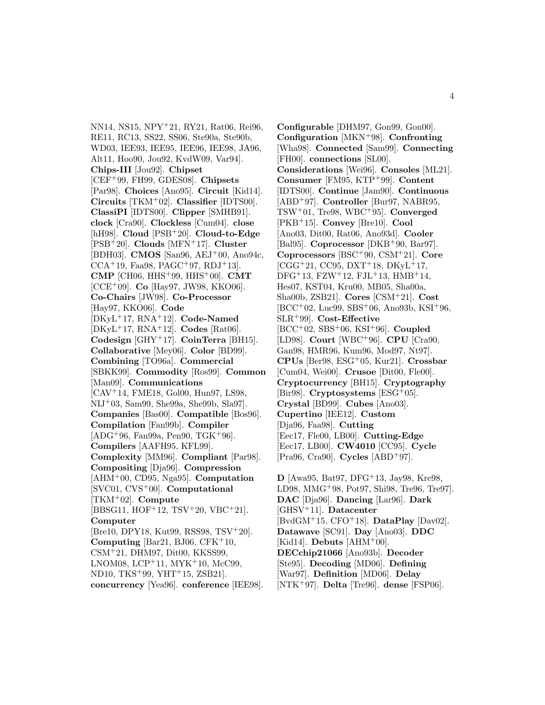NN14, NS15, NPY<sup>+</sup>21, RY21, Rat06, Rei96, RE11, RC13, SS22, SS06, Ste90a, Ste90b, WD03, IEE93, IEE95, IEE96, IEE98, JA96, Alt11, Hoo90, Jou92, KvdW09, Var94]. **Chips-III** [Jou92]. **Chipset** [CEF<sup>+</sup>99, FH99, GDES08]. **Chipsets** [Par98]. **Choices** [Ano95]. **Circuit** [Kid14]. **Circuits** [TKM<sup>+</sup>02]. **Classifier** [IDTS00]. **ClassiPI** [IDTS00]. **Clipper** [SMHB91]. **clock** [Cra90]. **Clockless** [Cum04]. **close** [hH98]. **Cloud** [PSB<sup>+</sup>20]. **Cloud-to-Edge** [PSB<sup>+</sup>20]. **Clouds** [MFN<sup>+</sup>17]. **Cluster** [BDH03]. **CMOS** [San96, AEJ<sup>+</sup>00, Ano94c,  $CCA+19, Faa98, PAGC+97, RDJ+13].$ **CMP** [CH06, HHS<sup>+</sup>99, HHS<sup>+</sup>00]. **CMT** [CCE<sup>+</sup>09]. **Co** [Hay97, JW98, KKO06]. **Co-Chairs** [JW98]. **Co-Processor** [Hay97, KKO06]. **Code** [DKyL<sup>+</sup>17, RNA<sup>+</sup>12]. **Code-Named** [DKyL<sup>+</sup>17, RNA<sup>+</sup>12]. **Codes** [Rat06]. **Codesign** [GHY<sup>+</sup>17]. **CoinTerra** [BH15]. **Collaborative** [Mey06]. **Color** [BD99]. **Combining** [TO96a]. **Commercial** [SBKK99]. **Commodity** [Ros99]. **Common** [Man09]. **Communications** [CAV<sup>+</sup>14, FME18, Gol00, Hun97, LS98, NIJ<sup>+</sup>03, Sam99, She99a, She99b, Sla97]. **Companies** [Bas00]. **Compatible** [Bos96]. **Compilation** [Fan99b]. **Compiler**  $[ADG+96, Fan99a, Pen90, TGK+96]$ . **Compilers** [AAFH95, KFL99]. **Complexity** [MM96]. **Compliant** [Par98]. **Compositing** [Dja96]. **Compression** [AHM<sup>+</sup>00, CD95, Nga95]. **Computation** [SVC01, CVS<sup>+</sup>00]. **Computational** [TKM<sup>+</sup>02]. **Compute** [BBSG11, HOF<sup>+</sup>12, TSV<sup>+</sup>20, VBC<sup>+</sup>21]. **Computer** [Bre10, DPY18, Kut99, RSS98, TSV<sup>+</sup>20]. **Computing** [Bar21, BJ06, CFK $+10$ , CSM<sup>+</sup>21, DHM97, Dit00, KKSS99, LNOM08, LCP<sup>+</sup>11, MYK<sup>+</sup>10, McC99, ND10, TKS<sup>+</sup>99, YHT<sup>+</sup>15, ZSB21]. **concurrency** [Yea96]. **conference** [IEE98].

**Configurable** [DHM97, Gon99, Gon00]. **Configuration** [MKN<sup>+</sup>98]. **Confronting** [Wha98]. **Connected** [Sam99]. **Connecting** [FH00]. **connections** [SL00]. **Considerations** [Wei96]. **Consoles** [ML21]. **Consumer** [FM95, KTP<sup>+</sup>99]. **Content** [IDTS00]. **Continue** [Jam90]. **Continuous** [ABD<sup>+</sup>97]. **Controller** [Bur97, NABR95, TSW<sup>+</sup>01, Tre98, WBC<sup>+</sup>95]. **Converged** [PKB<sup>+</sup>15]. **Convey** [Bre10]. **Cool** [Ano03, Dit00, Rat06, Ano93d]. **Cooler** [Bal95]. **Coprocessor** [DKB<sup>+</sup>90, Bar97]. **Coprocessors** [BSC<sup>+</sup>90, CSM<sup>+</sup>21]. **Core**  $[CGG+21, CC95, DXT+18, DKyL+17,$  $DFG+13$ ,  $FZW+12$ ,  $FJL+13$ ,  $HMB+14$ , Hes07, KST04, Kru00, MB05, Sha00a, Sha00b, ZSB21]. **Cores** [CSM<sup>+</sup>21]. **Cost**  $[BCC<sup>+</sup>02, Luc99, SBS<sup>+</sup>06, Ano93b, KSI<sup>+</sup>96,$ SLR<sup>+</sup>99]. **Cost-Effective** [BCC<sup>+</sup>02, SBS<sup>+</sup>06, KSI<sup>+</sup>96]. **Coupled** [LD98]. **Court** [WBC<sup>+</sup>96]. **CPU** [Cra90, Gan98, HMR96, Kum96, Mod97, Nt97]. **CPUs** [Ber98, ESG<sup>+</sup>05, Kur21]. **Crossbar** [Cum04, Wei00]. **Crusoe** [Dit00, Fle00]. **Cryptocurrency** [BH15]. **Cryptography** [Bir98]. **Cryptosystems** [ESG<sup>+</sup>05]. **Crystal** [BD99]. **Cubes** [Ano03]. **Cupertino** [IEE12]. **Custom** [Dja96, Faa98]. **Cutting** [Eec17, Fle00, LB00]. **Cutting-Edge** [Eec17, LB00]. **CW4010** [CC95]. **Cycle** [Pra96, Cra90]. **Cycles** [ABD<sup>+</sup>97].

**D** [Awa95, Bat97, DFG<sup>+</sup>13, Jay98, Kre98, LD98, MMG<sup>+</sup>98, Pot97, Shi98, Tre96, Tre97]. **DAC** [Dja96]. **Dancing** [Lar96]. **Dark** [GHSV<sup>+</sup>11]. **Datacenter** [BvdGM<sup>+</sup>15, CFO<sup>+</sup>18]. **DataPlay** [Dav02]. **Datawave** [SC91]. **Day** [Ano03]. **DDC** [Kid14]. **Debuts** [AHM<sup>+</sup>00]. **DECchip21066** [Ano93b]. **Decoder** [Ste95]. **Decoding** [MD06]. **Defining** [War97]. **Definition** [MD06]. **Delay** [NTK<sup>+</sup>97]. **Delta** [Tre96]. **dense** [FSP06].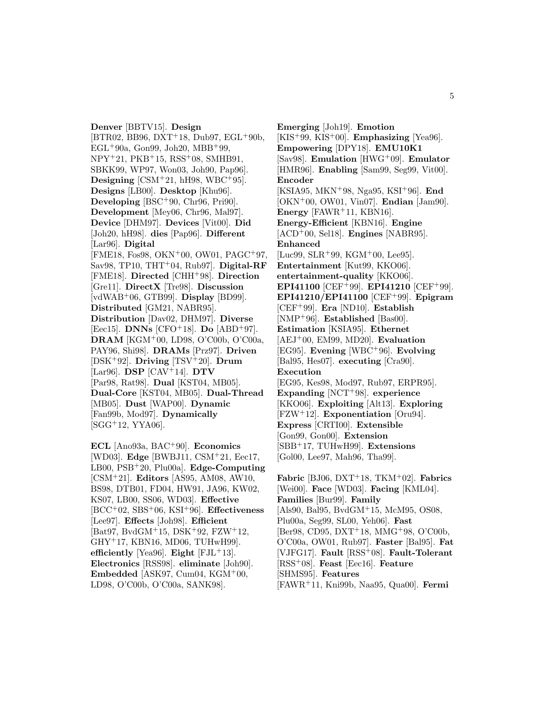**Denver** [BBTV15]. **Design**  $[BTR02, BB96, DXT+18, Dub97, EGL+90b,$ EGL<sup>+</sup>90a, Gon99, Joh20, MBB<sup>+</sup>99, NPY<sup>+</sup>21, PKB<sup>+</sup>15, RSS<sup>+</sup>08, SMHB91, SBKK99, WP97, Won03, Joh90, Pap96]. **Designing**  $[CSM+21, hH98, WBC+95]$ . **Designs** [LB00]. **Desktop** [Khu96]. **Developing** [BSC<sup>+</sup>90, Chr96, Pri90]. **Development** [Mey06, Chr96, Mal97]. **Device** [DHM97]. **Devices** [Vit00]. **Did** [Joh20, hH98]. **dies** [Pap96]. **Different** [Lar96]. **Digital** [FME18, Fos98, OKN<sup>+</sup>00, OW01, PAGC<sup>+</sup>97, Sav98, TP10, THT<sup>+</sup>04, Rub97]. **Digital-RF** [FME18]. **Directed** [CHH<sup>+</sup>98]. **Direction** [Gre11]. **DirectX** [Tre98]. **Discussion** [vdWAB<sup>+</sup>06, GTB99]. **Display** [BD99]. **Distributed** [GM21, NABR95]. **Distribution** [Dav02, DHM97]. **Diverse** [Eec15]. **DNNs** [CFO<sup>+</sup>18]. **Do** [ABD<sup>+</sup>97]. **DRAM** [KGM<sup>+</sup>00, LD98, O'C00b, O'C00a, PAY96, Shi98]. **DRAMs** [Prz97]. **Driven** [DSK<sup>+</sup>92]. **Driving** [TSV<sup>+</sup>20]. **Drum** [Lar96]. **DSP** [CAV<sup>+</sup>14]. **DTV** [Par98, Rat98]. **Dual** [KST04, MB05]. **Dual-Core** [KST04, MB05]. **Dual-Thread** [MB05]. **Dust** [WAP00]. **Dynamic** [Fan99b, Mod97]. **Dynamically** [SGG<sup>+</sup>12, YYA06].

**ECL** [Ano93a, BAC<sup>+</sup>90]. **Economics** [WD03]. **Edge** [BWBJ11, CSM<sup>+</sup>21, Eec17, LB00, PSB<sup>+</sup>20, Plu00a]. **Edge-Computing** [CSM<sup>+</sup>21]. **Editors** [AS95, AM08, AW10, BS98, DTB01, FD04, HW91, JA96, KW02, KS07, LB00, SS06, WD03]. **Effective** [BCC<sup>+</sup>02, SBS<sup>+</sup>06, KSI<sup>+</sup>96]. **Effectiveness** [Lee97]. **Effects** [Joh98]. **Efficient** [Bat97, BvdGM<sup>+</sup>15, DSK<sup>+</sup>92, FZW<sup>+</sup>12, GHY<sup>+</sup>17, KBN16, MD06, TUHwH99]. **efficiently** [Yea96]. **Eight** [FJL<sup>+</sup>13]. **Electronics** [RSS98]. **eliminate** [Joh90]. **Embedded** [ASK97, Cum04,  $KGM^{+}00$ , LD98, O'C00b, O'C00a, SANK98].

**Emerging** [Joh19]. **Emotion** [KIS<sup>+</sup>99, KIS<sup>+</sup>00]. **Emphasizing** [Yea96]. **Empowering** [DPY18]. **EMU10K1** [Sav98]. **Emulation** [HWG<sup>+</sup>09]. **Emulator** [HMR96]. **Enabling** [Sam99, Seg99, Vit00]. **Encoder** [KSIA95, MKN<sup>+</sup>98, Nga95, KSI<sup>+</sup>96]. **End** [OKN<sup>+</sup>00, OW01, Vin07]. **Endian** [Jam90]. **Energy** [FAWR<sup>+</sup>11, KBN16]. **Energy-Efficient** [KBN16]. **Engine** [ACD<sup>+</sup>00, Sel18]. **Engines** [NABR95]. **Enhanced** [Luc99, SLR<sup>+</sup>99, KGM<sup>+</sup>00, Lee95]. **Entertainment** [Kut99, KKO06]. **entertainment-quality** [KKO06]. **EPI41100** [CEF<sup>+</sup>99]. **EPI41210** [CEF<sup>+</sup>99]. **EPI41210/EPI41100** [CEF<sup>+</sup>99]. **Epigram** [CEF<sup>+</sup>99]. **Era** [ND10]. **Establish** [NMP<sup>+</sup>96]. **Established** [Bas00]. **Estimation** [KSIA95]. **Ethernet** [AEJ<sup>+</sup>00, EM99, MD20]. **Evaluation** [EG95]. **Evening** [WBC<sup>+</sup>96]. **Evolving** [Bal95, Hes07]. **executing** [Cra90]. **Execution** [EG95, Kes98, Mod97, Rub97, ERPR95]. **Expanding** [NCT<sup>+</sup>98]. **experience** [KKO06]. **Exploiting** [Alt13]. **Exploring** [FZW<sup>+</sup>12]. **Exponentiation** [Oru94]. **Express** [CRTI00]. **Extensible** [Gon99, Gon00]. **Extension** [SBB<sup>+</sup>17, TUHwH99]. **Extensions** [Gol00, Lee97, Mah96, Tha99].

**Fabric** [BJ06, DXT<sup>+</sup>18, TKM<sup>+</sup>02]. **Fabrics** [Wei00]. **Face** [WD03]. **Facing** [KML04]. **Families** [Bur99]. **Family** [Als90, Bal95, BvdGM<sup>+</sup>15, McM95, OS08, Plu00a, Seg99, SL00, Yeh06]. **Fast** [Ber98, CD95, DXT<sup>+</sup>18, MMG<sup>+</sup>98, O'C00b, O'C00a, OW01, Rub97]. **Faster** [Bal95]. **Fat** [VJFG17]. **Fault** [RSS<sup>+</sup>08]. **Fault-Tolerant** [RSS<sup>+</sup>08]. **Feast** [Eec16]. **Feature** [SHMS95]. **Features** [FAWR<sup>+</sup>11, Kni99b, Naa95, Qua00]. **Fermi**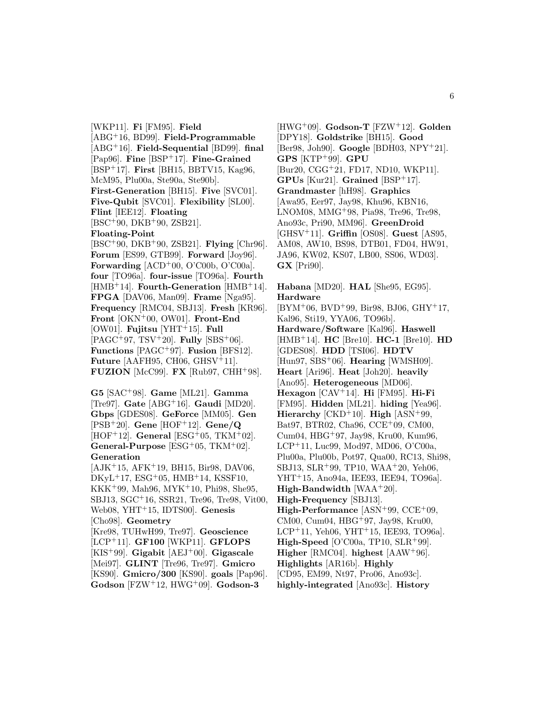[WKP11]. **Fi** [FM95]. **Field** [ABG<sup>+</sup>16, BD99]. **Field-Programmable** [ABG<sup>+</sup>16]. **Field-Sequential** [BD99]. **final** [Pap96]. **Fine** [BSP<sup>+</sup>17]. **Fine-Grained** [BSP<sup>+</sup>17]. **First** [BH15, BBTV15, Kag96, McM95, Plu00a, Ste90a, Ste90b]. **First-Generation** [BH15]. **Five** [SVC01]. **Five-Qubit** [SVC01]. **Flexibility** [SL00]. **Flint** [IEE12]. **Floating** [BSC<sup>+</sup>90, DKB<sup>+</sup>90, ZSB21]. **Floating-Point** [BSC<sup>+</sup>90, DKB<sup>+</sup>90, ZSB21]. **Flying** [Chr96]. **Forum** [ES99, GTB99]. **Forward** [Joy96]. **Forwarding**  $[ACD^+00, O'C00b, O'C00a]$ . **four** [TO96a]. **four-issue** [TO96a]. **Fourth** [HMB<sup>+</sup>14]. **Fourth-Generation** [HMB<sup>+</sup>14]. **FPGA** [DAV06, Man09]. **Frame** [Nga95]. **Frequency** [RMC04, SBJ13]. **Fresh** [KR96]. **Front** [OKN<sup>+</sup>00, OW01]. **Front-End** [OW01]. **Fujitsu** [YHT<sup>+</sup>15]. **Full** [PAGC<sup>+</sup>97, TSV<sup>+</sup>20]. **Fully** [SBS<sup>+</sup>06]. **Functions** [PAGC<sup>+</sup>97]. **Fusion** [BFS12]. **Future** [AAFH95, CH06, GHSV<sup>+</sup>11].

**G5** [SAC<sup>+</sup>98]. **Game** [ML21]. **Gamma** [Tre97]. **Gate** [ABG<sup>+</sup>16]. **Gaudi** [MD20]. **Gbps** [GDES08]. **GeForce** [MM05]. **Gen** [PSB<sup>+</sup>20]. **Gene** [HOF<sup>+</sup>12]. **Gene/Q** [HOF<sup>+</sup>12]. **General** [ESG<sup>+</sup>05, TKM<sup>+</sup>02]. **General-Purpose** [ESG<sup>+</sup>05, TKM<sup>+</sup>02]. **Generation**

**FUZION** [McC99]. **FX** [Rub97, CHH<sup>+</sup>98].

[AJK<sup>+</sup>15, AFK<sup>+</sup>19, BH15, Bir98, DAV06,  $DKyL+17$ ,  $ESG+05$ ,  $HMB+14$ ,  $KSSF10$ , KKK<sup>+</sup>99, Mah96, MYK<sup>+</sup>10, Phi98, She95, SBJ13, SGC<sup>+</sup>16, SSR21, Tre96, Tre98, Vit00, Web08, YHT<sup>+</sup>15, IDTS00]. **Genesis** [Cho98]. **Geometry** [Kre98, TUHwH99, Tre97]. **Geoscience** [LCP<sup>+</sup>11]. **GF100** [WKP11]. **GFLOPS** [KIS<sup>+</sup>99]. **Gigabit** [AEJ<sup>+</sup>00]. **Gigascale** [Mei97]. **GLINT** [Tre96, Tre97]. **Gmicro** [KS90]. **Gmicro/300** [KS90]. **goals** [Pap96]. **Godson** [FZW<sup>+</sup>12, HWG<sup>+</sup>09]. **Godson-3**

[HWG<sup>+</sup>09]. **Godson-T** [FZW<sup>+</sup>12]. **Golden** [DPY18]. **Goldstrike** [BH15]. **Good** [Ber98, Joh90]. **Google** [BDH03, NPY<sup>+</sup>21]. **GPS** [KTP<sup>+</sup>99]. **GPU** [Bur20, CGG<sup>+</sup>21, FD17, ND10, WKP11]. **GPUs** [Kur21]. **Grained** [BSP<sup>+</sup>17]. **Grandmaster** [hH98]. **Graphics** [Awa95, Eer97, Jay98, Khu96, KBN16, LNOM08, MMG<sup>+</sup>98, Pia98, Tre96, Tre98, Ano93c, Pri90, MM96]. **GreenDroid** [GHSV<sup>+</sup>11]. **Griffin** [OS08]. **Guest** [AS95, AM08, AW10, BS98, DTB01, FD04, HW91, JA96, KW02, KS07, LB00, SS06, WD03]. **GX** [Pri90].

### **Habana** [MD20]. **HAL** [She95, EG95]. **Hardware**

[BYM<sup>+</sup>06, BVD<sup>+</sup>99, Bir98, BJ06, GHY<sup>+</sup>17, Kal96, Sti19, YYA06, TO96b]. **Hardware/Software** [Kal96]. **Haswell** [HMB<sup>+</sup>14]. **HC** [Bre10]. **HC-1** [Bre10]. **HD** [GDES08]. **HDD** [TSI06]. **HDTV** [Hun97, SBS<sup>+</sup>06]. **Hearing** [WMSH09]. **Heart** [Ari96]. **Heat** [Joh20]. **heavily** [Ano95]. **Heterogeneous** [MD06]. **Hexagon** [CAV<sup>+</sup>14]. **Hi** [FM95]. **Hi-Fi** [FM95]. **Hidden** [ML21]. **hiding** [Yea96]. **Hierarchy** [CKD<sup>+</sup>10]. **High** [ASN<sup>+</sup>99, Bat97, BTR02, Cha96, CCE<sup>+</sup>09, CM00, Cum04, HBG<sup>+</sup>97, Jay98, Kru00, Kum96, LCP<sup>+</sup>11, Luc99, Mod97, MD06, O'C00a, Plu00a, Plu00b, Pot97, Qua00, RC13, Shi98, SBJ13, SLR<sup>+</sup>99, TP10, WAA<sup>+</sup>20, Yeh06, YHT<sup>+</sup>15, Ano94a, IEE93, IEE94, TO96a]. **High-Bandwidth** [WAA<sup>+</sup>20]. **High-Frequency** [SBJ13]. **High-Performance** [ASN<sup>+</sup>99, CCE<sup>+</sup>09, CM00, Cum04, HBG<sup>+</sup>97, Jay98, Kru00, LCP<sup>+</sup>11, Yeh06, YHT<sup>+</sup>15, IEE93, TO96a]. **High-Speed** [O'C00a, TP10, SLR<sup>+</sup>99]. **Higher** [RMC04]. **highest** [AAW<sup>+</sup>96]. **Highlights** [AR16b]. **Highly** [CD95, EM99, Nt97, Pro06, Ano93c]. **highly-integrated** [Ano93c]. **History**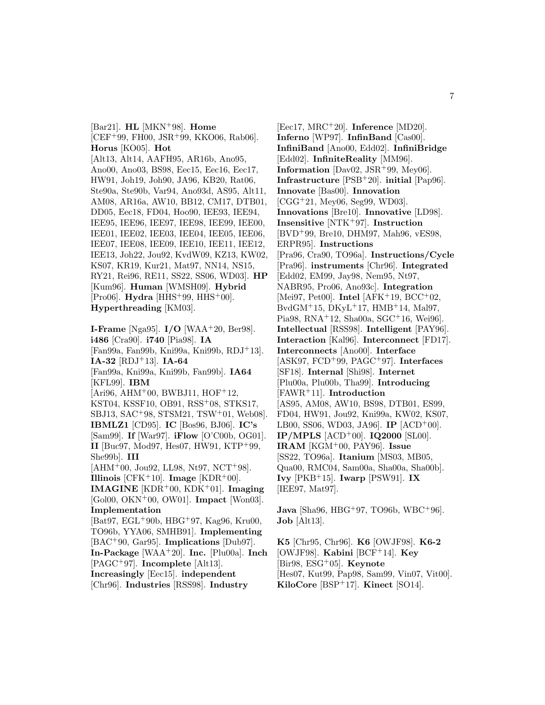[Bar21]. **HL** [MKN<sup>+</sup>98]. **Home**  $[CEF+99, FH00, JSR+99, KK006, Rab06].$ **Horus** [KO05]. **Hot** [Alt13, Alt14, AAFH95, AR16b, Ano95, Ano00, Ano03, BS98, Eec15, Eec16, Eec17, HW91, Joh19, Joh90, JA96, KB20, Rat06, Ste90a, Ste90b, Var94, Ano93d, AS95, Alt11, AM08, AR16a, AW10, BB12, CM17, DTB01, DD05, Eec18, FD04, Hoo90, IEE93, IEE94, IEE95, IEE96, IEE97, IEE98, IEE99, IEE00, IEE01, IEE02, IEE03, IEE04, IEE05, IEE06, IEE07, IEE08, IEE09, IEE10, IEE11, IEE12, IEE13, Joh22, Jou92, KvdW09, KZ13, KW02, KS07, KR19, Kur21, Mat97, NN14, NS15, RY21, Rei96, RE11, SS22, SS06, WD03]. **HP** [Kum96]. **Human** [WMSH09]. **Hybrid** [Pro06]. **Hydra** [HHS<sup>+</sup>99, HHS<sup>+</sup>00]. **Hyperthreading** [KM03].

**I-Frame** [Nga95]. **I/O** [WAA<sup>+</sup>20, Ber98]. **i486** [Cra90]. **i740** [Pia98]. **IA** [Fan99a, Fan99b, Kni99a, Kni99b, RDJ<sup>+</sup>13]. **IA-32** [RDJ<sup>+</sup>13]. **IA-64** [Fan99a, Kni99a, Kni99b, Fan99b]. **IA64** [KFL99]. **IBM**  $[Ari96, AHM<sup>+</sup>00, BWBJ11, HOF<sup>+</sup>12,$ KST04, KSSF10, OB91, RSS<sup>+</sup>08, STKS17, SBJ13, SAC<sup>+</sup>98, STSM21, TSW<sup>+</sup>01, Web08]. **IBMLZ1** [CD95]. **IC** [Bos96, BJ06]. **IC's** [Sam99]. **If** [War97]. **iFlow** [O'C00b, OG01]. **II** [Buc97, Mod97, Hes07, HW91, KTP<sup>+</sup>99, She99b]. **III**  $[AHM<sup>+</sup>00, Jou92, LL98, Nt97, NCT<sup>+</sup>98].$ **Illinois**  $[CFK^+10]$ . **Image**  $[KDR^+00]$ . **IMAGINE** [KDR<sup>+</sup>00, KDK<sup>+</sup>01]. **Imaging** [Gol00, OKN<sup>+</sup>00, OW01]. **Impact** [Won03]. **Implementation** [Bat97, EGL<sup>+</sup>90b, HBG<sup>+</sup>97, Kag96, Kru00, TO96b, YYA06, SMHB91]. **Implementing** [BAC<sup>+</sup>90, Gar95]. **Implications** [Dub97]. **In-Package** [WAA<sup>+</sup>20]. **Inc.** [Plu00a]. **Inch** [PAGC<sup>+</sup>97]. **Incomplete** [Alt13]. **Increasingly** [Eec15]. **independent** [Chr96]. **Industries** [RSS98]. **Industry**

[Eec17, MRC<sup>+</sup>20]. **Inference** [MD20]. **Inferno** [WP97]. **InfinBand** [Cas00]. **InfiniBand** [Ano00, Edd02]. **InfiniBridge** [Edd02]. **InfiniteReality** [MM96]. **Information** [Dav02, JSR<sup>+</sup>99, Mey06]. **Infrastructure** [PSB<sup>+</sup>20]. **initial** [Pap96]. **Innovate** [Bas00]. **Innovation** [CGG<sup>+</sup>21, Mey06, Seg99, WD03]. **Innovations** [Bre10]. **Innovative** [LD98]. **Insensitive** [NTK<sup>+</sup>97]. **Instruction** [BVD<sup>+</sup>99, Bre10, DHM97, Mah96, vES98, ERPR95]. **Instructions** [Pra96, Cra90, TO96a]. **Instructions/Cycle** [Pra96]. **instruments** [Chr96]. **Integrated** [Edd02, EM99, Jay98, Nem95, Nt97, NABR95, Pro06, Ano93c]. **Integration** [Mei97, Pet00]. **Intel** [AFK<sup>+</sup>19, BCC<sup>+</sup>02,  $BvdGM<sup>+</sup>15, DKyL<sup>+</sup>17, HMB<sup>+</sup>14, Mal97,$ Pia98, RNA<sup>+</sup>12, Sha00a, SGC<sup>+</sup>16, Wei96]. **Intellectual** [RSS98]. **Intelligent** [PAY96]. **Interaction** [Kal96]. **Interconnect** [FD17]. **Interconnects** [Ano00]. **Interface** [ASK97, FCD<sup>+</sup>99, PAGC<sup>+</sup>97]. **Interfaces** [SF18]. **Internal** [Shi98]. **Internet** [Plu00a, Plu00b, Tha99]. **Introducing** [FAWR<sup>+</sup>11]. **Introduction** [AS95, AM08, AW10, BS98, DTB01, ES99, FD04, HW91, Jou92, Kni99a, KW02, KS07, LB00, SS06, WD03, JA96]. **IP** [ACD<sup>+</sup>00]. **IP/MPLS** [ACD<sup>+</sup>00]. **IQ2000** [SL00]. **IRAM** [KGM<sup>+</sup>00, PAY96]. **Issue** [SS22, TO96a]. **Itanium** [MS03, MB05, Qua00, RMC04, Sam00a, Sha00a, Sha00b]. **Ivy** [PKB<sup>+</sup>15]. **Iwarp** [PSW91]. **IX** [IEE97, Mat97].

**Java** [Sha96, HBG<sup>+</sup>97, TO96b, WBC<sup>+</sup>96]. **Job** [Alt13].

**K5** [Chr95, Chr96]. **K6** [OWJF98]. **K6-2** [OWJF98]. **Kabini** [BCF<sup>+</sup>14]. **Key** [Bir98, ESG<sup>+</sup>05]. **Keynote** [Hes07, Kut99, Pap98, Sam99, Vin07, Vit00]. **KiloCore** [BSP<sup>+</sup>17]. **Kinect** [SO14].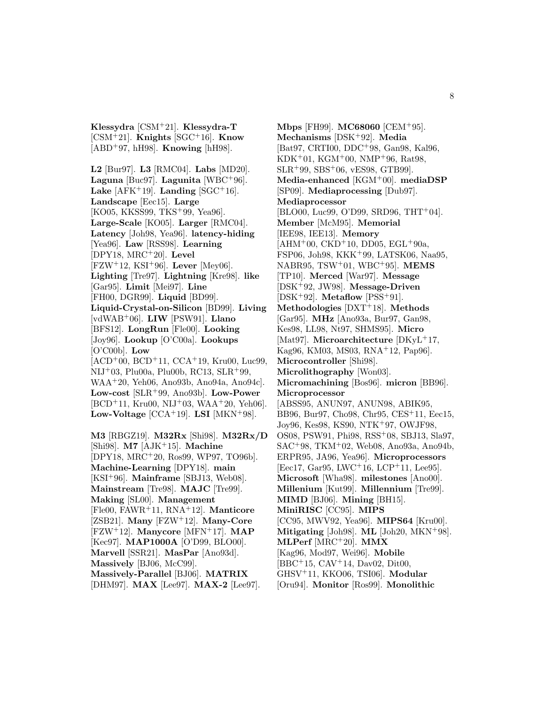**Klessydra** [CSM<sup>+</sup>21]. **Klessydra-T** [CSM<sup>+</sup>21]. **Knights** [SGC<sup>+</sup>16]. **Know** [ABD<sup>+</sup>97, hH98]. **Knowing** [hH98].

**L2** [Bur97]. **L3** [RMC04]. **Labs** [MD20]. **Laguna** [Buc97]. **Lagunita** [WBC<sup>+</sup>96]. Lake  $[AFK^+19]$ . Landing  $[SGC^+16]$ . **Landscape** [Eec15]. **Large** [KO05, KKSS99, TKS<sup>+</sup>99, Yea96]. **Large-Scale** [KO05]. **Larger** [RMC04]. **Latency** [Joh98, Yea96]. **latency-hiding** [Yea96]. **Law** [RSS98]. **Learning** [DPY18, MRC<sup>+</sup>20]. **Level** [FZW<sup>+</sup>12, KSI<sup>+</sup>96]. **Lever** [Mey06]. **Lighting** [Tre97]. **Lightning** [Kre98]. **like** [Gar95]. **Limit** [Mei97]. **Line** [FH00, DGR99]. **Liquid** [BD99]. **Liquid-Crystal-on-Silicon** [BD99]. **Living** [vdWAB<sup>+</sup>06]. **LIW** [PSW91]. **Llano** [BFS12]. **LongRun** [Fle00]. **Looking** [Joy96]. **Lookup** [O'C00a]. **Lookups** [O'C00b]. **Low**  $[ACD<sup>+</sup>00, BCD<sup>+</sup>11, CCA<sup>+</sup>19, Kru00, Luc99,$ NIJ<sup>+</sup>03, Plu00a, Plu00b, RC13, SLR<sup>+</sup>99, WAA<sup>+</sup>20, Yeh06, Ano93b, Ano94a, Ano94c]. **Low-cost** [SLR<sup>+</sup>99, Ano93b]. **Low-Power**  $[BCD+11, Kru00, NJ+03, WAA+20, Yeh06].$ **Low-Voltage**  $[CCA+19]$ . **LSI**  $[MKN+98]$ .

**M3** [RBGZ19]. **M32Rx** [Shi98]. **M32Rx/D** [Shi98]. **M7** [AJK<sup>+</sup>15]. **Machine** [DPY18, MRC<sup>+</sup>20, Ros99, WP97, TO96b]. **Machine-Learning** [DPY18]. **main** [KSI<sup>+</sup>96]. **Mainframe** [SBJ13, Web08]. **Mainstream** [Tre98]. **MAJC** [Tre99]. **Making** [SL00]. **Management** [Fle00, FAWR<sup>+</sup>11, RNA<sup>+</sup>12]. **Manticore** [ZSB21]. **Many** [FZW<sup>+</sup>12]. **Many-Core** [FZW<sup>+</sup>12]. **Manycore** [MFN<sup>+</sup>17]. **MAP** [Kec97]. **MAP1000A** [O'D99, BLO00]. **Marvell** [SSR21]. **MasPar** [Ano93d]. **Massively** [BJ06, McC99]. **Massively-Parallel** [BJ06]. **MATRIX** [DHM97]. **MAX** [Lee97]. **MAX-2** [Lee97].

**Mbps** [FH99]. **MC68060** [CEM<sup>+</sup>95]. **Mechanisms** [DSK<sup>+</sup>92]. **Media** [Bat97, CRTI00, DDC<sup>+</sup>98, Gan98, Kal96, KDK<sup>+</sup>01, KGM<sup>+</sup>00, NMP<sup>+</sup>96, Rat98, SLR<sup>+</sup>99, SBS<sup>+</sup>06, vES98, GTB99]. **Media-enhanced** [KGM<sup>+</sup>00]. **mediaDSP** [SP09]. **Mediaprocessing** [Dub97]. **Mediaprocessor** [BLO00, Luc99, O'D99, SRD96, THT<sup>+</sup>04]. **Member** [McM95]. **Memorial** [IEE98, IEE13]. **Memory**  $[AHM<sup>+</sup>00, CKD<sup>+</sup>10, DD05, EGL<sup>+</sup>90a,$ FSP06, Joh98, KKK<sup>+</sup>99, LATSK06, Naa95, NABR95, TSW<sup>+</sup>01, WBC<sup>+</sup>95]. **MEMS** [TP10]. **Merced** [War97]. **Message** [DSK<sup>+</sup>92, JW98]. **Message-Driven** [DSK<sup>+</sup>92]. **Metaflow** [PSS<sup>+</sup>91]. **Methodologies** [DXT<sup>+</sup>18]. **Methods** [Gar95]. **MHz** [Ano93a, Bur97, Gan98, Kes98, LL98, Nt97, SHMS95]. **Micro** [Mat97]. **Microarchitecture** [DKyL<sup>+</sup>17, Kag96, KM03, MS03, RNA<sup>+</sup>12, Pap96]. **Microcontroller** [Shi98]. **Microlithography** [Won03]. **Micromachining** [Bos96]. **micron** [BB96]. **Microprocessor** [ABSS95, ANUN97, ANUN98, ABIK95, BB96, Bur97, Cho98, Chr95, CES<sup>+</sup>11, Eec15, Joy96, Kes98, KS90, NTK<sup>+</sup>97, OWJF98, OS08, PSW91, Phi98, RSS<sup>+</sup>08, SBJ13, Sla97, SAC<sup>+</sup>98, TKM<sup>+</sup>02, Web08, Ano93a, Ano94b, ERPR95, JA96, Yea96]. **Microprocessors** [Eec17, Gar95, LWC<sup>+</sup>16, LCP<sup>+</sup>11, Lee95]. **Microsoft** [Wha98]. **milestones** [Ano00]. **Millenium** [Kut99]. **Millennium** [Tre99]. **MIMD** [BJ06]. **Mining** [BH15]. **MiniRISC** [CC95]. **MIPS** [CC95, MWV92, Yea96]. **MIPS64** [Kru00]. **Mitigating** [Joh98]. **ML** [Joh20, MKN<sup>+</sup>98]. **MLPerf** [MRC<sup>+</sup>20]. **MMX** [Kag96, Mod97, Wei96]. **Mobile** [BBC<sup>+</sup>15, CAV<sup>+</sup>14, Dav02, Dit00, GHSV<sup>+</sup>11, KKO06, TSI06]. **Modular** [Oru94]. **Monitor** [Ros99]. **Monolithic**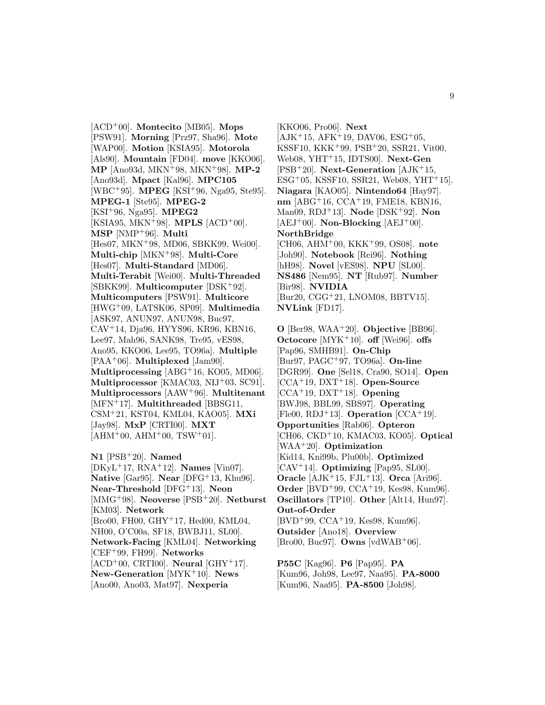[ACD<sup>+</sup>00]. **Montecito** [MB05]. **Mops** [PSW91]. **Morning** [Prz97, Sha96]. **Mote** [WAP00]. **Motion** [KSIA95]. **Motorola** [Als90]. **Mountain** [FD04]. **move** [KKO06]. **MP** [Ano93d, MKN<sup>+</sup>98, MKN<sup>+</sup>98]. **MP-2** [Ano93d]. **Mpact** [Kal96]. **MPC105** [WBC<sup>+</sup>95]. **MPEG** [KSI<sup>+</sup>96, Nga95, Ste95]. **MPEG-1** [Ste95]. **MPEG-2** [KSI<sup>+</sup>96, Nga95]. **MPEG2** [KSIA95, MKN<sup>+</sup>98]. **MPLS** [ACD<sup>+</sup>00]. **MSP** [NMP<sup>+</sup>96]. **Multi** [Hes07, MKN<sup>+</sup>98, MD06, SBKK99, Wei00]. **Multi-chip** [MKN<sup>+</sup>98]. **Multi-Core** [Hes07]. **Multi-Standard** [MD06]. **Multi-Terabit** [Wei00]. **Multi-Threaded** [SBKK99]. **Multicomputer** [DSK<sup>+</sup>92]. **Multicomputers** [PSW91]. **Multicore** [HWG<sup>+</sup>09, LATSK06, SP09]. **Multimedia** [ASK97, ANUN97, ANUN98, Buc97, CAV<sup>+</sup>14, Dja96, HYYS96, KR96, KBN16, Lee97, Mah96, SANK98, Tre95, vES98, Ano95, KKO06, Lee95, TO96a]. **Multiple** [PAA<sup>+</sup>06]. **Multiplexed** [Jam90]. **Multiprocessing** [ABG<sup>+</sup>16, KO05, MD06]. **Multiprocessor** [KMAC03, NIJ<sup>+</sup>03, SC91]. **Multiprocessors** [AAW<sup>+</sup>96]. **Multitenant** [MFN<sup>+</sup>17]. **Multithreaded** [BBSG11, CSM<sup>+</sup>21, KST04, KML04, KAO05]. **MXi** [Jay98]. **MxP** [CRTI00]. **MXT**  $[AHM<sup>+</sup>00, AHM<sup>+</sup>00, TSW<sup>+</sup>01].$ 

**N1** [PSB<sup>+</sup>20]. **Named** [DKyL<sup>+</sup>17, RNA<sup>+</sup>12]. **Names** [Vin07]. **Native** [Gar95]. **Near** [DFG<sup>+</sup>13, Khu96]. **Near-Threshold** [DFG<sup>+</sup>13]. **Neon** [MMG<sup>+</sup>98]. **Neoverse** [PSB<sup>+</sup>20]. **Netburst** [KM03]. **Network** [Bro00, FH00, GHY<sup>+</sup>17, Hed00, KML04, NH00, O'C00a, SF18, BWBJ11, SL00]. **Network-Facing** [KML04]. **Networking** [CEF<sup>+</sup>99, FH99]. **Networks**  $[ACD<sup>+</sup>00, CRTI00]$ . **Neural**  $[GHY<sup>+</sup>17]$ . **New-Generation** [MYK<sup>+</sup>10]. **News** [Ano00, Ano03, Mat97]. **Nexperia**

[KKO06, Pro06]. **Next**  $[AJK^+15, AFK^+19, DAVO6, ESG^+05,$ KSSF10, KKK<sup>+</sup>99, PSB<sup>+</sup>20, SSR21, Vit00, Web08, YHT<sup>+</sup>15, IDTS00]. **Next-Gen** [PSB<sup>+</sup>20]. **Next-Generation** [AJK<sup>+</sup>15, ESG<sup>+</sup>05, KSSF10, SSR21, Web08, YHT<sup>+</sup>15]. **Niagara** [KAO05]. **Nintendo64** [Hay97]. **nm** [ABG<sup>+</sup>16, CCA<sup>+</sup>19, FME18, KBN16, Man09, RDJ<sup>+</sup>13]. **Node** [DSK<sup>+</sup>92]. **Non**  $[AEJ^+00]$ . **Non-Blocking**  $[AEJ^+00]$ . **NorthBridge** [CH06, AHM<sup>+</sup>00, KKK<sup>+</sup>99, OS08]. **note** [Joh90]. **Notebook** [Rei96]. **Nothing** [hH98]. **Novel** [vES98]. **NPU** [SL00]. **NS486** [Nem95]. **NT** [Rub97]. **Number** [Bir98]. **NVIDIA** [Bur20, CGG<sup>+</sup>21, LNOM08, BBTV15]. **NVLink** [FD17].

**O** [Ber98, WAA<sup>+</sup>20]. **Objective** [BB96]. **Octocore** [MYK<sup>+</sup>10]. **off** [Wei96]. **offs** [Pap96, SMHB91]. **On-Chip** [Bur97, PAGC<sup>+</sup>97, TO96a]. **On-line** [DGR99]. **One** [Sel18, Cra90, SO14]. **Open** [CCA<sup>+</sup>19, DXT<sup>+</sup>18]. **Open-Source** [CCA<sup>+</sup>19, DXT<sup>+</sup>18]. **Opening** [BWJ98, BBL99, SBS97]. **Operating** [Fle00, RDJ<sup>+</sup>13]. **Operation** [CCA<sup>+</sup>19]. **Opportunities** [Rab06]. **Opteron** [CH06, CKD<sup>+</sup>10, KMAC03, KO05]. **Optical** [WAA<sup>+</sup>20]. **Optimization** [Kid14, Kni99b, Plu00b]. **Optimized** [CAV<sup>+</sup>14]. **Optimizing** [Pap95, SL00]. **Oracle** [AJK<sup>+</sup>15, FJL<sup>+</sup>13]. **Orca** [Ari96]. **Order** [BVD<sup>+</sup>99, CCA<sup>+</sup>19, Kes98, Kum96]. **Oscillators** [TP10]. **Other** [Alt14, Hun97]. **Out-of-Order** [BVD<sup>+</sup>99, CCA<sup>+</sup>19, Kes98, Kum96]. **Outsider** [Ano18]. **Overview** [Bro00, Buc97]. **Owns** [vdWAB<sup>+</sup>06].

**P55C** [Kag96]. **P6** [Pap95]. **PA** [Kum96, Joh98, Lee97, Naa95]. **PA-8000** [Kum96, Naa95]. **PA-8500** [Joh98].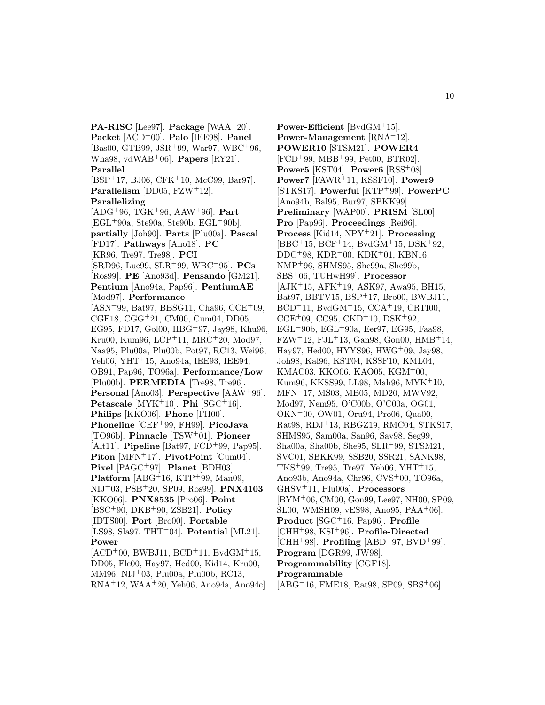**PA-RISC** [Lee97]. **Package** [WAA<sup>+</sup>20]. **Packet** [ACD<sup>+</sup>00]. **Palo** [IEE98]. **Panel** [Bas00, GTB99, JSR<sup>+</sup>99, War97, WBC<sup>+</sup>96, Wha98, vdWAB<sup>+</sup>06]. **Papers** [RY21]. **Parallel** [BSP<sup>+</sup>17, BJ06, CFK<sup>+</sup>10, McC99, Bar97]. **Parallelism** [DD05, FZW<sup>+</sup>12]. **Parallelizing** [ADG<sup>+</sup>96, TGK<sup>+</sup>96, AAW<sup>+</sup>96]. **Part**  $[EGL+90a, Ste90a, Ste90b, EGL+90b].$ **partially** [Joh90]. **Parts** [Plu00a]. **Pascal** [FD17]. **Pathways** [Ano18]. **PC** [KR96, Tre97, Tre98]. **PCI** [SRD96, Luc99, SLR<sup>+</sup>99, WBC<sup>+</sup>95]. **PCs** [Ros99]. **PE** [Ano93d]. **Pensando** [GM21]. **Pentium** [Ano94a, Pap96]. **PentiumAE** [Mod97]. **Performance**  $[ASN+99, Bat97, BBSG11, Cha96, CCE+09,$ CGF18, CGG<sup>+</sup>21, CM00, Cum04, DD05, EG95, FD17, Gol00, HBG<sup>+</sup>97, Jay98, Khu96, Kru00, Kum96, LCP<sup>+</sup>11, MRC<sup>+</sup>20, Mod97, Naa95, Plu00a, Plu00b, Pot97, RC13, Wei96, Yeh06, YHT<sup>+</sup>15, Ano94a, IEE93, IEE94, OB91, Pap96, TO96a]. **Performance/Low** [Plu00b]. **PERMEDIA** [Tre98, Tre96]. **Personal** [Ano03]. **Perspective** [AAW<sup>+</sup>96]. **Petascale** [MYK<sup>+</sup>10]. **Phi** [SGC<sup>+</sup>16]. **Philips** [KKO06]. **Phone** [FH00]. **Phoneline** [CEF<sup>+</sup>99, FH99]. **PicoJava** [TO96b]. **Pinnacle** [TSW<sup>+</sup>01]. **Pioneer** [Alt11]. **Pipeline** [Bat97, FCD<sup>+</sup>99, Pap95]. **Piton** [MFN<sup>+</sup>17]. **PivotPoint** [Cum04]. **Pixel** [PAGC<sup>+</sup>97]. **Planet** [BDH03]. **Platform** [ABG<sup>+</sup>16, KTP<sup>+</sup>99, Man09, NIJ<sup>+</sup>03, PSB<sup>+</sup>20, SP09, Ros99]. **PNX4103** [KKO06]. **PNX8535** [Pro06]. **Point** [BSC<sup>+</sup>90, DKB<sup>+</sup>90, ZSB21]. **Policy** [IDTS00]. **Port** [Bro00]. **Portable** [LS98, Sla97, THT<sup>+</sup>04]. **Potential** [ML21]. **Power**  $[ACD<sup>+</sup>00, BWBJ11, BCD<sup>+</sup>11, BvdGM<sup>+</sup>15,$ DD05, Fle00, Hay97, Hed00, Kid14, Kru00, MM96, NIJ<sup>+</sup>03, Plu00a, Plu00b, RC13,

RNA<sup>+</sup>12, WAA<sup>+</sup>20, Yeh06, Ano94a, Ano94c].

**Power-Efficient** [BvdGM<sup>+</sup>15]. **Power-Management** [RNA<sup>+</sup>12]. **POWER10** [STSM21]. **POWER4** [FCD<sup>+</sup>99, MBB<sup>+</sup>99, Pet00, BTR02]. **Power5** [KST04]. **Power6** [RSS<sup>+</sup>08]. **Power7** [FAWR<sup>+</sup>11, KSSF10]. **Power9** [STKS17]. **Powerful** [KTP<sup>+</sup>99]. **PowerPC** [Ano94b, Bal95, Bur97, SBKK99]. **Preliminary** [WAP00]. **PRISM** [SL00]. **Pro** [Pap96]. **Proceedings** [Rei96]. **Process** [Kid14, NPY<sup>+</sup>21]. **Processing** [BBC<sup>+</sup>15, BCF<sup>+</sup>14, BvdGM<sup>+</sup>15, DSK<sup>+</sup>92, DDC<sup>+</sup>98, KDR<sup>+</sup>00, KDK<sup>+</sup>01, KBN16, NMP<sup>+</sup>96, SHMS95, She99a, She99b, SBS<sup>+</sup>06, TUHwH99]. **Processor** [AJK<sup>+</sup>15, AFK<sup>+</sup>19, ASK97, Awa95, BH15, Bat97, BBTV15, BSP<sup>+</sup>17, Bro00, BWBJ11,  $BCD+11$ , BvdGM $+15$ , CCA $+19$ , CRTI00,  $CCE+09$ ,  $CC95$ ,  $CKD+10$ ,  $DSK+92$ ,  $EGL+90b$ ,  $EGL+90a$ ,  $Eer97$ ,  $EG95$ ,  $Faa98$ ,  $FZW+12$ ,  $FJL+13$ ,  $Gan98$ ,  $Gon00$ ,  $HMB+14$ , Hay97, Hed00, HYYS96, HWG<sup>+</sup>09, Jay98, Joh98, Kal96, KST04, KSSF10, KML04, KMAC03, KKO06, KAO05, KGM<sup>+</sup>00, Kum96, KKSS99, LL98, Mah96, MYK<sup>+</sup>10, MFN<sup>+</sup>17, MS03, MB05, MD20, MWV92, Mod97, Nem95, O'C00b, O'C00a, OG01, OKN<sup>+</sup>00, OW01, Oru94, Pro06, Qua00, Rat98, RDJ<sup>+</sup>13, RBGZ19, RMC04, STKS17, SHMS95, Sam00a, San96, Sav98, Seg99, Sha00a, Sha00b, She95, SLR<sup>+</sup>99, STSM21, SVC01, SBKK99, SSB20, SSR21, SANK98, TKS<sup> $+99$ </sup>, Tre95, Tre97, Yeh06, YHT<sup> $+15$ </sup>, Ano93b, Ano94a, Chr96, CVS<sup>+</sup>00, TO96a, GHSV<sup>+</sup>11, Plu00a]. **Processors** [BYM<sup>+</sup>06, CM00, Gon99, Lee97, NH00, SP09, SL00, WMSH09, vES98, Ano95, PAA<sup>+</sup>06]. **Product** [SGC<sup>+</sup>16, Pap96]. **Profile** [CHH<sup>+</sup>98, KSI<sup>+</sup>96]. **Profile-Directed** [CHH<sup>+</sup>98]. **Profiling** [ABD<sup>+</sup>97, BVD<sup>+</sup>99]. **Program** [DGR99, JW98]. **Programmability** [CGF18]. **Programmable** [ABG<sup>+</sup>16, FME18, Rat98, SP09, SBS<sup>+</sup>06].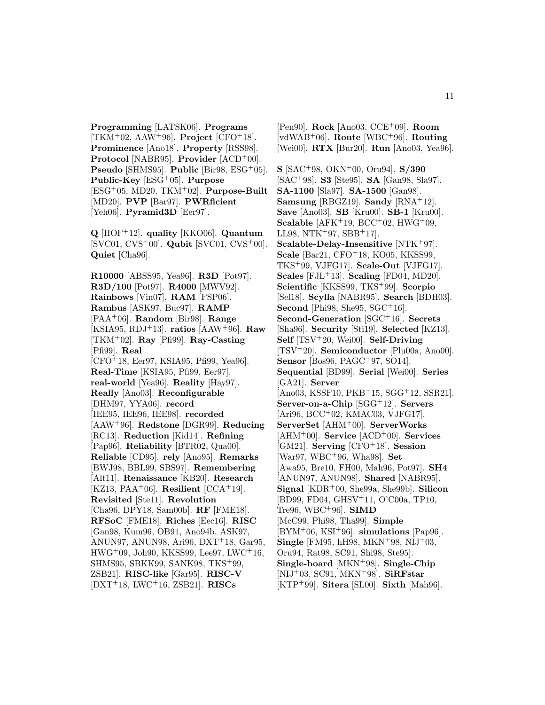**Programming** [LATSK06]. **Programs**  $[TKM<sup>+</sup>02, AAW<sup>+</sup>96]$ . **Project**  $[CFO<sup>+</sup>18]$ . **Prominence** [Ano18]. **Property** [RSS98]. **Protocol** [NABR95]. **Provider** [ACD<sup>+</sup>00]. **Pseudo** [SHMS95]. **Public** [Bir98, ESG<sup>+</sup>05]. **Public-Key** [ESG<sup>+</sup>05]. **Purpose** [ESG<sup>+</sup>05, MD20, TKM<sup>+</sup>02]. **Purpose-Built** [MD20]. **PVP** [Bar97]. **PWRficient** [Yeh06]. **Pyramid3D** [Eer97].

**Q** [HOF<sup>+</sup>12]. **quality** [KKO06]. **Quantum** [SVC01, CVS<sup>+</sup>00]. **Qubit** [SVC01, CVS<sup>+</sup>00]. **Quiet** [Cha96].

**R10000** [ABSS95, Yea96]. **R3D** [Pot97]. **R3D/100** [Pot97]. **R4000** [MWV92]. **Rainbows** [Vin07]. **RAM** [FSP06]. **Rambus** [ASK97, Buc97]. **RAMP** [PAA<sup>+</sup>06]. **Random** [Bir98]. **Range** [KSIA95, RDJ<sup>+</sup>13]. **ratios** [AAW<sup>+</sup>96]. **Raw** [TKM<sup>+</sup>02]. **Ray** [Pfi99]. **Ray-Casting** [Pfi99]. **Real** [CFO<sup>+</sup>18, Eer97, KSIA95, Pfi99, Yea96]. **Real-Time** [KSIA95, Pfi99, Eer97]. **real-world** [Yea96]. **Reality** [Hay97]. **Really** [Ano03]. **Reconfigurable** [DHM97, YYA06]. **record** [IEE95, IEE96, IEE98]. **recorded** [AAW<sup>+</sup>96]. **Redstone** [DGR99]. **Reducing** [RC13]. **Reduction** [Kid14]. **Refining** [Pap96]. **Reliability** [BTR02, Qua00]. **Reliable** [CD95]. **rely** [Ano95]. **Remarks** [BWJ98, BBL99, SBS97]. **Remembering** [Alt11]. **Renaissance** [KB20]. **Research** [KZ13, PAA<sup>+</sup>06]. **Resilient**  $[CCA$ <sup>+</sup>19]. **Revisited** [Ste11]. **Revolution** [Cha96, DPY18, Sam00b]. **RF** [FME18]. **RFSoC** [FME18]. **Riches** [Eec16]. **RISC** [Gan98, Kum96, OB91, Ano94b, ASK97, ANUN97, ANUN98, Ari96, DXT<sup>+</sup>18, Gar95, HWG<sup>+</sup>09, Joh90, KKSS99, Lee97, LWC<sup>+</sup>16, SHMS95, SBKK99, SANK98, TKS<sup>+</sup>99, ZSB21]. **RISC-like** [Gar95]. **RISC-V** [DXT<sup>+</sup>18, LWC<sup>+</sup>16, ZSB21]. **RISCs**

[Pen90]. **Rock** [Ano03, CCE<sup>+</sup>09]. **Room** [vdWAB<sup>+</sup>06]. **Route** [WBC<sup>+</sup>96]. **Routing** [Wei00]. **RTX** [Bur20]. **Run** [Ano03, Yea96].

**S** [SAC<sup>+</sup>98, OKN<sup>+</sup>00, Oru94]. **S/390** [SAC<sup>+</sup>98]. **S3** [Ste95]. **SA** [Gan98, Sla97]. **SA-1100** [Sla97]. **SA-1500** [Gan98]. **Samsung** [RBGZ19]. **Sandy** [RNA<sup>+</sup>12]. **Save** [Ano03]. **SB** [Kru00]. **SB-1** [Kru00]. **Scalable** [AFK<sup>+</sup>19, BCC<sup>+</sup>02, HWG<sup>+</sup>09, LL98, NTK+97, SBB+17. **Scalable-Delay-Insensitive** [NTK<sup>+</sup>97]. **Scale** [Bar21, CFO+18, KO05, KKSS99, TKS<sup>+</sup>99, VJFG17]. **Scale-Out** [VJFG17]. **Scales** [FJL<sup>+</sup>13]. **Scaling** [FD04, MD20]. **Scientific** [KKSS99, TKS<sup>+</sup>99]. **Scorpio** [Sel18]. **Scylla** [NABR95]. **Search** [BDH03]. **Second** [Phi98, She95, SGC+16]. **Second-Generation** [SGC<sup>+</sup>16]. **Secrets** [Sha96]. **Security** [Sti19]. **Selected** [KZ13]. **Self** [TSV<sup>+</sup>20, Wei00]. **Self-Driving** [TSV<sup>+</sup>20]. **Semiconductor** [Plu00a, Ano00]. **Sensor** [Bos96, PAGC+97, SO14]. **Sequential** [BD99]. **Serial** [Wei00]. **Series** [GA21]. **Server** [Ano03, KSSF10, PKB<sup>+</sup>15, SGG<sup>+</sup>12, SSR21]. **Server-on-a-Chip** [SGG<sup>+</sup>12]. **Servers** [Ari96, BCC<sup>+</sup>02, KMAC03, VJFG17]. **ServerSet** [AHM<sup>+</sup>00]. **ServerWorks** [AHM<sup>+</sup>00]. **Service** [ACD<sup>+</sup>00]. **Services** [GM21]. **Serving** [CFO<sup>+</sup>18]. **Session** [War97, WBC<sup>+</sup>96, Wha98]. **Set** [Awa95, Bre10, FH00, Mah96, Pot97]. **SH4** [ANUN97, ANUN98]. **Shared** [NABR95]. **Signal** [KDR<sup>+</sup>00, She99a, She99b]. **Silicon** [BD99, FD04, GHSV<sup>+</sup>11, O'C00a, TP10, Tre96, WBC<sup>+</sup>96]. **SIMD** [McC99, Phi98, Tha99]. **Simple** [BYM<sup>+</sup>06, KSI<sup>+</sup>96]. **simulations** [Pap96]. **Single** [FM95, hH98, MKN<sup>+</sup>98, NIJ<sup>+</sup>03, Oru94, Rat98, SC91, Shi98, Ste95]. **Single-board** [MKN<sup>+</sup>98]. **Single-Chip** [NIJ<sup>+</sup>03, SC91, MKN<sup>+</sup>98]. **SiRFstar** [KTP<sup>+</sup>99]. **Sitera** [SL00]. **Sixth** [Mah96].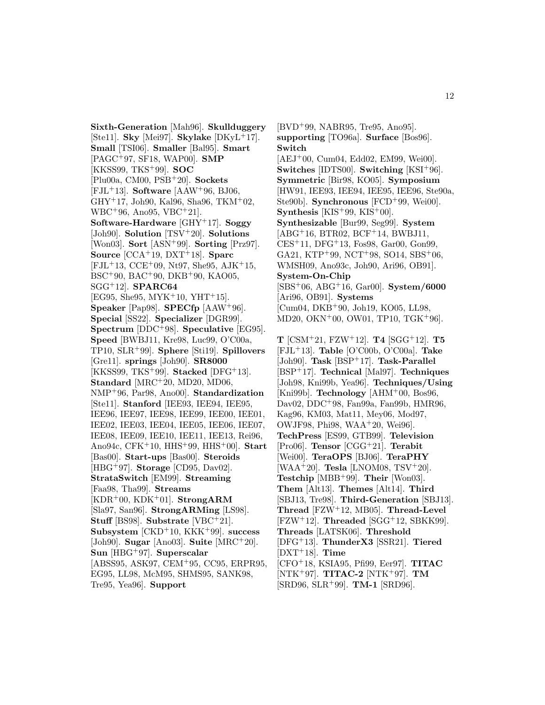**Sixth-Generation** [Mah96]. **Skullduggery** [Ste11]. **Sky** [Mei97]. **Skylake** [DKyL<sup>+</sup>17]. **Small** [TSI06]. **Smaller** [Bal95]. **Smart** [PAGC<sup>+</sup>97, SF18, WAP00]. **SMP** [KKSS99, TKS<sup>+</sup>99]. **SOC** [Plu00a, CM00, PSB<sup>+</sup>20]. **Sockets** [FJL<sup>+</sup>13]. **Software** [AAW<sup>+</sup>96, BJ06, GHY<sup>+</sup>17, Joh90, Kal96, Sha96, TKM<sup>+</sup>02, WBC<sup>+</sup>96, Ano95, VBC<sup>+</sup>21]. **Software-Hardware** [GHY<sup>+</sup>17]. **Soggy** [Joh90]. **Solution** [TSV<sup>+</sup>20]. **Solutions** [Won03]. **Sort** [ASN<sup>+</sup>99]. **Sorting** [Prz97]. **Source** [CCA<sup>+</sup>19, DXT<sup>+</sup>18]. **Sparc**  $[FJL+13, CCE+09, Nt97, She95, AJK+15,$ BSC<sup>+</sup>90, BAC<sup>+</sup>90, DKB<sup>+</sup>90, KAO05, SGG<sup>+</sup>12]. **SPARC64** [EG95, She95, MYK<sup>+</sup>10, YHT<sup>+</sup>15]. **Speaker** [Pap98]. **SPECfp** [AAW<sup>+</sup>96]. **Special** [SS22]. **Specializer** [DGR99]. **Spectrum** [DDC<sup>+</sup>98]. **Speculative** [EG95]. **Speed** [BWBJ11, Kre98, Luc99, O'C00a, TP10, SLR<sup>+</sup>99]. **Sphere** [Sti19]. **Spillovers** [Gre11]. **springs** [Joh90]. **SR8000** [KKSS99, TKS<sup>+</sup>99]. **Stacked** [DFG<sup>+</sup>13]. **Standard** [MRC<sup>+</sup>20, MD20, MD06, NMP<sup>+</sup>96, Par98, Ano00]. **Standardization** [Ste11]. **Stanford** [IEE93, IEE94, IEE95, IEE96, IEE97, IEE98, IEE99, IEE00, IEE01, IEE02, IEE03, IEE04, IEE05, IEE06, IEE07, IEE08, IEE09, IEE10, IEE11, IEE13, Rei96, Ano94c, CFK<sup>+</sup>10, HHS<sup>+</sup>99, HHS<sup>+</sup>00]. **Start** [Bas00]. **Start-ups** [Bas00]. **Steroids** [HBG<sup>+</sup>97]. **Storage** [CD95, Dav02]. **StrataSwitch** [EM99]. **Streaming** [Faa98, Tha99]. **Streams** [KDR<sup>+</sup>00, KDK<sup>+</sup>01]. **StrongARM** [Sla97, San96]. **StrongARMing** [LS98]. **Stuff** [BS98]. **Substrate** [VBC<sup>+</sup>21]. **Subsystem** [CKD<sup>+</sup>10, KKK<sup>+</sup>99]. **success** [Joh90]. **Sugar** [Ano03]. **Suite** [MRC<sup>+</sup>20]. **Sun** [HBG<sup>+</sup>97]. **Superscalar** [ABSS95, ASK97, CEM<sup>+</sup>95, CC95, ERPR95, EG95, LL98, McM95, SHMS95, SANK98, Tre95, Yea96]. **Support**

[BVD<sup>+</sup>99, NABR95, Tre95, Ano95]. **supporting** [TO96a]. **Surface** [Bos96]. **Switch**  $[AEJ<sup>+</sup>00, Cum04, Edd02, EM99, Wei00].$ **Switches** [IDTS00]. **Switching** [KSI<sup>+</sup>96]. **Symmetric** [Bir98, KO05]. **Symposium** [HW91, IEE93, IEE94, IEE95, IEE96, Ste90a, Ste90b]. **Synchronous** [FCD<sup>+</sup>99, Wei00]. **Synthesis** [KIS<sup>+</sup>99, KIS<sup>+</sup>00]. **Synthesizable** [Bur99, Seg99]. **System** [ABG<sup>+</sup>16, BTR02, BCF<sup>+</sup>14, BWBJ11, CES<sup>+</sup>11, DFG<sup>+</sup>13, Fos98, Gar00, Gon99, GA21, KTP<sup>+</sup>99, NCT<sup>+</sup>98, SO14, SBS<sup>+</sup>06, WMSH09, Ano93c, Joh90, Ari96, OB91]. **System-On-Chip** [SBS<sup>+</sup>06, ABG<sup>+</sup>16, Gar00]. **System/6000** [Ari96, OB91]. **Systems** [Cum04, DKB<sup>+</sup>90, Joh19, KO05, LL98, MD20, OKN<sup>+</sup>00, OW01, TP10, TGK<sup>+</sup>96]. **T** [CSM<sup>+</sup>21, FZW<sup>+</sup>12]. **T4** [SGG<sup>+</sup>12]. **T5** [FJL<sup>+</sup>13]. **Table** [O'C00b, O'C00a]. **Take** [Joh90]. **Task** [BSP<sup>+</sup>17]. **Task-Parallel** [BSP<sup>+</sup>17]. **Technical** [Mal97]. **Techniques** [Joh98, Kni99b, Yea96]. **Techniques/Using** [Kni99b]. **Technology** [AHM<sup>+</sup>00, Bos96, Dav02, DDC<sup>+</sup>98, Fan99a, Fan99b, HMR96, Kag96, KM03, Mat11, Mey06, Mod97, OWJF98, Phi98, WAA<sup>+</sup>20, Wei96]. **TechPress** [ES99, GTB99]. **Television** [Pro06]. **Tensor** [CGG<sup>+</sup>21]. **Terabit** [Wei00]. **TeraOPS** [BJ06]. **TeraPHY** [WAA<sup>+</sup>20]. **Tesla** [LNOM08, TSV<sup>+</sup>20].

12

**Testchip** [MBB<sup>+</sup>99]. **Their** [Won03]. **Them** [Alt13]. **Themes** [Alt14]. **Third** [SBJ13, Tre98]. **Third-Generation** [SBJ13]. **Thread** [FZW<sup>+</sup>12, MB05]. **Thread-Level** [FZW<sup>+</sup>12]. **Threaded** [SGG<sup>+</sup>12, SBKK99]. **Threads** [LATSK06]. **Threshold** [DFG<sup>+</sup>13]. **ThunderX3** [SSR21]. **Tiered** [DXT<sup>+</sup>18]. **Time** [CFO<sup>+</sup>18, KSIA95, Pfi99, Eer97]. **TITAC**

[NTK<sup>+</sup>97]. **TITAC-2** [NTK<sup>+</sup>97]. **TM** [SRD96, SLR<sup>+</sup>99]. **TM-1** [SRD96].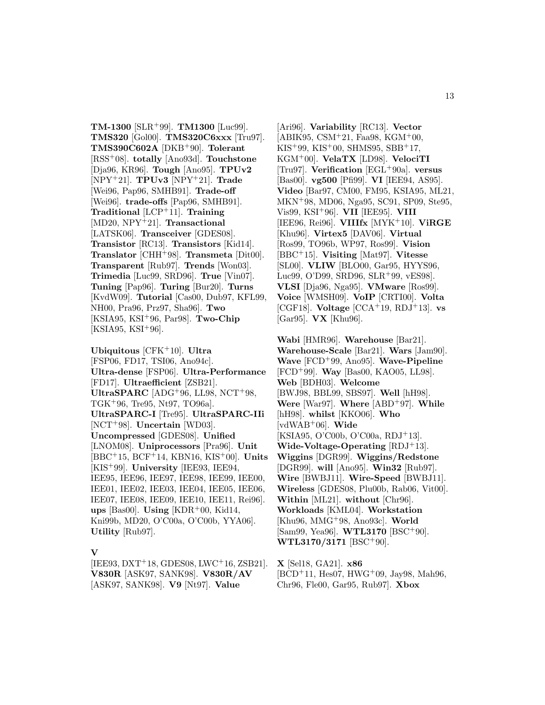**TM-1300** [SLR<sup>+</sup>99]. **TM1300** [Luc99]. **TMS320** [Gol00]. **TMS320C6xxx** [Tru97]. **TMS390C602A** [DKB<sup>+</sup>90]. **Tolerant** [RSS<sup>+</sup>08]. **totally** [Ano93d]. **Touchstone** [Dja96, KR96]. **Tough** [Ano95]. **TPUv2** [NPY<sup>+</sup>21]. **TPUv3** [NPY<sup>+</sup>21]. **Trade** [Wei96, Pap96, SMHB91]. **Trade-off** [Wei96]. **trade-offs** [Pap96, SMHB91]. **Traditional** [LCP<sup>+</sup>11]. **Training** [MD20, NPY<sup>+</sup>21]. **Transactional** [LATSK06]. **Transceiver** [GDES08]. **Transistor** [RC13]. **Transistors** [Kid14]. **Translator** [CHH<sup>+</sup>98]. **Transmeta** [Dit00]. **Transparent** [Rub97]. **Trends** [Won03]. **Trimedia** [Luc99, SRD96]. **True** [Vin07]. **Tuning** [Pap96]. **Turing** [Bur20]. **Turns** [KvdW09]. **Tutorial** [Cas00, Dub97, KFL99, NH00, Pra96, Prz97, Sha96]. **Two** [KSIA95, KSI<sup>+</sup>96, Par98]. **Two-Chip**  $[KSIA95, KSI+96].$ 

**Ubiquitous** [CFK<sup>+</sup>10]. **Ultra** [FSP06, FD17, TSI06, Ano94c]. **Ultra-dense** [FSP06]. **Ultra-Performance** [FD17]. **Ultraefficient** [ZSB21]. **UltraSPARC** [ADG<sup>+</sup>96, LL98, NCT<sup>+</sup>98, TGK<sup>+</sup>96, Tre95, Nt97, TO96a]. **UltraSPARC-I** [Tre95]. **UltraSPARC-IIi** [NCT<sup>+</sup>98]. **Uncertain** [WD03]. **Uncompressed** [GDES08]. **Unified** [LNOM08]. **Uniprocessors** [Pra96]. **Unit** [BBC<sup>+</sup>15, BCF<sup>+</sup>14, KBN16, KIS<sup>+</sup>00]. **Units** [KIS<sup>+</sup>99]. **University** [IEE93, IEE94, IEE95, IEE96, IEE97, IEE98, IEE99, IEE00, IEE01, IEE02, IEE03, IEE04, IEE05, IEE06, IEE07, IEE08, IEE09, IEE10, IEE11, Rei96]. **ups** [Bas00]. **Using** [KDR<sup>+</sup>00, Kid14, Kni99b, MD20, O'C00a, O'C00b, YYA06]. **Utility** [Rub97].

#### **V**

 $[IEE93, DXT<sup>+</sup>18, GDES08, LWC<sup>+</sup>16, ZSB21].$ **V830R** [ASK97, SANK98]. **V830R/AV** [ASK97, SANK98]. **V9** [Nt97]. **Value**

[Ari96]. **Variability** [RC13]. **Vector**  $[ABIK95, CSM<sup>+</sup>21, Faa98, KGM<sup>+</sup>00,$  $KIS+99$ ,  $KIS+00$ , SHMS95, SBB+17, KGM<sup>+</sup>00]. **VelaTX** [LD98]. **VelociTI** [Tru97]. **Verification** [EGL<sup>+</sup>90a]. **versus** [Bas00]. **vg500** [Pfi99]. **VI** [IEE94, AS95]. **Video** [Bar97, CM00, FM95, KSIA95, ML21, MKN<sup>+</sup>98, MD06, Nga95, SC91, SP09, Ste95, Vis99, KSI<sup>+</sup>96]. **VII** [IEE95]. **VIII** [IEE96, Rei96]. **VIIIfx** [MYK<sup>+</sup>10]. **ViRGE** [Khu96]. **Virtex5** [DAV06]. **Virtual** [Ros99, TO96b, WP97, Ros99]. **Vision** [BBC<sup>+</sup>15]. **Visiting** [Mat97]. **Vitesse** [SL00]. **VLIW** [BLO00, Gar95, HYYS96, Luc99, O'D99, SRD96, SLR<sup>+</sup>99, vES98]. **VLSI** [Dja96, Nga95]. **VMware** [Ros99]. **Voice** [WMSH09]. **VoIP** [CRTI00]. **Volta** [CGF18]. **Voltage** [CCA<sup>+</sup>19, RDJ<sup>+</sup>13]. **vs** [Gar95]. **VX** [Khu96].

**Wabi** [HMR96]. **Warehouse** [Bar21]. **Warehouse-Scale** [Bar21]. **Wars** [Jam90]. **Wave** [FCD<sup>+</sup>99, Ano95]. **Wave-Pipeline** [FCD<sup>+</sup>99]. **Way** [Bas00, KAO05, LL98]. **Web** [BDH03]. **Welcome** [BWJ98, BBL99, SBS97]. **Well** [hH98]. **Were** [War97]. **Where** [ABD<sup>+</sup>97]. **While** [hH98]. **whilst** [KKO06]. **Who** [vdWAB<sup>+</sup>06]. **Wide** [KSIA95, O'C00b, O'C00a, RDJ<sup>+</sup>13]. **Wide-Voltage-Operating** [RDJ<sup>+</sup>13]. **Wiggins** [DGR99]. **Wiggins/Redstone** [DGR99]. **will** [Ano95]. **Win32** [Rub97]. **Wire** [BWBJ11]. **Wire-Speed** [BWBJ11]. **Wireless** [GDES08, Plu00b, Rab06, Vit00]. **Within** [ML21]. **without** [Chr96]. **Workloads** [KML04]. **Workstation** [Khu96, MMG<sup>+</sup>98, Ano93c]. **World** [Sam99, Yea96]. **WTL3170** [BSC<sup>+</sup>90]. **WTL3170/3171** [BSC<sup>+</sup>90].

**X** [Sel18, GA21]. **x86**  $[BCD+11, Hess07, HWG+09, Jay98, Mah96,$ Chr96, Fle00, Gar95, Rub97]. **Xbox**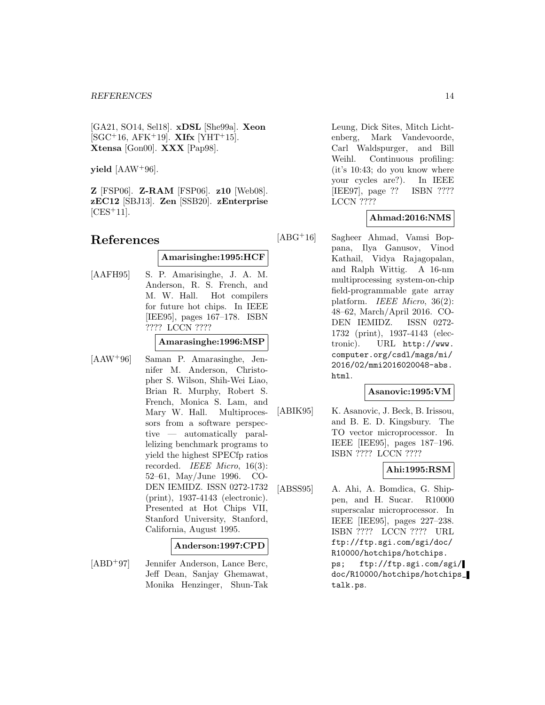[GA21, SO14, Sel18]. **xDSL** [She99a]. **Xeon**  $[SGC<sup>+</sup>16, AFK<sup>+</sup>19]$ . **XIfx**  $[YHT<sup>+</sup>15]$ . **Xtensa** [Gon00]. **XXX** [Pap98].

**yield** [AAW<sup>+</sup>96].

**Z** [FSP06]. **Z-RAM** [FSP06]. **z10** [Web08]. **zEC12** [SBJ13]. **Zen** [SSB20]. **zEnterprise**  $[CES+11]$ .

# **References**

# **Amarisinghe:1995:HCF**

[AAFH95] S. P. Amarisinghe, J. A. M. Anderson, R. S. French, and M. W. Hall. Hot compilers for future hot chips. In IEEE [IEE95], pages 167–178. ISBN ???? LCCN ????

**Amarasinghe:1996:MSP**

[AAW<sup>+</sup>96] Saman P. Amarasinghe, Jennifer M. Anderson, Christopher S. Wilson, Shih-Wei Liao, Brian R. Murphy, Robert S. French, Monica S. Lam, and Mary W. Hall. Multiprocessors from a software perspective — automatically parallelizing benchmark programs to yield the highest SPECfp ratios recorded. IEEE Micro, 16(3): 52–61, May/June 1996. CO-DEN IEMIDZ. ISSN 0272-1732 (print), 1937-4143 (electronic). Presented at Hot Chips VII, Stanford University, Stanford, California, August 1995.

#### **Anderson:1997:CPD**

[ABD<sup>+</sup>97] Jennifer Anderson, Lance Berc, Jeff Dean, Sanjay Ghemawat, Monika Henzinger, Shun-Tak Leung, Dick Sites, Mitch Lichtenberg, Mark Vandevoorde, Carl Waldspurger, and Bill Weihl. Continuous profiling: (it's 10:43; do you know where your cycles are?). In IEEE [IEE97], page ?? ISBN ???? LCCN ????

# **Ahmad:2016:NMS**

[ABG<sup>+</sup>16] Sagheer Ahmad, Vamsi Boppana, Ilya Ganusov, Vinod Kathail, Vidya Rajagopalan, and Ralph Wittig. A 16-nm multiprocessing system-on-chip field-programmable gate array platform. IEEE Micro, 36(2): 48–62, March/April 2016. CO-DEN IEMIDZ. ISSN 0272- 1732 (print), 1937-4143 (electronic). URL http://www. computer.org/csdl/mags/mi/ 2016/02/mmi2016020048-abs. html.

#### **Asanovic:1995:VM**

[ABIK95] K. Asanovic, J. Beck, B. Irissou, and B. E. D. Kingsbury. The TO vector microprocessor. In IEEE [IEE95], pages 187–196. ISBN ???? LCCN ????

# **Ahi:1995:RSM**

[ABSS95] A. Ahi, A. Bomdica, G. Shippen, and H. Sucar. R10000 superscalar microprocessor. In IEEE [IEE95], pages 227–238. ISBN ???? LCCN ???? URL ftp://ftp.sgi.com/sgi/doc/ R10000/hotchips/hotchips. ps; ftp://ftp.sgi.com/sgi/ doc/R10000/hotchips/hotchips\_ talk.ps.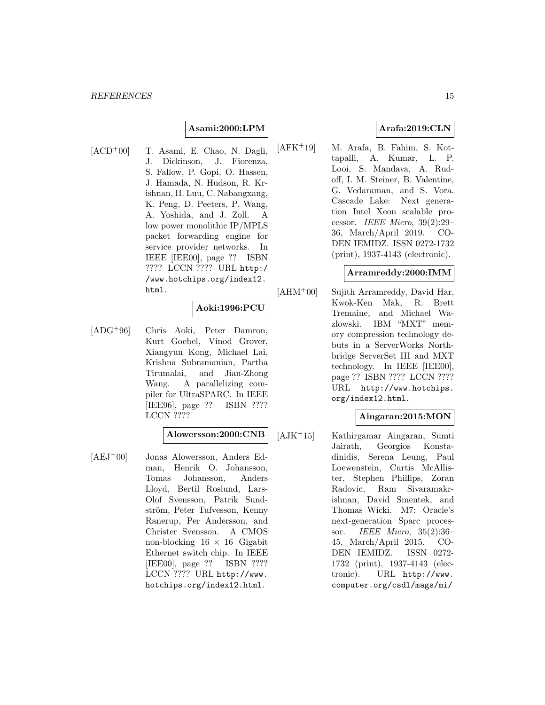# **Asami:2000:LPM**

 $[ACD+00]$  T. Asami, E. Chao, N. Dagli, J. Dickinson, J. Fiorenza, S. Fallow, P. Gopi, O. Hassen, J. Hamada, N. Hudson, R. Krishnan, H. Luu, C. Nabangxang, K. Peng, D. Peeters, P. Wang, A. Yoshida, and J. Zoll. A low power monolithic IP/MPLS packet forwarding engine for service provider networks. In IEEE [IEE00], page ?? ISBN ???? LCCN ???? URL http:/ /www.hotchips.org/index12. html.

# **Aoki:1996:PCU**

[ADG<sup>+</sup>96] Chris Aoki, Peter Damron, Kurt Goebel, Vinod Grover, Xiangyun Kong, Michael Lai, Krishna Subramanian, Partha Tirumalai, and Jian-Zhong Wang. A parallelizing compiler for UltraSPARC. In IEEE [IEE96], page ?? ISBN ???? LCCN ????

# **Alowersson:2000:CNB**

[AEJ<sup>+</sup>00] Jonas Alowersson, Anders Edman, Henrik O. Johansson, Tomas Johansson, Anders Lloyd, Bertil Roslund, Lars-Olof Svensson, Patrik Sundström, Peter Tufvesson, Kenny Ranerup, Per Andersson, and Christer Svensson. A CMOS non-blocking  $16 \times 16$  Gigabit Ethernet switch chip. In IEEE [IEE00], page ?? ISBN ???? LCCN ???? URL http://www. hotchips.org/index12.html.

# **Arafa:2019:CLN**

[AFK<sup>+</sup>19] M. Arafa, B. Fahim, S. Kottapalli, A. Kumar, L. P. Looi, S. Mandava, A. Rudoff, I. M. Steiner, B. Valentine, G. Vedaraman, and S. Vora. Cascade Lake: Next generation Intel Xeon scalable processor. IEEE Micro, 39(2):29– 36, March/April 2019. CO-DEN IEMIDZ. ISSN 0272-1732 (print), 1937-4143 (electronic).

#### **Arramreddy:2000:IMM**

[AHM<sup>+</sup>00] Sujith Arramreddy, David Har, Kwok-Ken Mak, R. Brett Tremaine, and Michael Wazlowski. IBM "MXT" memory compression technology debuts in a ServerWorks Northbridge ServerSet III and MXT technology. In IEEE [IEE00], page ?? ISBN ???? LCCN ???? URL http://www.hotchips. org/index12.html.

### **Aingaran:2015:MON**

[AJK<sup>+</sup>15] Kathirgamar Aingaran, Sumti Jairath, Georgios Konstadinidis, Serena Leung, Paul Loewenstein, Curtis McAllister, Stephen Phillips, Zoran Radovic, Ram Sivaramakrishnan, David Smentek, and Thomas Wicki. M7: Oracle's next-generation Sparc processor. IEEE Micro, 35(2):36– 45, March/April 2015. CO-DEN IEMIDZ. ISSN 0272- 1732 (print), 1937-4143 (electronic). URL http://www. computer.org/csdl/mags/mi/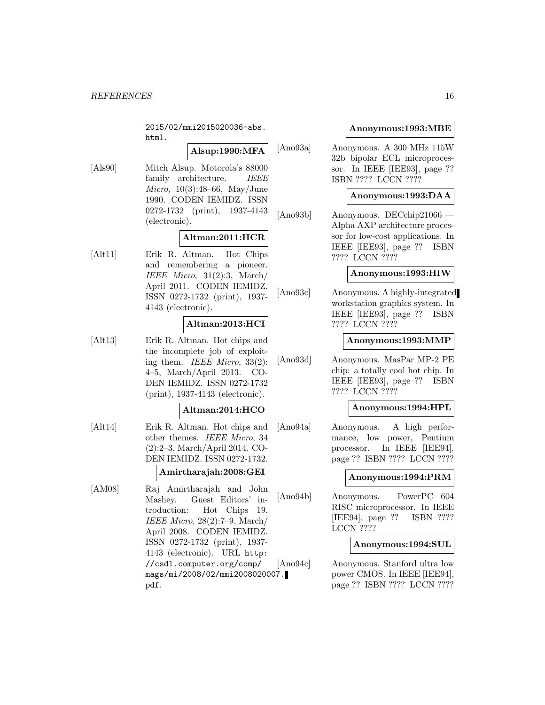2015/02/mmi2015020036-abs. html.

# **Alsup:1990:MFA**

[Als90] Mitch Alsup. Motorola's 88000 family architecture. *IEEE* Micro, 10(3):48–66, May/June 1990. CODEN IEMIDZ. ISSN 0272-1732 (print), 1937-4143 (electronic).

# **Altman:2011:HCR**

[Alt11] Erik R. Altman. Hot Chips and remembering a pioneer. IEEE Micro, 31(2):3, March/ April 2011. CODEN IEMIDZ. ISSN 0272-1732 (print), 1937- 4143 (electronic).

# **Altman:2013:HCI**

[Alt13] Erik R. Altman. Hot chips and the incomplete job of exploiting them. IEEE Micro, 33(2): 4–5, March/April 2013. CO-DEN IEMIDZ. ISSN 0272-1732 (print), 1937-4143 (electronic).

#### **Altman:2014:HCO**

[Alt14] Erik R. Altman. Hot chips and other themes. IEEE Micro, 34 (2):2–3, March/April 2014. CO-DEN IEMIDZ. ISSN 0272-1732.

# **Amirtharajah:2008:GEI**

[AM08] Raj Amirtharajah and John Mashey. Guest Editors' introduction: Hot Chips 19. IEEE Micro, 28(2):7–9, March/ April 2008. CODEN IEMIDZ. ISSN 0272-1732 (print), 1937- 4143 (electronic). URL http: //csdl.computer.org/comp/ mags/mi/2008/02/mmi2008020007. pdf.

# **Anonymous:1993:MBE**

[Ano93a] Anonymous. A 300 MHz 115W 32b bipolar ECL microprocessor. In IEEE [IEE93], page ?? ISBN ???? LCCN ????

#### **Anonymous:1993:DAA**

[Ano93b] Anonymous. DECchip21066 — Alpha AXP architecture processor for low-cost applications. In IEEE [IEE93], page ?? ISBN ???? LCCN ????

#### **Anonymous:1993:HIW**

[Ano93c] Anonymous. A highly-integrated workstation graphics system. In IEEE [IEE93], page ?? ISBN ???? LCCN ????

#### **Anonymous:1993:MMP**

[Ano93d] Anonymous. MasPar MP-2 PE chip: a totally cool hot chip. In IEEE [IEE93], page ?? ISBN ???? LCCN ????

### **Anonymous:1994:HPL**

[Ano94a] Anonymous. A high performance, low power, Pentium processor. In IEEE [IEE94], page ?? ISBN ???? LCCN ????

#### **Anonymous:1994:PRM**

[Ano94b] Anonymous. PowerPC 604 RISC microprocessor. In IEEE [IEE94], page ?? ISBN ???? LCCN ????

#### **Anonymous:1994:SUL**

[Ano94c] Anonymous. Stanford ultra low power CMOS. In IEEE [IEE94], page ?? ISBN ???? LCCN ????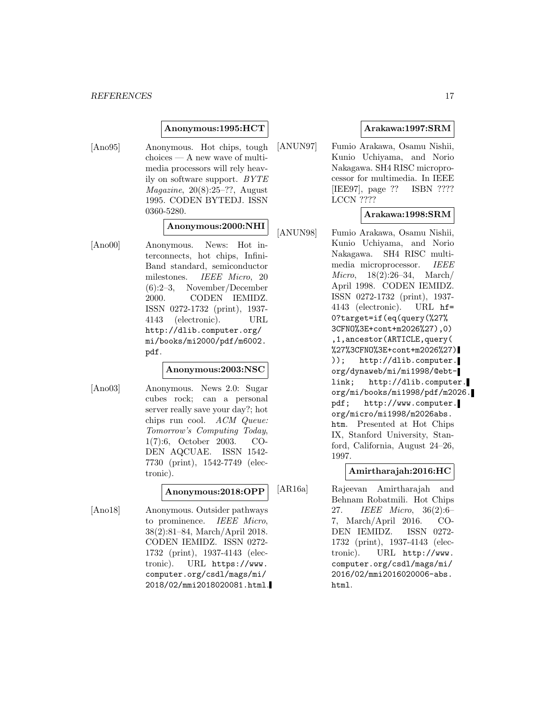#### **Anonymous:1995:HCT**

[Ano95] Anonymous. Hot chips, tough choices — A new wave of multimedia processors will rely heavily on software support. BYTE  $Magazine, 20(8):25-??, August$ 1995. CODEN BYTEDJ. ISSN 0360-5280.

# **Anonymous:2000:NHI**

[Ano00] Anonymous. News: Hot interconnects, hot chips, Infini-Band standard, semiconductor milestones. IEEE Micro, 20 (6):2–3, November/December 2000. CODEN IEMIDZ. ISSN 0272-1732 (print), 1937- 4143 (electronic). URL http://dlib.computer.org/ mi/books/mi2000/pdf/m6002. pdf.

# **Anonymous:2003:NSC**

[Ano03] Anonymous. News 2.0: Sugar cubes rock; can a personal server really save your day?; hot chips run cool. ACM Queue: Tomorrow's Computing Today, 1(7):6, October 2003. CO-DEN AQCUAE. ISSN 1542- 7730 (print), 1542-7749 (electronic).

# **Anonymous:2018:OPP**

[Ano18] Anonymous. Outsider pathways to prominence. IEEE Micro, 38(2):81–84, March/April 2018. CODEN IEMIDZ. ISSN 0272- 1732 (print), 1937-4143 (electronic). URL https://www. computer.org/csdl/mags/mi/ 2018/02/mmi2018020081.html.

# **Arakawa:1997:SRM**

[ANUN97] Fumio Arakawa, Osamu Nishii, Kunio Uchiyama, and Norio Nakagawa. SH4 RISC microprocessor for multimedia. In IEEE [IEE97], page ?? ISBN ???? LCCN ????

# **Arakawa:1998:SRM**

[ANUN98] Fumio Arakawa, Osamu Nishii, Kunio Uchiyama, and Norio Nakagawa. SH4 RISC multimedia microprocessor. IEEE Micro, 18(2):26–34, March/ April 1998. CODEN IEMIDZ. ISSN 0272-1732 (print), 1937- 4143 (electronic). URL hf= 0?target=if(eq(query(%27% 3CFNO%3E+cont+m2026%27),0) ,1,ancestor(ARTICLE,query( %27%3CFNO%3E+cont+m2026%27) )); http://dlib.computer. org/dynaweb/mi/mi1998/@ebtlink; http://dlib.computer. org/mi/books/mi1998/pdf/m2026. pdf; http://www.computer. org/micro/mi1998/m2026abs. htm. Presented at Hot Chips IX, Stanford University, Stanford, California, August 24–26, 1997.

# **Amirtharajah:2016:HC**

[AR16a] Rajeevan Amirtharajah and Behnam Robatmili. Hot Chips 27. IEEE Micro, 36(2):6– 7, March/April 2016. CO-DEN IEMIDZ. ISSN 0272- 1732 (print), 1937-4143 (electronic). URL http://www. computer.org/csdl/mags/mi/ 2016/02/mmi2016020006-abs. html.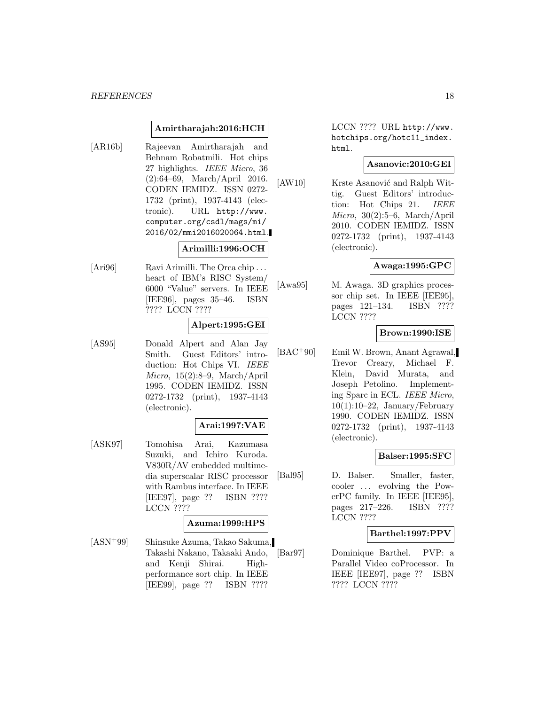#### **Amirtharajah:2016:HCH**

[AR16b] Rajeevan Amirtharajah and Behnam Robatmili. Hot chips 27 highlights. IEEE Micro, 36 (2):64–69, March/April 2016. CODEN IEMIDZ. ISSN 0272- 1732 (print), 1937-4143 (electronic). URL http://www. computer.org/csdl/mags/mi/ 2016/02/mmi2016020064.html.

# **Arimilli:1996:OCH**

[Ari96] Ravi Arimilli. The Orca chip ... heart of IBM's RISC System/ 6000 "Value" servers. In IEEE [IEE96], pages 35–46. ISBN ???? LCCN ????

#### **Alpert:1995:GEI**

[AS95] Donald Alpert and Alan Jay Smith. Guest Editors' introduction: Hot Chips VI. IEEE Micro, 15(2):8–9, March/April 1995. CODEN IEMIDZ. ISSN 0272-1732 (print), 1937-4143 (electronic).

# **Arai:1997:VAE**

[ASK97] Tomohisa Arai, Kazumasa Suzuki, and Ichiro Kuroda. V830R/AV embedded multimedia superscalar RISC processor with Rambus interface. In IEEE [IEE97], page ?? ISBN ???? LCCN ????

# **Azuma:1999:HPS**

[ASN<sup>+</sup>99] Shinsuke Azuma, Takao Sakuma, Takashi Nakano, Takaaki Ando, and Kenji Shirai. Highperformance sort chip. In IEEE [IEE99], page ?? ISBN ????

LCCN ???? URL http://www. hotchips.org/hotc11\_index. html.

#### **Asanovic:2010:GEI**

[AW10] Krste Asanović and Ralph Wittig. Guest Editors' introduction: Hot Chips 21. IEEE Micro, 30(2):5–6, March/April 2010. CODEN IEMIDZ. ISSN 0272-1732 (print), 1937-4143 (electronic).

# **Awaga:1995:GPC**

[Awa95] M. Awaga. 3D graphics processor chip set. In IEEE [IEE95], pages 121–134. ISBN ???? LCCN ????

#### **Brown:1990:ISE**

[BAC<sup>+</sup>90] Emil W. Brown, Anant Agrawal, Trevor Creary, Michael F. Klein, David Murata, and Joseph Petolino. Implementing Sparc in ECL. IEEE Micro,  $10(1):10-22$ , January/February 1990. CODEN IEMIDZ. ISSN 0272-1732 (print), 1937-4143 (electronic).

#### **Balser:1995:SFC**

[Bal95] D. Balser. Smaller, faster, cooler ... evolving the PowerPC family. In IEEE [IEE95], pages 217–226. ISBN ???? LCCN ????

#### **Barthel:1997:PPV**

[Bar97] Dominique Barthel. PVP: a Parallel Video coProcessor. In IEEE [IEE97], page ?? ISBN ???? LCCN ????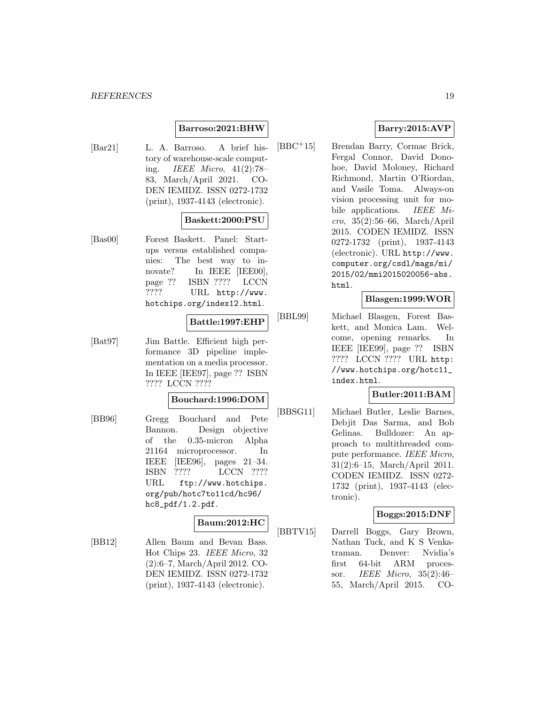### **Barroso:2021:BHW**

[Bar21] L. A. Barroso. A brief history of warehouse-scale computing. IEEE Micro, 41(2):78– 83, March/April 2021. CO-DEN IEMIDZ. ISSN 0272-1732 (print), 1937-4143 (electronic).

### **Baskett:2000:PSU**

[Bas00] Forest Baskett. Panel: Startups versus established companies: The best way to innovate? In IEEE [IEE00], page ?? ISBN ???? LCCN ???? URL http://www. hotchips.org/index12.html.

#### **Battle:1997:EHP**

[Bat97] Jim Battle. Efficient high performance 3D pipeline implementation on a media processor. In IEEE [IEE97], page ?? ISBN ???? LCCN ????

# **Bouchard:1996:DOM**

[BB96] Gregg Bouchard and Pete Bannon. Design objective of the 0.35-micron Alpha 21164 microprocessor. In IEEE [IEE96], pages 21–34. ISBN ???? LCCN ???? URL ftp://www.hotchips. org/pub/hotc7to11cd/hc96/ hc8\_pdf/1.2.pdf.

#### **Baum:2012:HC**

[BB12] Allen Baum and Bevan Bass. Hot Chips 23. IEEE Micro, 32 (2):6–7, March/April 2012. CO-DEN IEMIDZ. ISSN 0272-1732 (print), 1937-4143 (electronic).

# **Barry:2015:AVP**

[BBC<sup>+</sup>15] Brendan Barry, Cormac Brick, Fergal Connor, David Donohoe, David Moloney, Richard Richmond, Martin O'Riordan, and Vasile Toma. Always-on vision processing unit for mobile applications. IEEE Mi $cro, 35(2):56–66, March/April$ 2015. CODEN IEMIDZ. ISSN 0272-1732 (print), 1937-4143 (electronic). URL http://www. computer.org/csdl/mags/mi/ 2015/02/mmi2015020056-abs. html.

# **Blasgen:1999:WOR**

[BBL99] Michael Blasgen, Forest Baskett, and Monica Lam. Welcome, opening remarks. In IEEE [IEE99], page ?? ISBN ???? LCCN ???? URL http: //www.hotchips.org/hotc11\_ index.html.

# **Butler:2011:BAM**

[BBSG11] Michael Butler, Leslie Barnes, Debjit Das Sarma, and Bob Gelinas. Bulldozer: An approach to multithreaded compute performance. IEEE Micro, 31(2):6–15, March/April 2011. CODEN IEMIDZ. ISSN 0272- 1732 (print), 1937-4143 (electronic).

# **Boggs:2015:DNF**

[BBTV15] Darrell Boggs, Gary Brown, Nathan Tuck, and K S Venkatraman. Denver: Nvidia's first 64-bit ARM processor. IEEE Micro, 35(2):46– 55, March/April 2015. CO-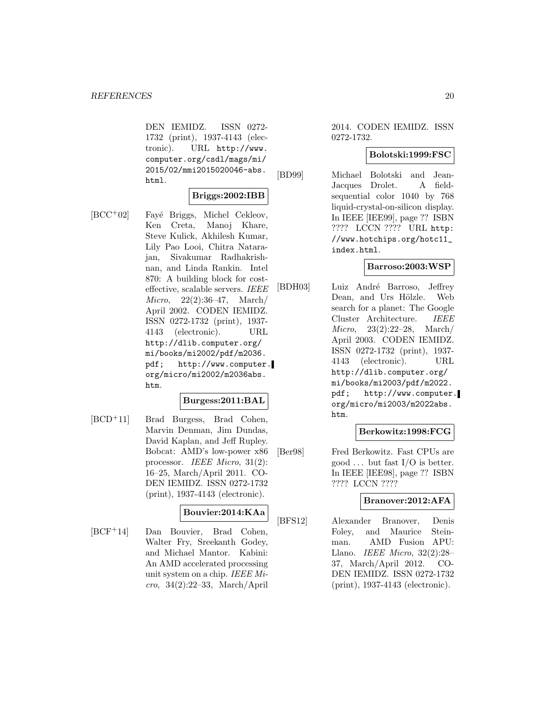DEN IEMIDZ. ISSN 0272- 1732 (print), 1937-4143 (electronic). URL http://www. computer.org/csdl/mags/mi/ 2015/02/mmi2015020046-abs. html.

# **Briggs:2002:IBB**

[BCC<sup>+</sup>02] Fayé Briggs, Michel Cekleov, Ken Creta, Manoj Khare, Steve Kulick, Akhilesh Kumar, Lily Pao Looi, Chitra Natarajan, Sivakumar Radhakrishnan, and Linda Rankin. Intel 870: A building block for costeffective, scalable servers. IEEE Micro, 22(2):36–47, March/ April 2002. CODEN IEMIDZ. ISSN 0272-1732 (print), 1937- 4143 (electronic). URL http://dlib.computer.org/ mi/books/mi2002/pdf/m2036. pdf; http://www.computer. org/micro/mi2002/m2036abs. htm.

#### **Burgess:2011:BAL**

[BCD<sup>+</sup>11] Brad Burgess, Brad Cohen, Marvin Denman, Jim Dundas, David Kaplan, and Jeff Rupley. Bobcat: AMD's low-power x86 processor. IEEE Micro, 31(2): 16–25, March/April 2011. CO-DEN IEMIDZ. ISSN 0272-1732 (print), 1937-4143 (electronic).

#### **Bouvier:2014:KAa**

[BCF<sup>+</sup>14] Dan Bouvier, Brad Cohen, Walter Fry, Sreekanth Godey, and Michael Mantor. Kabini: An AMD accelerated processing unit system on a chip. IEEE Micro, 34(2):22–33, March/April

2014. CODEN IEMIDZ. ISSN 0272-1732.

### **Bolotski:1999:FSC**

[BD99] Michael Bolotski and Jean-Jacques Drolet. A fieldsequential color 1040 by 768 liquid-crystal-on-silicon display. In IEEE [IEE99], page ?? ISBN ???? LCCN ???? URL http: //www.hotchips.org/hotc11\_ index.html.

#### **Barroso:2003:WSP**

[BDH03] Luiz André Barroso, Jeffrey Dean, and Urs Hölzle. Web search for a planet: The Google Cluster Architecture. IEEE Micro, 23(2):22–28, March/ April 2003. CODEN IEMIDZ. ISSN 0272-1732 (print), 1937- 4143 (electronic). URL http://dlib.computer.org/ mi/books/mi2003/pdf/m2022. pdf; http://www.computer. org/micro/mi2003/m2022abs. htm.

# **Berkowitz:1998:FCG**

[Ber98] Fred Berkowitz. Fast CPUs are good  $\ldots$  but fast I/O is better. In IEEE [IEE98], page ?? ISBN ???? LCCN ????

# **Branover:2012:AFA**

[BFS12] Alexander Branover, Denis Foley, and Maurice Steinman. AMD Fusion APU: Llano. IEEE Micro, 32(2):28– 37, March/April 2012. CO-DEN IEMIDZ. ISSN 0272-1732 (print), 1937-4143 (electronic).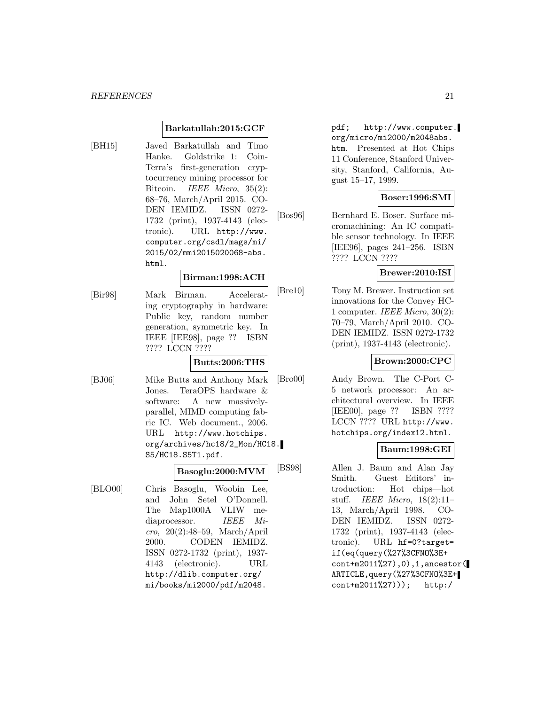# **Barkatullah:2015:GCF**

[BH15] Javed Barkatullah and Timo Hanke. Goldstrike 1: Coin-Terra's first-generation cryptocurrency mining processor for Bitcoin. IEEE Micro, 35(2): 68–76, March/April 2015. CO-DEN IEMIDZ. ISSN 0272- 1732 (print), 1937-4143 (electronic). URL http://www. computer.org/csdl/mags/mi/ 2015/02/mmi2015020068-abs. html.

### **Birman:1998:ACH**

[Bir98] Mark Birman. Accelerating cryptography in hardware: Public key, random number generation, symmetric key. In IEEE [IEE98], page ?? ISBN ???? LCCN ????

#### **Butts:2006:THS**

[BJ06] Mike Butts and Anthony Mark Jones. TeraOPS hardware & software: A new massivelyparallel, MIMD computing fabric IC. Web document., 2006. URL http://www.hotchips. org/archives/hc18/2\_Mon/HC18. S5/HC18.S5T1.pdf.

#### **Basoglu:2000:MVM**

[BLO00] Chris Basoglu, Woobin Lee, and John Setel O'Donnell. The Map1000A VLIW mediaprocessor. IEEE Micro, 20(2):48–59, March/April 2000. CODEN IEMIDZ. ISSN 0272-1732 (print), 1937- 4143 (electronic). URL http://dlib.computer.org/ mi/books/mi2000/pdf/m2048.

pdf; http://www.computer. org/micro/mi2000/m2048abs. htm. Presented at Hot Chips 11 Conference, Stanford University, Stanford, California, August 15–17, 1999.

#### **Boser:1996:SMI**

[Bos96] Bernhard E. Boser. Surface micromachining: An IC compatible sensor technology. In IEEE [IEE96], pages 241–256. ISBN ???? LCCN ????

#### **Brewer:2010:ISI**

[Bre10] Tony M. Brewer. Instruction set innovations for the Convey HC-1 computer. IEEE Micro,  $30(2)$ : 70–79, March/April 2010. CO-DEN IEMIDZ. ISSN 0272-1732 (print), 1937-4143 (electronic).

### **Brown:2000:CPC**

[Bro00] Andy Brown. The C-Port C-5 network processor: An architectural overview. In IEEE [IEE00], page ?? ISBN ???? LCCN ???? URL http://www. hotchips.org/index12.html.

# **Baum:1998:GEI**

[BS98] Allen J. Baum and Alan Jay Smith. Guest Editors' introduction: Hot chips—hot stuff. IEEE Micro,  $18(2):11-$ 13, March/April 1998. CO-DEN IEMIDZ. ISSN 0272- 1732 (print), 1937-4143 (electronic). URL hf=0?target= if(eq(query(%27%3CFNO%3E+ cont+m2011%27),0),1,ancestor( ARTICLE,query(%27%3CFNO%3E+ cont+m2011%27))); http:/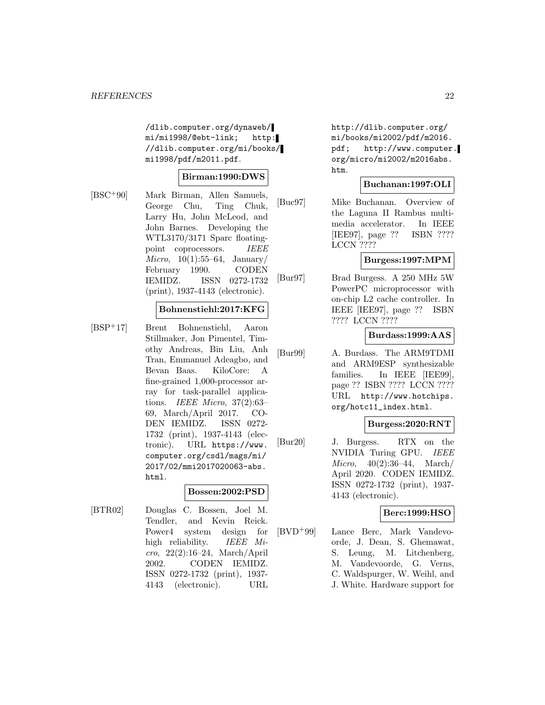/dlib.computer.org/dynaweb/ mi/mi1998/@ebt-link; http: //dlib.computer.org/mi/books/ mi1998/pdf/m2011.pdf.

# **Birman:1990:DWS**

[BSC<sup>+</sup>90] Mark Birman, Allen Samuels, George Chu, Ting Chuk, Larry Hu, John McLeod, and John Barnes. Developing the WTL3170/3171 Sparc floatingpoint coprocessors. IEEE *Micro*,  $10(1):55-64$ , January/ February 1990. CODEN IEMIDZ. ISSN 0272-1732 (print), 1937-4143 (electronic).

# **Bohnenstiehl:2017:KFG**

[BSP<sup>+</sup>17] Brent Bohnenstiehl, Aaron Stillmaker, Jon Pimentel, Timothy Andreas, Bin Liu, Anh Tran, Emmanuel Adeagbo, and Bevan Baas. KiloCore: A fine-grained 1,000-processor array for task-parallel applications. IEEE Micro, 37(2):63– 69, March/April 2017. CO-DEN IEMIDZ. ISSN 0272- 1732 (print), 1937-4143 (electronic). URL https://www. computer.org/csdl/mags/mi/ 2017/02/mmi2017020063-abs. html.

# **Bossen:2002:PSD**

[BTR02] Douglas C. Bossen, Joel M. Tendler, and Kevin Reick. Power4 system design for high reliability. IEEE Micro, 22(2):16–24, March/April 2002. CODEN IEMIDZ. ISSN 0272-1732 (print), 1937- 4143 (electronic). URL http://dlib.computer.org/ mi/books/mi2002/pdf/m2016. pdf; http://www.computer. org/micro/mi2002/m2016abs. htm.

#### **Buchanan:1997:OLI**

[Buc97] Mike Buchanan. Overview of the Laguna II Rambus multimedia accelerator. In IEEE [IEE97], page ?? ISBN ???? LCCN ????

#### **Burgess:1997:MPM**

[Bur97] Brad Burgess. A 250 MHz 5W PowerPC microprocessor with on-chip L2 cache controller. In IEEE [IEE97], page ?? ISBN ???? LCCN ????

# **Burdass:1999:AAS**

[Bur99] A. Burdass. The ARM9TDMI and ARM9ESP synthesizable families. In IEEE [IEE99], page ?? ISBN ???? LCCN ???? URL http://www.hotchips. org/hotc11\_index.html.

#### **Burgess:2020:RNT**

[Bur20] J. Burgess. RTX on the NVIDIA Turing GPU. IEEE Micro, 40(2):36–44, March/ April 2020. CODEN IEMIDZ. ISSN 0272-1732 (print), 1937- 4143 (electronic).

# **Berc:1999:HSO**

[BVD<sup>+</sup>99] Lance Berc, Mark Vandevoorde, J. Dean, S. Ghemawat, S. Leung, M. Litchenberg, M. Vandevoorde, G. Verns, C. Waldspurger, W. Weihl, and J. White. Hardware support for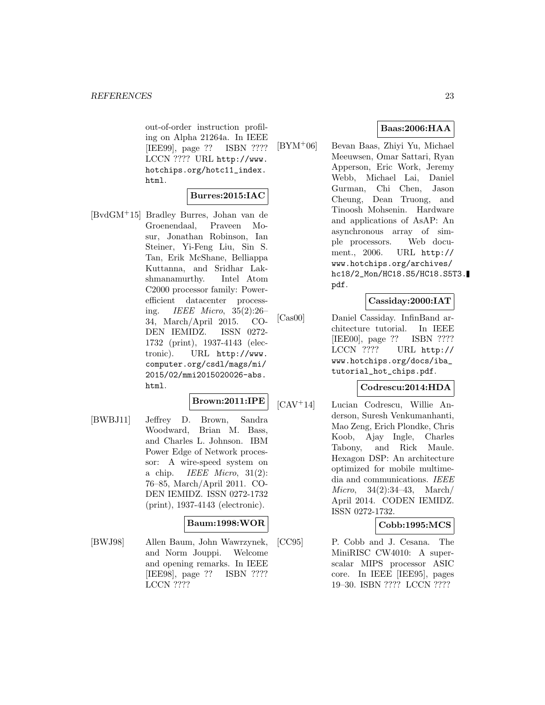out-of-order instruction profiling on Alpha 21264a. In IEEE [IEE99], page ?? ISBN ???? LCCN ???? URL http://www. hotchips.org/hotc11\_index. html.

# **Burres:2015:IAC**

[BvdGM<sup>+</sup>15] Bradley Burres, Johan van de Groenendaal, Praveen Mosur, Jonathan Robinson, Ian Steiner, Yi-Feng Liu, Sin S. Tan, Erik McShane, Belliappa Kuttanna, and Sridhar Lakshmanamurthy. Intel Atom C2000 processor family: Powerefficient datacenter processing. IEEE Micro, 35(2):26– 34, March/April 2015. CO-DEN IEMIDZ. ISSN 0272- 1732 (print), 1937-4143 (electronic). URL http://www. computer.org/csdl/mags/mi/ 2015/02/mmi2015020026-abs. html.

# **Brown:2011:IPE**

[BWBJ11] Jeffrey D. Brown, Sandra Woodward, Brian M. Bass, and Charles L. Johnson. IBM Power Edge of Network processor: A wire-speed system on a chip. *IEEE Micro*,  $31(2)$ : 76–85, March/April 2011. CO-DEN IEMIDZ. ISSN 0272-1732 (print), 1937-4143 (electronic).

#### **Baum:1998:WOR**

[BWJ98] Allen Baum, John Wawrzynek, and Norm Jouppi. Welcome and opening remarks. In IEEE [IEE98], page ?? ISBN ???? LCCN ????

# **Baas:2006:HAA**

[BYM<sup>+</sup>06] Bevan Baas, Zhiyi Yu, Michael Meeuwsen, Omar Sattari, Ryan Apperson, Eric Work, Jeremy Webb, Michael Lai, Daniel Gurman, Chi Chen, Jason Cheung, Dean Truong, and Tinoosh Mohsenin. Hardware and applications of AsAP: An asynchronous array of simple processors. Web document., 2006. URL http:// www.hotchips.org/archives/ hc18/2\_Mon/HC18.S5/HC18.S5T3. pdf.

#### **Cassiday:2000:IAT**

[Cas00] Daniel Cassiday. InfinBand architecture tutorial. In IEEE [IEE00], page ?? ISBN ???? LCCN ???? URL http:// www.hotchips.org/docs/iba\_ tutorial\_hot\_chips.pdf.

# **Codrescu:2014:HDA**

[CAV<sup>+</sup>14] Lucian Codrescu, Willie Anderson, Suresh Venkumanhanti, Mao Zeng, Erich Plondke, Chris Koob, Ajay Ingle, Charles Tabony, and Rick Maule. Hexagon DSP: An architecture optimized for mobile multimedia and communications. IEEE Micro, 34(2):34–43, March/ April 2014. CODEN IEMIDZ. ISSN 0272-1732.

#### **Cobb:1995:MCS**

[CC95] P. Cobb and J. Cesana. The MiniRISC CW4010: A superscalar MIPS processor ASIC core. In IEEE [IEE95], pages 19–30. ISBN ???? LCCN ????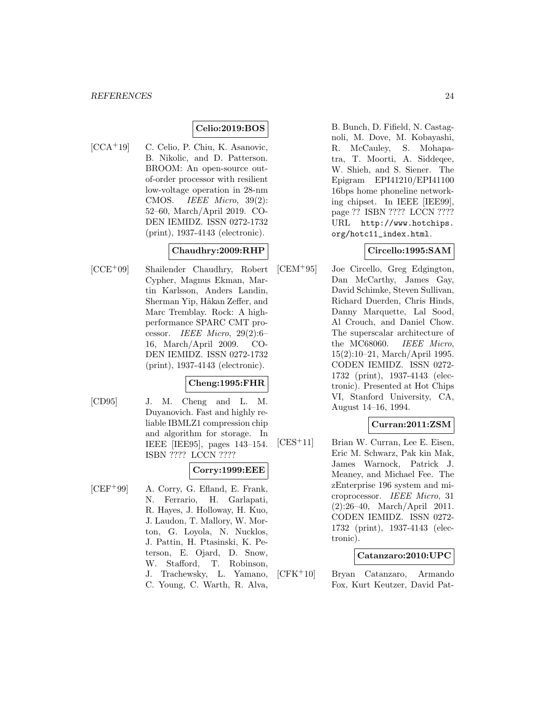#### **Celio:2019:BOS**

[CCA<sup>+</sup>19] C. Celio, P. Chiu, K. Asanovic, B. Nikolic, and D. Patterson. BROOM: An open-source outof-order processor with resilient low-voltage operation in 28-nm CMOS. IEEE Micro, 39(2): 52–60, March/April 2019. CO-DEN IEMIDZ. ISSN 0272-1732 (print), 1937-4143 (electronic).

# **Chaudhry:2009:RHP**

[CCE<sup>+</sup>09] Shailender Chaudhry, Robert Cypher, Magnus Ekman, Martin Karlsson, Anders Landin, Sherman Yip, Håkan Zeffer, and Marc Tremblay. Rock: A highperformance SPARC CMT processor. IEEE Micro,  $29(2):6$ 16, March/April 2009. CO-DEN IEMIDZ. ISSN 0272-1732 (print), 1937-4143 (electronic).

#### **Cheng:1995:FHR**

[CD95] J. M. Cheng and L. M. Duyanovich. Fast and highly reliable IBMLZ1 compression chip and algorithm for storage. In IEEE [IEE95], pages 143–154. ISBN ???? LCCN ????

# **Corry:1999:EEE**

[CEF<sup>+</sup>99] A. Corry, G. Efland, E. Frank, N. Ferrario, H. Garlapati, R. Hayes, J. Holloway, H. Kuo, J. Laudon, T. Mallory, W. Morton, G. Loyola, N. Nucklos, J. Pattin, H. Ptasinski, K. Peterson, E. Ojard, D. Snow, W. Stafford, T. Robinson, J. Trachewsky, L. Yamano, C. Young, C. Warth, R. Alva,

B. Bunch, D. Fifield, N. Castagnoli, M. Dove, M. Kobayashi, R. McCauley, S. Mohapatra, T. Moorti, A. Siddeqee, W. Shieh, and S. Siener. The Epigram EPI41210/EPI41100 16bps home phoneline networking chipset. In IEEE [IEE99], page ?? ISBN ???? LCCN ???? URL http://www.hotchips. org/hotc11\_index.html.

#### **Circello:1995:SAM**

[CEM<sup>+</sup>95] Joe Circello, Greg Edgington, Dan McCarthy, James Gay, David Schimke, Steven Sullivan, Richard Duerden, Chris Hinds, Danny Marquette, Lal Sood, Al Crouch, and Daniel Chow. The superscalar architecture of the MC68060. IEEE Micro, 15(2):10–21, March/April 1995. CODEN IEMIDZ. ISSN 0272- 1732 (print), 1937-4143 (electronic). Presented at Hot Chips VI, Stanford University, CA, August 14–16, 1994.

# **Curran:2011:ZSM**

[CES<sup>+</sup>11] Brian W. Curran, Lee E. Eisen, Eric M. Schwarz, Pak kin Mak, James Warnock, Patrick J. Meaney, and Michael Fee. The zEnterprise 196 system and microprocessor. IEEE Micro, 31 (2):26–40, March/April 2011. CODEN IEMIDZ. ISSN 0272- 1732 (print), 1937-4143 (electronic).

# **Catanzaro:2010:UPC**

[CFK<sup>+</sup>10] Bryan Catanzaro, Armando Fox, Kurt Keutzer, David Pat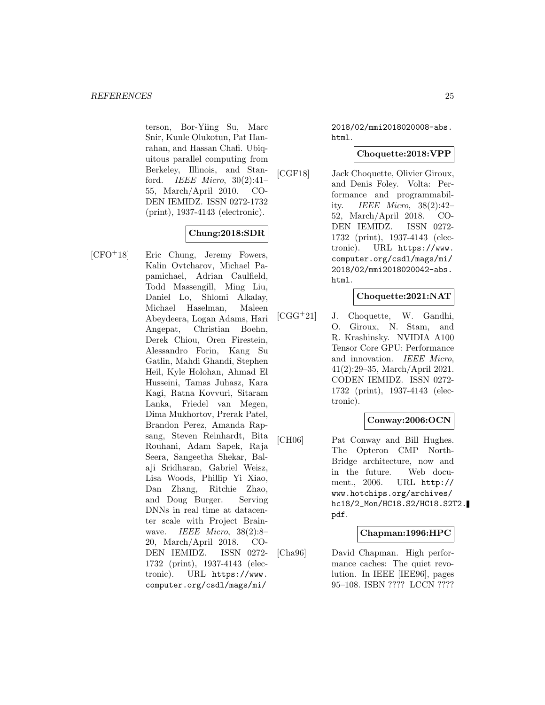terson, Bor-Yiing Su, Marc Snir, Kunle Olukotun, Pat Hanrahan, and Hassan Chafi. Ubiquitous parallel computing from Berkeley, Illinois, and Stanford. IEEE Micro, 30(2):41– 55, March/April 2010. CO-DEN IEMIDZ. ISSN 0272-1732 (print), 1937-4143 (electronic).

# **Chung:2018:SDR**

[CFO<sup>+</sup>18] Eric Chung, Jeremy Fowers, Kalin Ovtcharov, Michael Papamichael, Adrian Caulfield, Todd Massengill, Ming Liu, Daniel Lo, Shlomi Alkalay, Michael Haselman, Maleen Abeydeera, Logan Adams, Hari Angepat, Christian Boehn, Derek Chiou, Oren Firestein, Alessandro Forin, Kang Su Gatlin, Mahdi Ghandi, Stephen Heil, Kyle Holohan, Ahmad El Husseini, Tamas Juhasz, Kara Kagi, Ratna Kovvuri, Sitaram Lanka, Friedel van Megen, Dima Mukhortov, Prerak Patel, Brandon Perez, Amanda Rapsang, Steven Reinhardt, Bita Rouhani, Adam Sapek, Raja Seera, Sangeetha Shekar, Balaji Sridharan, Gabriel Weisz, Lisa Woods, Phillip Yi Xiao, Dan Zhang, Ritchie Zhao, and Doug Burger. Serving DNNs in real time at datacenter scale with Project Brainwave. IEEE Micro,  $38(2):8$ 20, March/April 2018. CO-DEN IEMIDZ. ISSN 0272- 1732 (print), 1937-4143 (electronic). URL https://www. computer.org/csdl/mags/mi/

2018/02/mmi2018020008-abs. html.

### **Choquette:2018:VPP**

[CGF18] Jack Choquette, Olivier Giroux, and Denis Foley. Volta: Performance and programmability. IEEE Micro, 38(2):42– 52, March/April 2018. CO-DEN IEMIDZ. ISSN 0272- 1732 (print), 1937-4143 (electronic). URL https://www. computer.org/csdl/mags/mi/ 2018/02/mmi2018020042-abs. html.

# **Choquette:2021:NAT**

[CGG<sup>+</sup>21] J. Choquette, W. Gandhi, O. Giroux, N. Stam, and R. Krashinsky. NVIDIA A100 Tensor Core GPU: Performance and innovation. IEEE Micro, 41(2):29–35, March/April 2021. CODEN IEMIDZ. ISSN 0272- 1732 (print), 1937-4143 (electronic).

### **Conway:2006:OCN**

[CH06] Pat Conway and Bill Hughes. The Opteron CMP North-Bridge architecture, now and in the future. Web document., 2006. URL http:// www.hotchips.org/archives/ hc18/2\_Mon/HC18.S2/HC18.S2T2. pdf.

# **Chapman:1996:HPC**

[Cha96] David Chapman. High performance caches: The quiet revolution. In IEEE [IEE96], pages 95–108. ISBN ???? LCCN ????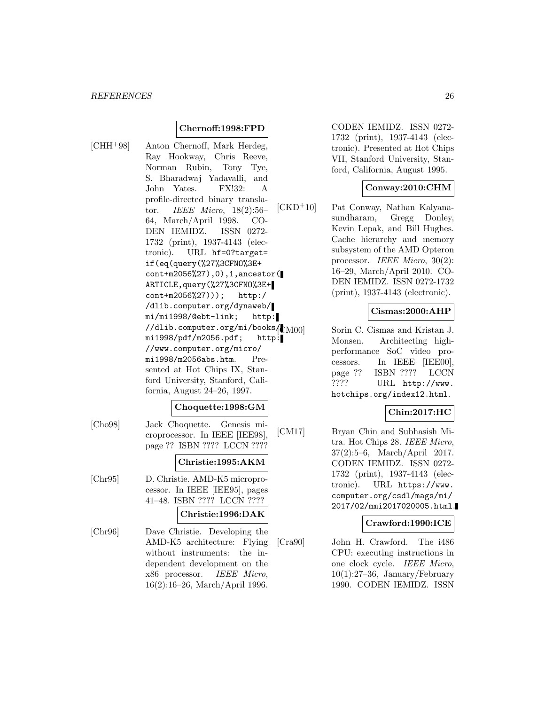# **Chernoff:1998:FPD**

[CHH<sup>+</sup>98] Anton Chernoff, Mark Herdeg, Ray Hookway, Chris Reeve, Norman Rubin, Tony Tye, S. Bharadwaj Yadavalli, and John Yates. FX!32: A profile-directed binary translator. IEEE Micro, 18(2):56– 64, March/April 1998. CO-DEN IEMIDZ. ISSN 0272- 1732 (print), 1937-4143 (electronic). URL hf=0?target= if(eq(query(%27%3CFNO%3E+ cont+m2056%27),0),1,ancestor( ARTICLE,query(%27%3CFNO%3E+ cont+m2056%27))); http:/ /dlib.computer.org/dynaweb/ mi/mi1998/@ebt-link; http: //dlib.computer.org/mi/books/ mi1998/pdf/m2056.pdf; http: //www.computer.org/micro/  $mi1998/m2056abs.html$ . Presented at Hot Chips IX, Stanford University, Stanford, California, August 24–26, 1997.

#### **Choquette:1998:GM**

[Cho98] Jack Choquette. Genesis microprocessor. In IEEE [IEE98], page ?? ISBN ???? LCCN ????

#### **Christie:1995:AKM**

[Chr95] D. Christie. AMD-K5 microprocessor. In IEEE [IEE95], pages 41–48. ISBN ???? LCCN ????

#### **Christie:1996:DAK**

[Chr96] Dave Christie. Developing the AMD-K5 architecture: Flying without instruments: the independent development on the x86 processor. IEEE Micro, 16(2):16–26, March/April 1996.

CODEN IEMIDZ. ISSN 0272- 1732 (print), 1937-4143 (electronic). Presented at Hot Chips VII, Stanford University, Stanford, California, August 1995.

#### **Conway:2010:CHM**

[CKD<sup>+</sup>10] Pat Conway, Nathan Kalyanasundharam, Gregg Donley, Kevin Lepak, and Bill Hughes. Cache hierarchy and memory subsystem of the AMD Opteron processor. IEEE Micro, 30(2): 16–29, March/April 2010. CO-DEN IEMIDZ. ISSN 0272-1732 (print), 1937-4143 (electronic).

# **Cismas:2000:AHP**

[CM00] Sorin C. Cismas and Kristan J. Monsen. Architecting highperformance SoC video processors. In IEEE [IEE00], page ?? ISBN ???? LCCN ???? URL http://www. hotchips.org/index12.html.

# **Chin:2017:HC**

[CM17] Bryan Chin and Subhasish Mitra. Hot Chips 28. IEEE Micro, 37(2):5–6, March/April 2017. CODEN IEMIDZ. ISSN 0272- 1732 (print), 1937-4143 (electronic). URL https://www. computer.org/csdl/mags/mi/ 2017/02/mmi2017020005.html.

#### **Crawford:1990:ICE**

[Cra90] John H. Crawford. The i486 CPU: executing instructions in one clock cycle. IEEE Micro,  $10(1):27-36$ , January/February 1990. CODEN IEMIDZ. ISSN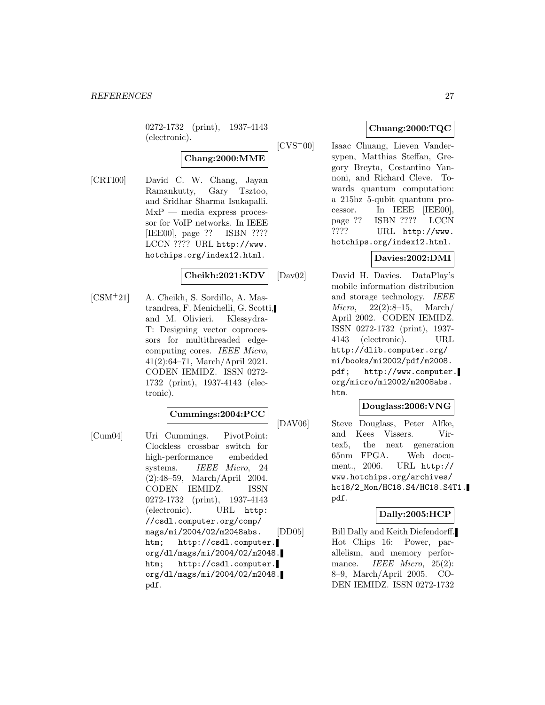0272-1732 (print), 1937-4143 (electronic).

# **Chang:2000:MME**

[CRTI00] David C. W. Chang, Jayan Ramankutty, Gary Tsztoo, and Sridhar Sharma Isukapalli.  $MxP$  — media express processor for VoIP networks. In IEEE [IEE00], page ?? ISBN ???? LCCN ???? URL http://www. hotchips.org/index12.html.

# **Cheikh:2021:KDV**

[CSM<sup>+</sup>21] A. Cheikh, S. Sordillo, A. Mastrandrea, F. Menichelli, G. Scotti, and M. Olivieri. Klessydra-T: Designing vector coprocessors for multithreaded edgecomputing cores. IEEE Micro, 41(2):64–71, March/April 2021. CODEN IEMIDZ. ISSN 0272- 1732 (print), 1937-4143 (electronic).

# **Cummings:2004:PCC**

[Cum04] Uri Cummings. PivotPoint: Clockless crossbar switch for high-performance embedded systems. *IEEE Micro*, 24 (2):48–59, March/April 2004. CODEN IEMIDZ. ISSN 0272-1732 (print), 1937-4143 (electronic). URL http: //csdl.computer.org/comp/ mags/mi/2004/02/m2048abs. htm; http://csdl.computer. org/dl/mags/mi/2004/02/m2048. htm; http://csdl.computer. org/dl/mags/mi/2004/02/m2048. pdf.

# **Chuang:2000:TQC**

[CVS<sup>+</sup>00] Isaac Chuang, Lieven Vandersypen, Matthias Steffan, Gregory Breyta, Costantino Yannoni, and Richard Cleve. Towards quantum computation: a 215hz 5-qubit quantum processor. In IEEE [IEE00], page ?? ISBN ???? LCCN ???? URL http://www. hotchips.org/index12.html.

# **Davies:2002:DMI**

[Dav02] David H. Davies. DataPlay's mobile information distribution and storage technology. IEEE Micro, 22(2):8–15, March/ April 2002. CODEN IEMIDZ. ISSN 0272-1732 (print), 1937- 4143 (electronic). URL http://dlib.computer.org/ mi/books/mi2002/pdf/m2008. pdf; http://www.computer. org/micro/mi2002/m2008abs. htm.

#### **Douglass:2006:VNG**

[DAV06] Steve Douglass, Peter Alfke, and Kees Vissers. Virtex5, the next generation 65nm FPGA. Web document., 2006. URL http:// www.hotchips.org/archives/ hc18/2\_Mon/HC18.S4/HC18.S4T1. pdf.

# **Dally:2005:HCP**

[DD05] Bill Dally and Keith Diefendorff. Hot Chips 16: Power, parallelism, and memory performance. IEEE Micro, 25(2): 8–9, March/April 2005. CO-DEN IEMIDZ. ISSN 0272-1732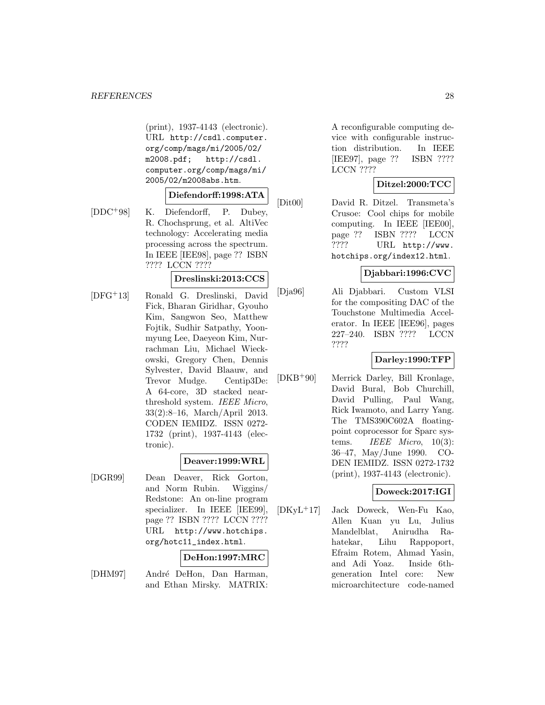(print), 1937-4143 (electronic). URL http://csdl.computer. org/comp/mags/mi/2005/02/ m2008.pdf; http://csdl. computer.org/comp/mags/mi/ 2005/02/m2008abs.htm.

# **Diefendorff:1998:ATA**

[DDC<sup>+</sup>98] K. Diefendorff, P. Dubey, R. Chochsprung, et al. AltiVec technology: Accelerating media processing across the spectrum. In IEEE [IEE98], page ?? ISBN ???? LCCN ????

# **Dreslinski:2013:CCS**

[DFG<sup>+</sup>13] Ronald G. Dreslinski, David Fick, Bharan Giridhar, Gyouho Kim, Sangwon Seo, Matthew Fojtik, Sudhir Satpathy, Yoonmyung Lee, Daeyeon Kim, Nurrachman Liu, Michael Wieckowski, Gregory Chen, Dennis Sylvester, David Blaauw, and Trevor Mudge. Centip3De: A 64-core, 3D stacked nearthreshold system. IEEE Micro, 33(2):8–16, March/April 2013. CODEN IEMIDZ. ISSN 0272- 1732 (print), 1937-4143 (electronic).

#### **Deaver:1999:WRL**

[DGR99] Dean Deaver, Rick Gorton, and Norm Rubin. Wiggins/ Redstone: An on-line program specializer. In IEEE [IEE99], page ?? ISBN ???? LCCN ???? URL http://www.hotchips. org/hotc11\_index.html.

#### **DeHon:1997:MRC**

[DHM97] André DeHon, Dan Harman, and Ethan Mirsky. MATRIX: A reconfigurable computing device with configurable instruction distribution. In IEEE [IEE97], page ?? ISBN ???? LCCN ????

# **Ditzel:2000:TCC**

[Dit00] David R. Ditzel. Transmeta's Crusoe: Cool chips for mobile computing. In IEEE [IEE00], page ?? ISBN ???? LCCN ???? URL http://www. hotchips.org/index12.html.

# **Djabbari:1996:CVC**

[Dja96] Ali Djabbari. Custom VLSI for the compositing DAC of the Touchstone Multimedia Accelerator. In IEEE [IEE96], pages 227–240. ISBN ???? LCCN ????

#### **Darley:1990:TFP**

[DKB<sup>+</sup>90] Merrick Darley, Bill Kronlage, David Bural, Bob Churchill, David Pulling, Paul Wang, Rick Iwamoto, and Larry Yang. The TMS390C602A floatingpoint coprocessor for Sparc systems. *IEEE Micro*,  $10(3)$ : 36–47, May/June 1990. CO-DEN IEMIDZ. ISSN 0272-1732 (print), 1937-4143 (electronic).

#### **Doweck:2017:IGI**

[DKyL<sup>+</sup>17] Jack Doweck, Wen-Fu Kao, Allen Kuan yu Lu, Julius Mandelblat, Anirudha Rahatekar, Lihu Rappoport, Efraim Rotem, Ahmad Yasin, and Adi Yoaz. Inside 6thgeneration Intel core: New microarchitecture code-named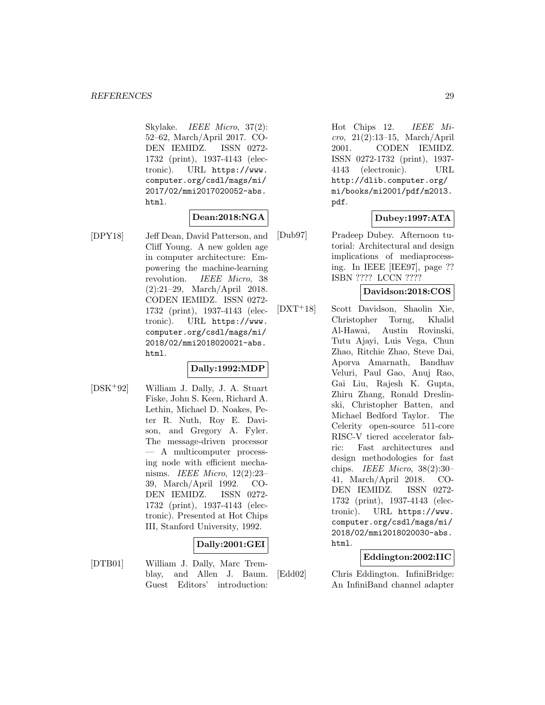Skylake. IEEE Micro, 37(2): 52–62, March/April 2017. CO-DEN IEMIDZ. ISSN 0272- 1732 (print), 1937-4143 (electronic). URL https://www. computer.org/csdl/mags/mi/ 2017/02/mmi2017020052-abs. html.

# **Dean:2018:NGA**

[DPY18] Jeff Dean, David Patterson, and Cliff Young. A new golden age in computer architecture: Empowering the machine-learning revolution. IEEE Micro, 38 (2):21–29, March/April 2018. CODEN IEMIDZ. ISSN 0272- 1732 (print), 1937-4143 (electronic). URL https://www. computer.org/csdl/mags/mi/ 2018/02/mmi2018020021-abs. html.

# **Dally:1992:MDP**

[DSK<sup>+</sup>92] William J. Dally, J. A. Stuart Fiske, John S. Keen, Richard A. Lethin, Michael D. Noakes, Peter R. Nuth, Roy E. Davison, and Gregory A. Fyler. The message-driven processor — A multicomputer processing node with efficient mechanisms. IEEE Micro, 12(2):23– 39, March/April 1992. CO-DEN IEMIDZ. ISSN 0272- 1732 (print), 1937-4143 (electronic). Presented at Hot Chips III, Stanford University, 1992.

# **Dally:2001:GEI**

[DTB01] William J. Dally, Marc Tremblay, and Allen J. Baum. Guest Editors' introduction:

Hot Chips 12. IEEE Micro, 21(2):13–15, March/April 2001. CODEN IEMIDZ. ISSN 0272-1732 (print), 1937- 4143 (electronic). URL http://dlib.computer.org/ mi/books/mi2001/pdf/m2013. pdf.

# **Dubey:1997:ATA**

[Dub97] Pradeep Dubey. Afternoon tutorial: Architectural and design implications of mediaprocessing. In IEEE [IEE97], page ?? ISBN ???? LCCN ????

# **Davidson:2018:COS**

[DXT<sup>+</sup>18] Scott Davidson, Shaolin Xie, Christopher Torng, Khalid Al-Hawai, Austin Rovinski, Tutu Ajayi, Luis Vega, Chun Zhao, Ritchie Zhao, Steve Dai, Aporva Amarnath, Bandhav Veluri, Paul Gao, Anuj Rao, Gai Liu, Rajesh K. Gupta, Zhiru Zhang, Ronald Dreslinski, Christopher Batten, and Michael Bedford Taylor. The Celerity open-source 511-core RISC-V tiered accelerator fabric: Fast architectures and design methodologies for fast chips. IEEE Micro,  $38(2):30-$ 41, March/April 2018. CO-DEN IEMIDZ. ISSN 0272- 1732 (print), 1937-4143 (electronic). URL https://www. computer.org/csdl/mags/mi/ 2018/02/mmi2018020030-abs. html.

# **Eddington:2002:IIC**

[Edd02] Chris Eddington. InfiniBridge: An InfiniBand channel adapter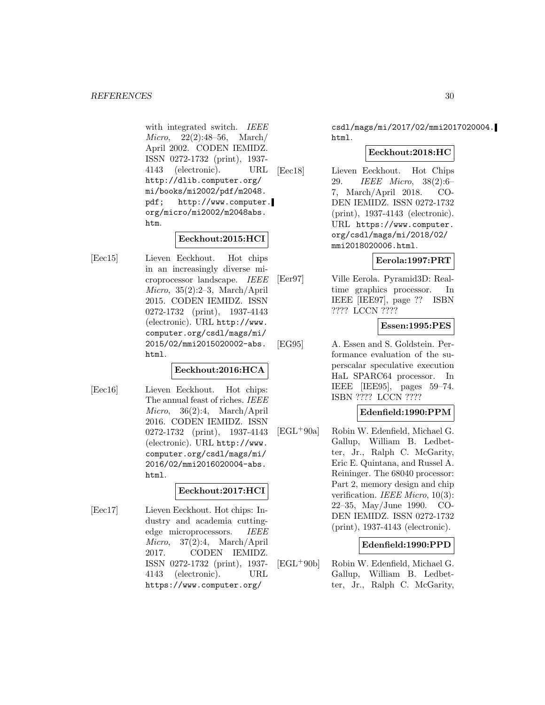with integrated switch. IEEE Micro, 22(2):48–56, March/ April 2002. CODEN IEMIDZ. ISSN 0272-1732 (print), 1937- 4143 (electronic). URL http://dlib.computer.org/ mi/books/mi2002/pdf/m2048. pdf; http://www.computer. org/micro/mi2002/m2048abs. htm.

# **Eeckhout:2015:HCI**

[Eec15] Lieven Eeckhout. Hot chips in an increasingly diverse microprocessor landscape. IEEE Micro, 35(2):2–3, March/April 2015. CODEN IEMIDZ. ISSN 0272-1732 (print), 1937-4143 (electronic). URL http://www. computer.org/csdl/mags/mi/ 2015/02/mmi2015020002-abs. html.

### **Eeckhout:2016:HCA**

[Eec16] Lieven Eeckhout. Hot chips: The annual feast of riches. IEEE Micro, 36(2):4, March/April 2016. CODEN IEMIDZ. ISSN 0272-1732 (print), 1937-4143 (electronic). URL http://www. computer.org/csdl/mags/mi/ 2016/02/mmi2016020004-abs. html.

# **Eeckhout:2017:HCI**

[Eec17] Lieven Eeckhout. Hot chips: Industry and academia cuttingedge microprocessors. IEEE Micro, 37(2):4, March/April 2017. CODEN IEMIDZ. ISSN 0272-1732 (print), 1937- 4143 (electronic). URL https://www.computer.org/

csdl/mags/mi/2017/02/mmi2017020004. html.

# **Eeckhout:2018:HC**

[Eec18] Lieven Eeckhout. Hot Chips 29. IEEE Micro, 38(2):6– 7, March/April 2018. CO-DEN IEMIDZ. ISSN 0272-1732 (print), 1937-4143 (electronic). URL https://www.computer. org/csdl/mags/mi/2018/02/ mmi2018020006.html.

# **Eerola:1997:PRT**

[Eer97] Ville Eerola. Pyramid3D: Realtime graphics processor. In IEEE [IEE97], page ?? ISBN ???? LCCN ????

# **Essen:1995:PES**

[EG95] A. Essen and S. Goldstein. Performance evaluation of the superscalar speculative execution HaL SPARC64 processor. In IEEE [IEE95], pages 59–74. ISBN ???? LCCN ????

# **Edenfield:1990:PPM**

[EGL<sup>+</sup>90a] Robin W. Edenfield, Michael G. Gallup, William B. Ledbetter, Jr., Ralph C. McGarity, Eric E. Quintana, and Russel A. Reininger. The 68040 processor: Part 2, memory design and chip verification. IEEE Micro, 10(3): 22–35, May/June 1990. CO-DEN IEMIDZ. ISSN 0272-1732 (print), 1937-4143 (electronic).

# **Edenfield:1990:PPD**

[EGL<sup>+</sup>90b] Robin W. Edenfield, Michael G. Gallup, William B. Ledbetter, Jr., Ralph C. McGarity,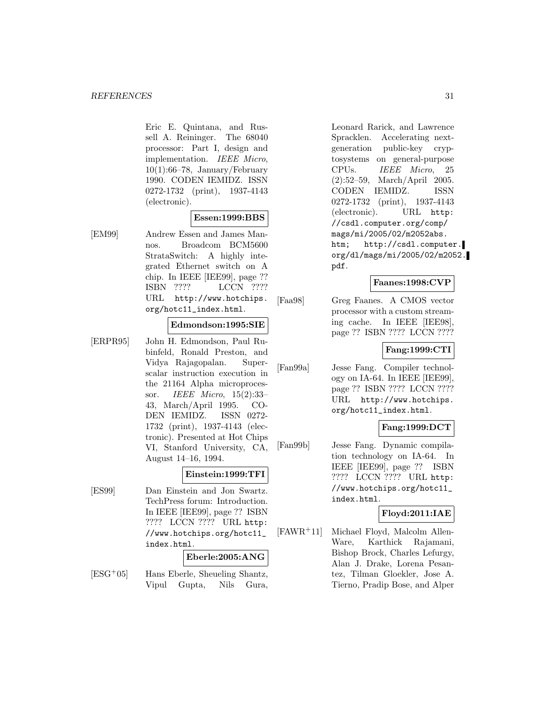Eric E. Quintana, and Russell A. Reininger. The 68040 processor: Part I, design and implementation. IEEE Micro,  $10(1):66-78$ , January/February 1990. CODEN IEMIDZ. ISSN 0272-1732 (print), 1937-4143 (electronic).

# **Essen:1999:BBS**

[EM99] Andrew Essen and James Mannos. Broadcom BCM5600 StrataSwitch: A highly integrated Ethernet switch on A chip. In IEEE [IEE99], page ?? ISBN ???? LCCN ???? URL http://www.hotchips. org/hotc11\_index.html.

### **Edmondson:1995:SIE**

[ERPR95] John H. Edmondson, Paul Rubinfeld, Ronald Preston, and Vidya Rajagopalan. Superscalar instruction execution in the 21164 Alpha microprocessor. IEEE Micro, 15(2):33– 43, March/April 1995. CO-DEN IEMIDZ. ISSN 0272- 1732 (print), 1937-4143 (electronic). Presented at Hot Chips VI, Stanford University, CA, August 14–16, 1994.

#### **Einstein:1999:TFI**

[ES99] Dan Einstein and Jon Swartz. TechPress forum: Introduction. In IEEE [IEE99], page ?? ISBN ???? LCCN ???? URL http: //www.hotchips.org/hotc11\_ index.html.

### **Eberle:2005:ANG**

[ESG<sup>+</sup>05] Hans Eberle, Sheueling Shantz, Vipul Gupta, Nils Gura,

Leonard Rarick, and Lawrence Spracklen. Accelerating nextgeneration public-key cryptosystems on general-purpose CPUs. IEEE Micro, 25 (2):52–59, March/April 2005. CODEN IEMIDZ. ISSN 0272-1732 (print), 1937-4143 (electronic). URL http: //csdl.computer.org/comp/ mags/mi/2005/02/m2052abs. htm; http://csdl.computer. org/dl/mags/mi/2005/02/m2052. pdf.

# **Faanes:1998:CVP**

[Faa98] Greg Faanes. A CMOS vector processor with a custom streaming cache. In IEEE [IEE98], page ?? ISBN ???? LCCN ????

#### **Fang:1999:CTI**

[Fan99a] Jesse Fang. Compiler technology on IA-64. In IEEE [IEE99], page ?? ISBN ???? LCCN ???? URL http://www.hotchips. org/hotc11\_index.html.

### **Fang:1999:DCT**

[Fan99b] Jesse Fang. Dynamic compilation technology on IA-64. In IEEE [IEE99], page ?? ISBN ???? LCCN ???? URL http: //www.hotchips.org/hotc11\_ index.html.

# **Floyd:2011:IAE**

[FAWR<sup>+</sup>11] Michael Floyd, Malcolm Allen-Ware, Karthick Rajamani, Bishop Brock, Charles Lefurgy, Alan J. Drake, Lorena Pesantez, Tilman Gloekler, Jose A. Tierno, Pradip Bose, and Alper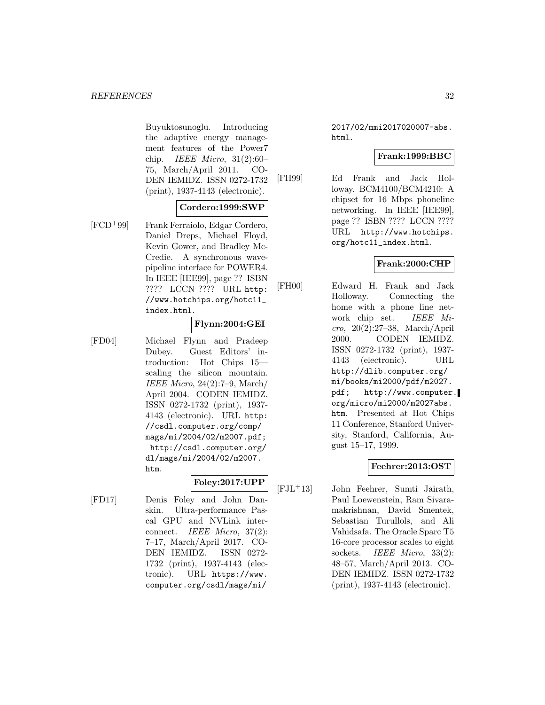Buyuktosunoglu. Introducing the adaptive energy management features of the Power7 chip. IEEE Micro, 31(2):60– 75, March/April 2011. CO-DEN IEMIDZ. ISSN 0272-1732 (print), 1937-4143 (electronic).

### **Cordero:1999:SWP**

[FCD<sup>+</sup>99] Frank Ferraiolo, Edgar Cordero, Daniel Dreps, Michael Floyd, Kevin Gower, and Bradley Mc-Credie. A synchronous wavepipeline interface for POWER4. In IEEE [IEE99], page ?? ISBN ???? LCCN ???? URL http: //www.hotchips.org/hotc11\_ index.html.

#### **Flynn:2004:GEI**

[FD04] Michael Flynn and Pradeep Dubey. Guest Editors' introduction: Hot Chips 15 scaling the silicon mountain. IEEE Micro, 24(2):7–9, March/ April 2004. CODEN IEMIDZ. ISSN 0272-1732 (print), 1937- 4143 (electronic). URL http: //csdl.computer.org/comp/ mags/mi/2004/02/m2007.pdf; http://csdl.computer.org/ dl/mags/mi/2004/02/m2007. htm.

# **Foley:2017:UPP**

[FD17] Denis Foley and John Danskin. Ultra-performance Pascal GPU and NVLink interconnect. IEEE Micro, 37(2): 7–17, March/April 2017. CO-DEN IEMIDZ. ISSN 0272- 1732 (print), 1937-4143 (electronic). URL https://www. computer.org/csdl/mags/mi/

2017/02/mmi2017020007-abs. html.

### **Frank:1999:BBC**

[FH99] Ed Frank and Jack Holloway. BCM4100/BCM4210: A chipset for 16 Mbps phoneline networking. In IEEE [IEE99], page ?? ISBN ???? LCCN ???? URL http://www.hotchips. org/hotc11\_index.html.

#### **Frank:2000:CHP**

[FH00] Edward H. Frank and Jack Holloway. Connecting the home with a phone line network chip set. IEEE Micro, 20(2):27–38, March/April 2000. CODEN IEMIDZ. ISSN 0272-1732 (print), 1937- 4143 (electronic). URL http://dlib.computer.org/ mi/books/mi2000/pdf/m2027. pdf; http://www.computer. org/micro/mi2000/m2027abs. htm. Presented at Hot Chips 11 Conference, Stanford University, Stanford, California, August 15–17, 1999.

# **Feehrer:2013:OST**

[FJL<sup>+</sup>13] John Feehrer, Sumti Jairath, Paul Loewenstein, Ram Sivaramakrishnan, David Smentek, Sebastian Turullols, and Ali Vahidsafa. The Oracle Sparc T5 16-core processor scales to eight sockets. IEEE Micro, 33(2): 48–57, March/April 2013. CO-DEN IEMIDZ. ISSN 0272-1732 (print), 1937-4143 (electronic).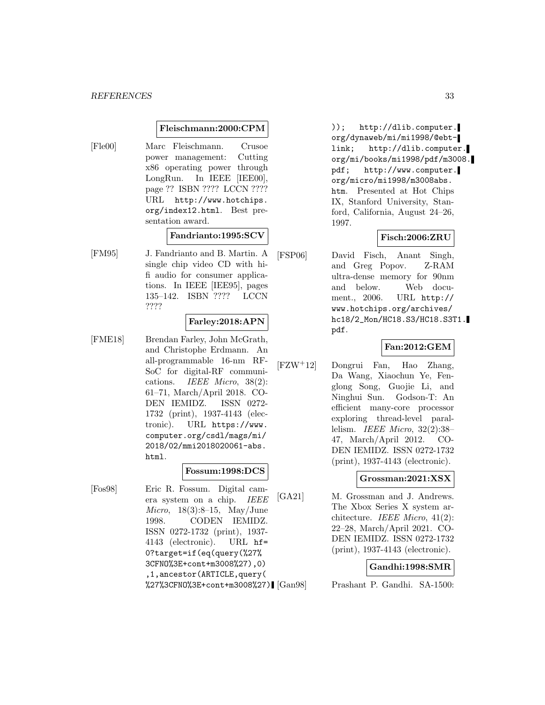#### **Fleischmann:2000:CPM**

[Fle00] Marc Fleischmann. Crusoe power management: Cutting x86 operating power through LongRun. In IEEE [IEE00], page ?? ISBN ???? LCCN ???? URL http://www.hotchips. org/index12.html. Best presentation award.

### **Fandrianto:1995:SCV**

[FM95] J. Fandrianto and B. Martin. A single chip video CD with hifi audio for consumer applications. In IEEE [IEE95], pages 135–142. ISBN ???? LCCN ????

#### **Farley:2018:APN**

[FME18] Brendan Farley, John McGrath, and Christophe Erdmann. An all-programmable 16-nm RF-SoC for digital-RF communications. IEEE Micro, 38(2): 61–71, March/April 2018. CO-DEN IEMIDZ. ISSN 0272- 1732 (print), 1937-4143 (electronic). URL https://www. computer.org/csdl/mags/mi/ 2018/02/mmi2018020061-abs. html.

#### **Fossum:1998:DCS**

[Fos98] Eric R. Fossum. Digital camera system on a chip. IEEE *Micro*, 18(3):8–15, May/June 1998. CODEN IEMIDZ. ISSN 0272-1732 (print), 1937- 4143 (electronic). URL hf= 0?target=if(eq(query(%27% 3CFNO%3E+cont+m3008%27),0) ,1,ancestor(ARTICLE,query(  $\frac{\%27\%3CFN0\%3E+cont+m3008\%27}{\text{Gan}98}$ 

)); http://dlib.computer. org/dynaweb/mi/mi1998/@ebtlink; http://dlib.computer. org/mi/books/mi1998/pdf/m3008. pdf; http://www.computer. org/micro/mi1998/m3008abs. htm. Presented at Hot Chips IX, Stanford University, Stanford, California, August 24–26, 1997.

### **Fisch:2006:ZRU**

[FSP06] David Fisch, Anant Singh, and Greg Popov. Z-RAM ultra-dense memory for 90nm and below. Web document., 2006. URL http:// www.hotchips.org/archives/ hc18/2\_Mon/HC18.S3/HC18.S3T1. pdf.

#### **Fan:2012:GEM**

[FZW<sup>+</sup>12] Dongrui Fan, Hao Zhang, Da Wang, Xiaochun Ye, Fenglong Song, Guojie Li, and Ninghui Sun. Godson-T: An efficient many-core processor exploring thread-level parallelism. IEEE Micro, 32(2):38– 47, March/April 2012. CO-DEN IEMIDZ. ISSN 0272-1732 (print), 1937-4143 (electronic).

#### **Grossman:2021:XSX**

[GA21] M. Grossman and J. Andrews. The Xbox Series X system architecture. IEEE Micro, 41(2): 22–28, March/April 2021. CO-DEN IEMIDZ. ISSN 0272-1732 (print), 1937-4143 (electronic).

#### **Gandhi:1998:SMR**

Prashant P. Gandhi. SA-1500: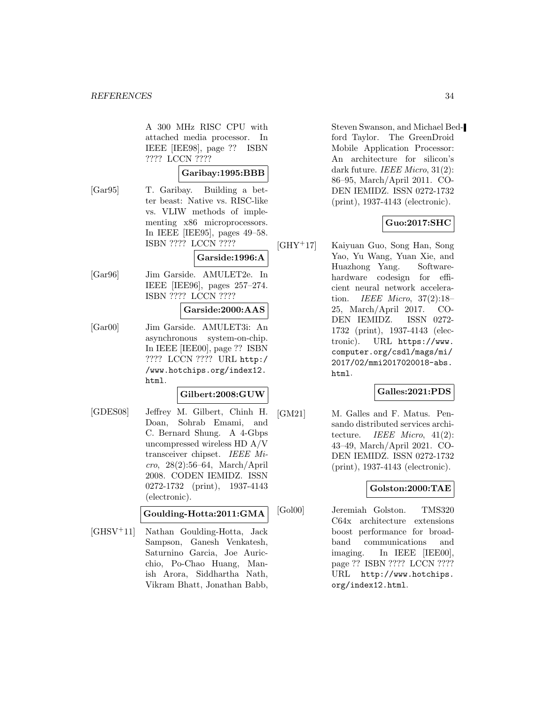A 300 MHz RISC CPU with attached media processor. In IEEE [IEE98], page ?? ISBN ???? LCCN ????

# **Garibay:1995:BBB**

[Gar95] T. Garibay. Building a better beast: Native vs. RISC-like vs. VLIW methods of implementing x86 microprocessors. In IEEE [IEE95], pages 49–58. ISBN ???? LCCN ????

# **Garside:1996:A**

[Gar96] Jim Garside. AMULET2e. In IEEE [IEE96], pages 257–274. ISBN ???? LCCN ????

#### **Garside:2000:AAS**

[Gar00] Jim Garside. AMULET3i: An asynchronous system-on-chip. In IEEE [IEE00], page ?? ISBN ???? LCCN ???? URL http:/ /www.hotchips.org/index12. html.

#### **Gilbert:2008:GUW**

[GDES08] Jeffrey M. Gilbert, Chinh H. Doan, Sohrab Emami, and C. Bernard Shung. A 4-Gbps uncompressed wireless HD A/V transceiver chipset. IEEE Micro, 28(2):56–64, March/April 2008. CODEN IEMIDZ. ISSN 0272-1732 (print), 1937-4143 (electronic).

**Goulding-Hotta:2011:GMA**

[GHSV<sup>+</sup>11] Nathan Goulding-Hotta, Jack Sampson, Ganesh Venkatesh, Saturnino Garcia, Joe Auricchio, Po-Chao Huang, Manish Arora, Siddhartha Nath, Vikram Bhatt, Jonathan Babb,

Steven Swanson, and Michael Bedford Taylor. The GreenDroid Mobile Application Processor: An architecture for silicon's dark future. IEEE Micro, 31(2): 86–95, March/April 2011. CO-DEN IEMIDZ. ISSN 0272-1732 (print), 1937-4143 (electronic).

# **Guo:2017:SHC**

[GHY<sup>+</sup>17] Kaiyuan Guo, Song Han, Song Yao, Yu Wang, Yuan Xie, and Huazhong Yang. Softwarehardware codesign for efficient neural network acceleration. IEEE Micro, 37(2):18– 25, March/April 2017. CO-DEN IEMIDZ. ISSN 0272- 1732 (print), 1937-4143 (electronic). URL https://www. computer.org/csdl/mags/mi/ 2017/02/mmi2017020018-abs. html.

# **Galles:2021:PDS**

[GM21] M. Galles and F. Matus. Pensando distributed services architecture. IEEE Micro, 41(2): 43–49, March/April 2021. CO-DEN IEMIDZ. ISSN 0272-1732 (print), 1937-4143 (electronic).

# **Golston:2000:TAE**

[Gol00] Jeremiah Golston. TMS320 C64x architecture extensions boost performance for broadband communications and imaging. In IEEE [IEE00], page ?? ISBN ???? LCCN ???? URL http://www.hotchips. org/index12.html.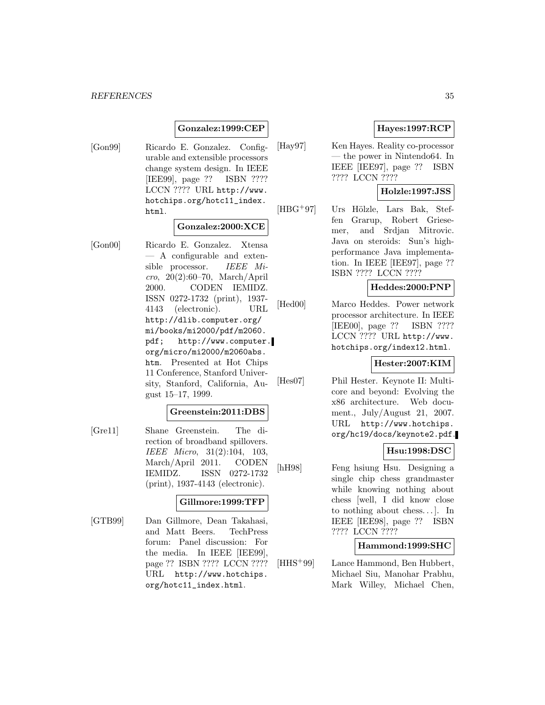# **Gonzalez:1999:CEP**

[Gon99] Ricardo E. Gonzalez. Configurable and extensible processors change system design. In IEEE [IEE99], page ?? ISBN ???? LCCN ???? URL http://www. hotchips.org/hotc11\_index. html.

# **Gonzalez:2000:XCE**

[Gon00] Ricardo E. Gonzalez. Xtensa — A configurable and extensible processor. IEEE Mi $cro, 20(2):60–70, March/April$ 2000. CODEN IEMIDZ. ISSN 0272-1732 (print), 1937- 4143 (electronic). URL http://dlib.computer.org/ mi/books/mi2000/pdf/m2060. pdf; http://www.computer. org/micro/mi2000/m2060abs. htm. Presented at Hot Chips 11 Conference, Stanford University, Stanford, California, August 15–17, 1999.

# **Greenstein:2011:DBS**

[Gre11] Shane Greenstein. The direction of broadband spillovers. IEEE Micro, 31(2):104, 103, March/April 2011. CODEN IEMIDZ. ISSN 0272-1732 (print), 1937-4143 (electronic).

#### **Gillmore:1999:TFP**

[GTB99] Dan Gillmore, Dean Takahasi, and Matt Beers. TechPress forum: Panel discussion: For the media. In IEEE [IEE99], page ?? ISBN ???? LCCN ???? URL http://www.hotchips. org/hotc11\_index.html.

# **Hayes:1997:RCP**

[Hay97] Ken Hayes. Reality co-processor — the power in Nintendo64. In IEEE [IEE97], page ?? ISBN ???? LCCN ????

# **Holzle:1997:JSS**

[HBG<sup>+</sup>97] Urs Hölzle, Lars Bak, Steffen Grarup, Robert Griesemer, and Srdjan Mitrovic. Java on steroids: Sun's highperformance Java implementation. In IEEE [IEE97], page ?? ISBN ???? LCCN ????

#### **Heddes:2000:PNP**

[Hed00] Marco Heddes. Power network processor architecture. In IEEE [IEE00], page ?? ISBN ???? LCCN ???? URL http://www. hotchips.org/index12.html.

#### **Hester:2007:KIM**

[Hes07] Phil Hester. Keynote II: Multicore and beyond: Evolving the x86 architecture. Web document., July/August 21, 2007. URL http://www.hotchips. org/hc19/docs/keynote2.pdf.

# **Hsu:1998:DSC**

[hH98] Feng hsiung Hsu. Designing a single chip chess grandmaster while knowing nothing about chess [well, I did know close to nothing about chess... ]. In IEEE [IEE98], page ?? ISBN ???? LCCN ????

# **Hammond:1999:SHC**

[HHS<sup>+</sup>99] Lance Hammond, Ben Hubbert, Michael Siu, Manohar Prabhu, Mark Willey, Michael Chen,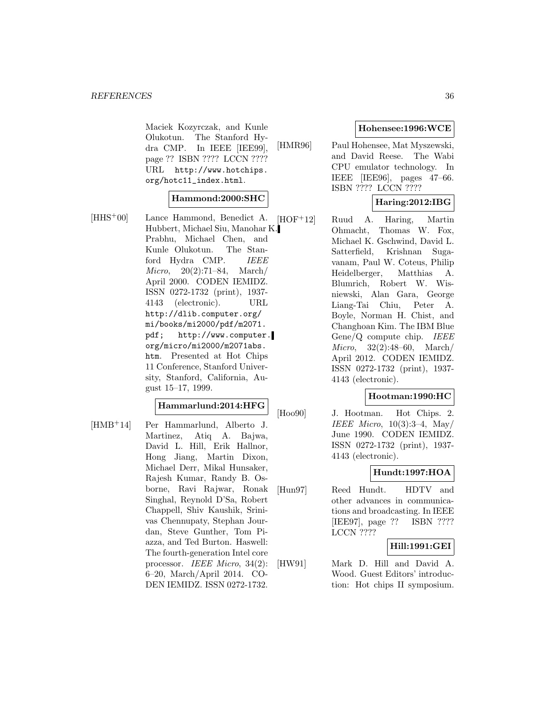Maciek Kozyrczak, and Kunle Olukotun. The Stanford Hydra CMP. In IEEE [IEE99], page ?? ISBN ???? LCCN ???? URL http://www.hotchips. org/hotc11\_index.html.

#### **Hammond:2000:SHC**

[HHS<sup>+</sup>00] Lance Hammond, Benedict A. Hubbert, Michael Siu, Manohar K. Prabhu, Michael Chen, and Kunle Olukotun. The Stanford Hydra CMP. IEEE Micro, 20(2):71–84, March/ April 2000. CODEN IEMIDZ. ISSN 0272-1732 (print), 1937- 4143 (electronic). URL http://dlib.computer.org/ mi/books/mi2000/pdf/m2071. pdf; http://www.computer. org/micro/mi2000/m2071abs. htm. Presented at Hot Chips 11 Conference, Stanford University, Stanford, California, August 15–17, 1999.

#### **Hammarlund:2014:HFG**

[HMB<sup>+</sup>14] Per Hammarlund, Alberto J. Martinez, Atiq A. Bajwa, David L. Hill, Erik Hallnor, Hong Jiang, Martin Dixon, Michael Derr, Mikal Hunsaker, Rajesh Kumar, Randy B. Osborne, Ravi Rajwar, Ronak Singhal, Reynold D'Sa, Robert Chappell, Shiv Kaushik, Srinivas Chennupaty, Stephan Jourdan, Steve Gunther, Tom Piazza, and Ted Burton. Haswell: The fourth-generation Intel core processor. IEEE Micro, 34(2): 6–20, March/April 2014. CO-DEN IEMIDZ. ISSN 0272-1732.

#### **Hohensee:1996:WCE**

[HMR96] Paul Hohensee, Mat Myszewski, and David Reese. The Wabi CPU emulator technology. In IEEE [IEE96], pages 47–66. ISBN ???? LCCN ????

# **Haring:2012:IBG**

[HOF<sup>+</sup>12] Ruud A. Haring, Martin Ohmacht, Thomas W. Fox, Michael K. Gschwind, David L. Satterfield, Krishnan Sugavanam, Paul W. Coteus, Philip Heidelberger, Matthias A. Blumrich, Robert W. Wisniewski, Alan Gara, George Liang-Tai Chiu, Peter A. Boyle, Norman H. Chist, and Changhoan Kim. The IBM Blue Gene/Q compute chip. IEEE Micro, 32(2):48–60, March/ April 2012. CODEN IEMIDZ. ISSN 0272-1732 (print), 1937- 4143 (electronic).

### **Hootman:1990:HC**

[Hoo90] J. Hootman. Hot Chips. 2. IEEE Micro,  $10(3):3-4$ , May June 1990. CODEN IEMIDZ. ISSN 0272-1732 (print), 1937- 4143 (electronic).

# **Hundt:1997:HOA**

[Hun97] Reed Hundt. HDTV and other advances in communications and broadcasting. In IEEE [IEE97], page ?? ISBN ???? LCCN ????

# **Hill:1991:GEI**

[HW91] Mark D. Hill and David A. Wood. Guest Editors' introduction: Hot chips II symposium.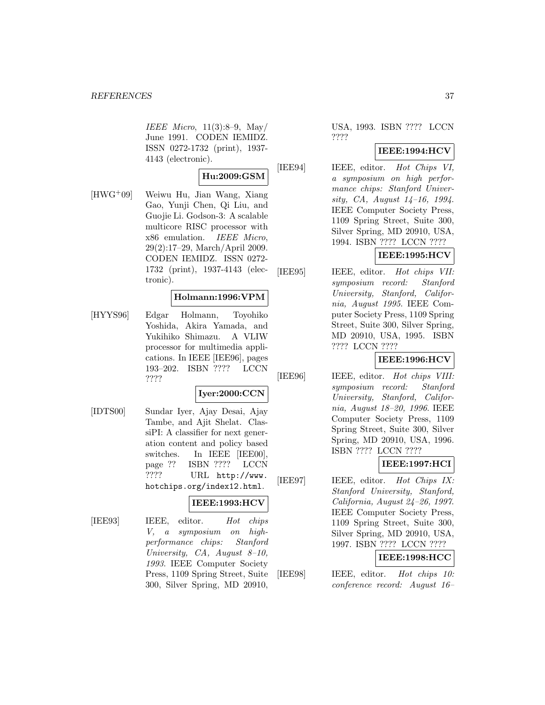IEEE Micro, 11(3):8–9, May/ June 1991. CODEN IEMIDZ. ISSN 0272-1732 (print), 1937- 4143 (electronic).

### **Hu:2009:GSM**

[HWG<sup>+</sup>09] Weiwu Hu, Jian Wang, Xiang Gao, Yunji Chen, Qi Liu, and Guojie Li. Godson-3: A scalable multicore RISC processor with x86 emulation. IEEE Micro, 29(2):17–29, March/April 2009. CODEN IEMIDZ. ISSN 0272- 1732 (print), 1937-4143 (electronic).

#### **Holmann:1996:VPM**

[HYYS96] Edgar Holmann, Toyohiko Yoshida, Akira Yamada, and Yukihiko Shimazu. A VLIW processor for multimedia applications. In IEEE [IEE96], pages 193–202. ISBN ???? LCCN ????

#### **Iyer:2000:CCN**

[IDTS00] Sundar Iyer, Ajay Desai, Ajay Tambe, and Ajit Shelat. ClassiPI: A classifier for next generation content and policy based switches. In IEEE [IEE00], page ?? ISBN ???? LCCN ???? URL http://www. hotchips.org/index12.html.

# **IEEE:1993:HCV**

[IEE93] IEEE, editor. Hot chips V, a symposium on highperformance chips: Stanford University, CA, August 8–10, 1993. IEEE Computer Society Press, 1109 Spring Street, Suite 300, Silver Spring, MD 20910,

# USA, 1993. ISBN ???? LCCN ????

# **IEEE:1994:HCV**

[IEE94] IEEE, editor. Hot Chips VI, a symposium on high performance chips: Stanford University, CA, August 14–16, 1994. IEEE Computer Society Press, 1109 Spring Street, Suite 300, Silver Spring, MD 20910, USA, 1994. ISBN ???? LCCN ????

# **IEEE:1995:HCV**

[IEE95] IEEE, editor. Hot chips VII: symposium record: Stanford University, Stanford, California, August 1995. IEEE Computer Society Press, 1109 Spring Street, Suite 300, Silver Spring, MD 20910, USA, 1995. ISBN ???? LCCN ????

# **IEEE:1996:HCV**

[IEE96] IEEE, editor. Hot chips VIII: symposium record: Stanford University, Stanford, California, August 18–20, 1996. IEEE Computer Society Press, 1109 Spring Street, Suite 300, Silver Spring, MD 20910, USA, 1996. ISBN ???? LCCN ????

# **IEEE:1997:HCI**

[IEE97] IEEE, editor. Hot Chips IX: Stanford University, Stanford, California, August 24–26, 1997. IEEE Computer Society Press, 1109 Spring Street, Suite 300, Silver Spring, MD 20910, USA, 1997. ISBN ???? LCCN ????

# **IEEE:1998:HCC**

[IEE98] IEEE, editor. Hot chips 10: conference record: August 16–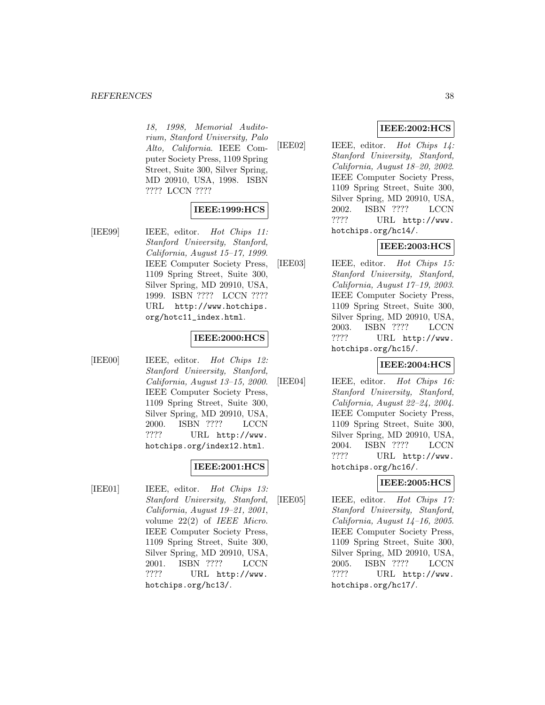18, 1998, Memorial Auditorium, Stanford University, Palo Alto, California. IEEE Computer Society Press, 1109 Spring Street, Suite 300, Silver Spring, MD 20910, USA, 1998. ISBN ???? LCCN ????

# **IEEE:1999:HCS**

[IEE99] IEEE, editor. Hot Chips 11: Stanford University, Stanford, California, August 15–17, 1999. IEEE Computer Society Press, 1109 Spring Street, Suite 300, Silver Spring, MD 20910, USA, 1999. ISBN ???? LCCN ???? URL http://www.hotchips. org/hotc11\_index.html.

### **IEEE:2000:HCS**

[IEE00] IEEE, editor. Hot Chips 12: Stanford University, Stanford, California, August 13–15, 2000. IEEE Computer Society Press, 1109 Spring Street, Suite 300, Silver Spring, MD 20910, USA, 2000. ISBN ???? LCCN ???? URL http://www. hotchips.org/index12.html.

# **IEEE:2001:HCS**

[IEE01] IEEE, editor. Hot Chips 13: Stanford University, Stanford, California, August 19–21, 2001, volume 22(2) of IEEE Micro. IEEE Computer Society Press, 1109 Spring Street, Suite 300, Silver Spring, MD 20910, USA, 2001. ISBN ???? LCCN ???? URL http://www. hotchips.org/hc13/.

# **IEEE:2002:HCS**

[IEE02] IEEE, editor. Hot Chips 14: Stanford University, Stanford, California, August 18–20, 2002. IEEE Computer Society Press, 1109 Spring Street, Suite 300, Silver Spring, MD 20910, USA, 2002. ISBN ???? LCCN ???? URL http://www. hotchips.org/hc14/.

# **IEEE:2003:HCS**

[IEE03] IEEE, editor. Hot Chips 15: Stanford University, Stanford, California, August 17–19, 2003. IEEE Computer Society Press, 1109 Spring Street, Suite 300, Silver Spring, MD 20910, USA, 2003. ISBN ???? LCCN ???? URL http://www. hotchips.org/hc15/.

# **IEEE:2004:HCS**

[IEE04] IEEE, editor. Hot Chips 16: Stanford University, Stanford, California, August 22–24, 2004. IEEE Computer Society Press, 1109 Spring Street, Suite 300, Silver Spring, MD 20910, USA, 2004. ISBN ???? LCCN ???? URL http://www. hotchips.org/hc16/.

# **IEEE:2005:HCS**

[IEE05] IEEE, editor. Hot Chips 17: Stanford University, Stanford, California, August 14–16, 2005. IEEE Computer Society Press, 1109 Spring Street, Suite 300, Silver Spring, MD 20910, USA, 2005. ISBN ???? LCCN ???? URL http://www. hotchips.org/hc17/.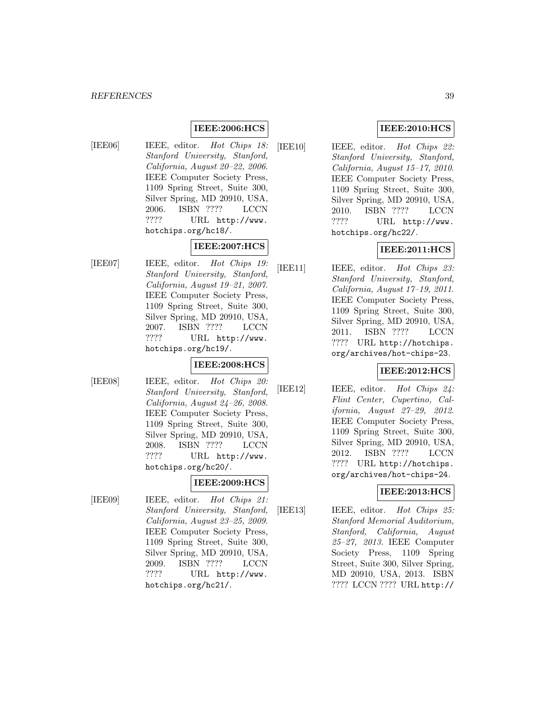# **IEEE:2006:HCS**

[IEE06] IEEE, editor. Hot Chips 18: Stanford University, Stanford, California, August 20–22, 2006. IEEE Computer Society Press, 1109 Spring Street, Suite 300, Silver Spring, MD 20910, USA, 2006. ISBN ???? LCCN ???? URL http://www. hotchips.org/hc18/.

# **IEEE:2007:HCS**

[IEE07] IEEE, editor. Hot Chips 19: Stanford University, Stanford, California, August 19–21, 2007. IEEE Computer Society Press, 1109 Spring Street, Suite 300, Silver Spring, MD 20910, USA, 2007. ISBN ???? LCCN ???? URL http://www. hotchips.org/hc19/.

# **IEEE:2008:HCS**

[IEE08] IEEE, editor. Hot Chips 20: Stanford University, Stanford, California, August 24–26, 2008. IEEE Computer Society Press, 1109 Spring Street, Suite 300, Silver Spring, MD 20910, USA, 2008. ISBN ???? LCCN ???? URL http://www. hotchips.org/hc20/.

#### **IEEE:2009:HCS**

[IEE09] IEEE, editor. Hot Chips 21: Stanford University, Stanford, California, August 23–25, 2009. IEEE Computer Society Press, 1109 Spring Street, Suite 300, Silver Spring, MD 20910, USA, 2009. ISBN ???? LCCN ???? URL http://www. hotchips.org/hc21/.

# **IEEE:2010:HCS**

[IEE10] IEEE, editor. Hot Chips 22: Stanford University, Stanford, California, August 15–17, 2010. IEEE Computer Society Press, 1109 Spring Street, Suite 300, Silver Spring, MD 20910, USA, 2010. ISBN ???? LCCN ???? URL http://www. hotchips.org/hc22/.

# **IEEE:2011:HCS**

[IEE11] IEEE, editor. Hot Chips 23: Stanford University, Stanford, California, August 17–19, 2011. IEEE Computer Society Press, 1109 Spring Street, Suite 300, Silver Spring, MD 20910, USA, 2011. ISBN ???? LCCN ???? URL http://hotchips. org/archives/hot-chips-23.

# **IEEE:2012:HCS**

[IEE12] IEEE, editor. Hot Chips 24: Flint Center, Cupertino, California, August 27–29, 2012. IEEE Computer Society Press, 1109 Spring Street, Suite 300, Silver Spring, MD 20910, USA, 2012. ISBN ???? LCCN ???? URL http://hotchips. org/archives/hot-chips-24.

# **IEEE:2013:HCS**

[IEE13] IEEE, editor. Hot Chips 25: Stanford Memorial Auditorium, Stanford, California, August 25–27, 2013. IEEE Computer Society Press, 1109 Spring Street, Suite 300, Silver Spring, MD 20910, USA, 2013. ISBN ???? LCCN ???? URL http://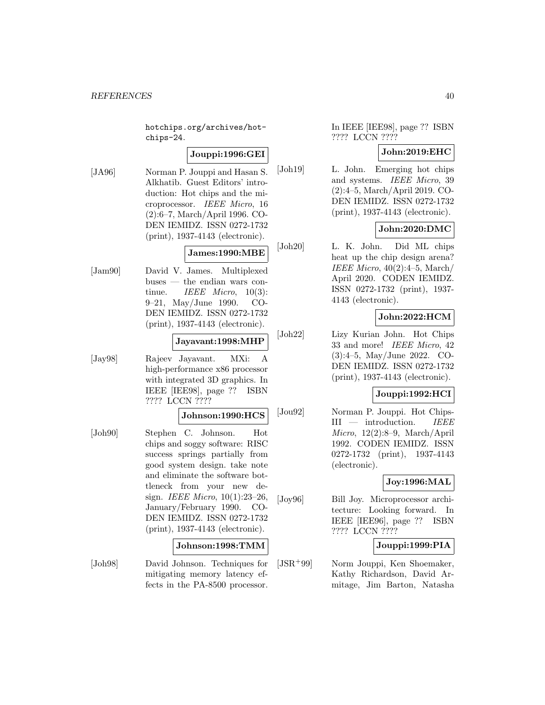hotchips.org/archives/hotchips-24.

# **Jouppi:1996:GEI**

[JA96] Norman P. Jouppi and Hasan S. Alkhatib. Guest Editors' introduction: Hot chips and the microprocessor. IEEE Micro, 16 (2):6–7, March/April 1996. CO-DEN IEMIDZ. ISSN 0272-1732 (print), 1937-4143 (electronic).

# **James:1990:MBE**

[Jam90] David V. James. Multiplexed buses — the endian wars continue. IEEE Micro, 10(3): 9–21, May/June 1990. CO-DEN IEMIDZ. ISSN 0272-1732 (print), 1937-4143 (electronic).

#### **Jayavant:1998:MHP**

[Jay98] Rajeev Jayavant. MXi: A high-performance x86 processor with integrated 3D graphics. In IEEE [IEE98], page ?? ISBN ???? LCCN ????

#### **Johnson:1990:HCS**

[Joh90] Stephen C. Johnson. Hot chips and soggy software: RISC success springs partially from good system design. take note and eliminate the software bottleneck from your new design. IEEE Micro, 10(1):23–26, January/February 1990. CO-DEN IEMIDZ. ISSN 0272-1732 (print), 1937-4143 (electronic).

# **Johnson:1998:TMM**

[Joh98] David Johnson. Techniques for mitigating memory latency effects in the PA-8500 processor.

In IEEE [IEE98], page ?? ISBN ???? LCCN ????

# **John:2019:EHC**

[Joh19] L. John. Emerging hot chips and systems. IEEE Micro, 39 (2):4–5, March/April 2019. CO-DEN IEMIDZ. ISSN 0272-1732 (print), 1937-4143 (electronic).

# **John:2020:DMC**

[Joh20] L. K. John. Did ML chips heat up the chip design arena? IEEE Micro,  $40(2):4-5$ , March/ April 2020. CODEN IEMIDZ. ISSN 0272-1732 (print), 1937- 4143 (electronic).

# **John:2022:HCM**

[Joh22] Lizy Kurian John. Hot Chips 33 and more! IEEE Micro, 42 (3):4–5, May/June 2022. CO-DEN IEMIDZ. ISSN 0272-1732 (print), 1937-4143 (electronic).

#### **Jouppi:1992:HCI**

[Jou92] Norman P. Jouppi. Hot Chips-III — introduction. IEEE Micro, 12(2):8–9, March/April 1992. CODEN IEMIDZ. ISSN 0272-1732 (print), 1937-4143 (electronic).

# **Joy:1996:MAL**

[Joy96] Bill Joy. Microprocessor architecture: Looking forward. In IEEE [IEE96], page ?? ISBN ???? LCCN ????

# **Jouppi:1999:PIA**

[JSR<sup>+</sup>99] Norm Jouppi, Ken Shoemaker, Kathy Richardson, David Armitage, Jim Barton, Natasha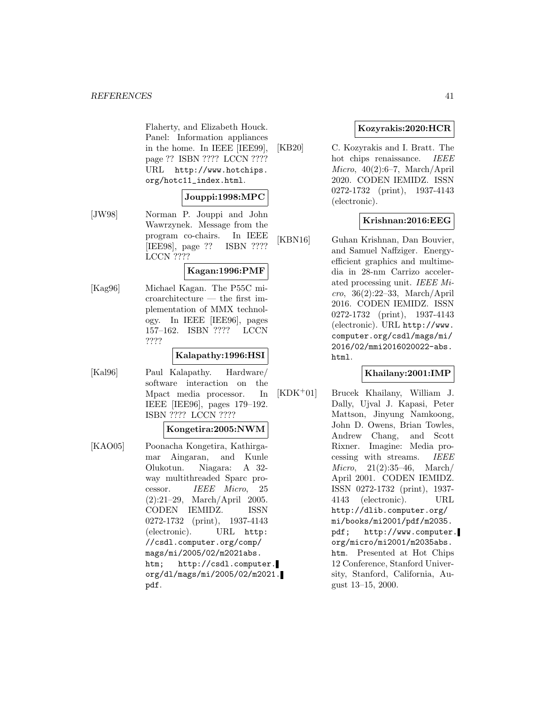#### *REFERENCES* 41

Flaherty, and Elizabeth Houck. Panel: Information appliances in the home. In IEEE [IEE99], page ?? ISBN ???? LCCN ???? URL http://www.hotchips. org/hotc11\_index.html.

#### **Jouppi:1998:MPC**

[JW98] Norman P. Jouppi and John Wawrzynek. Message from the program co-chairs. In IEEE [IEE98], page ?? ISBN ???? LCCN ????

#### **Kagan:1996:PMF**

[Kag96] Michael Kagan. The P55C microarchitecture — the first implementation of MMX technology. In IEEE [IEE96], pages 157–162. ISBN ???? LCCN ????

#### **Kalapathy:1996:HSI**

[Kal96] Paul Kalapathy. Hardware/ software interaction on the Mpact media processor. In IEEE [IEE96], pages 179–192. ISBN ???? LCCN ????

#### **Kongetira:2005:NWM**

[KAO05] Poonacha Kongetira, Kathirgamar Aingaran, and Kunle Olukotun. Niagara: A 32 way multithreaded Sparc processor. IEEE Micro, 25 (2):21–29, March/April 2005. CODEN IEMIDZ. ISSN 0272-1732 (print), 1937-4143 (electronic). URL http: //csdl.computer.org/comp/ mags/mi/2005/02/m2021abs. htm; http://csdl.computer. org/dl/mags/mi/2005/02/m2021. pdf.

# **Kozyrakis:2020:HCR**

[KB20] C. Kozyrakis and I. Bratt. The hot chips renaissance. IEEE  $Micro, 40(2):6-7, March/April$ 2020. CODEN IEMIDZ. ISSN 0272-1732 (print), 1937-4143 (electronic).

# **Krishnan:2016:EEG**

[KBN16] Guhan Krishnan, Dan Bouvier, and Samuel Naffziger. Energyefficient graphics and multimedia in 28-nm Carrizo accelerated processing unit. IEEE Micro, 36(2):22–33, March/April 2016. CODEN IEMIDZ. ISSN 0272-1732 (print), 1937-4143 (electronic). URL http://www. computer.org/csdl/mags/mi/ 2016/02/mmi2016020022-abs. html.

### **Khailany:2001:IMP**

[KDK<sup>+</sup>01] Brucek Khailany, William J. Dally, Ujval J. Kapasi, Peter Mattson, Jinyung Namkoong, John D. Owens, Brian Towles, Andrew Chang, and Scott Rixner. Imagine: Media processing with streams. IEEE Micro, 21(2):35–46, March/ April 2001. CODEN IEMIDZ. ISSN 0272-1732 (print), 1937- 4143 (electronic). URL http://dlib.computer.org/ mi/books/mi2001/pdf/m2035. pdf; http://www.computer. org/micro/mi2001/m2035abs. htm. Presented at Hot Chips 12 Conference, Stanford University, Stanford, California, August 13–15, 2000.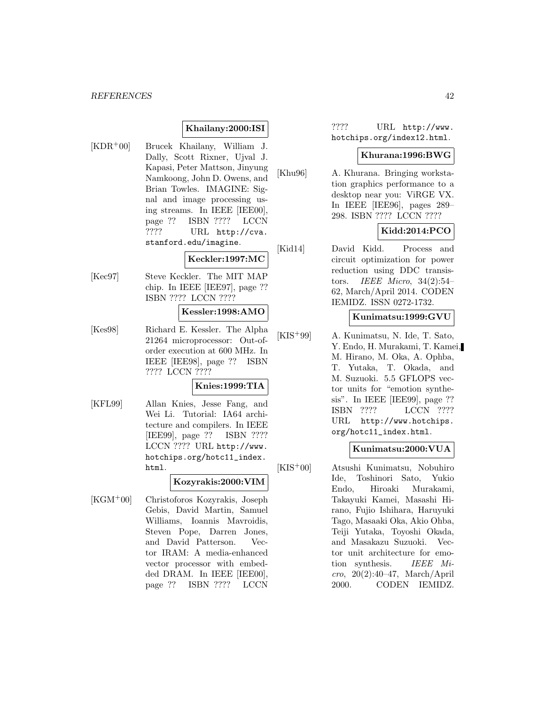# **Khailany:2000:ISI**

[KDR<sup>+</sup>00] Brucek Khailany, William J. Dally, Scott Rixner, Ujval J. Kapasi, Peter Mattson, Jinyung Namkoong, John D. Owens, and Brian Towles. IMAGINE: Signal and image processing using streams. In IEEE [IEE00], page ?? ISBN ???? LCCN ???? URL http://cva. stanford.edu/imagine.

# **Keckler:1997:MC**

[Kec97] Steve Keckler. The MIT MAP chip. In IEEE [IEE97], page ?? ISBN ???? LCCN ????

#### **Kessler:1998:AMO**

[Kes98] Richard E. Kessler. The Alpha 21264 microprocessor: Out-oforder execution at 600 MHz. In IEEE [IEE98], page ?? ISBN ???? LCCN ????

### **Knies:1999:TIA**

[KFL99] Allan Knies, Jesse Fang, and Wei Li. Tutorial: IA64 architecture and compilers. In IEEE [IEE99], page ?? ISBN ???? LCCN ???? URL http://www. hotchips.org/hotc11\_index. html.

# **Kozyrakis:2000:VIM**

[KGM<sup>+</sup>00] Christoforos Kozyrakis, Joseph Gebis, David Martin, Samuel Williams, Ioannis Mavroidis, Steven Pope, Darren Jones, and David Patterson. Vector IRAM: A media-enhanced vector processor with embedded DRAM. In IEEE [IEE00], page ?? ISBN ???? LCCN

???? URL http://www. hotchips.org/index12.html.

#### **Khurana:1996:BWG**

[Khu96] A. Khurana. Bringing workstation graphics performance to a desktop near you: ViRGE VX. In IEEE [IEE96], pages 289– 298. ISBN ???? LCCN ????

# **Kidd:2014:PCO**

[Kid14] David Kidd. Process and circuit optimization for power reduction using DDC transistors. IEEE Micro, 34(2):54– 62, March/April 2014. CODEN IEMIDZ. ISSN 0272-1732.

#### **Kunimatsu:1999:GVU**

[KIS<sup>+</sup>99] A. Kunimatsu, N. Ide, T. Sato, Y. Endo, H. Murakami, T. Kamei, M. Hirano, M. Oka, A. Ophba, T. Yutaka, T. Okada, and M. Suzuoki. 5.5 GFLOPS vector units for "emotion synthesis". In IEEE [IEE99], page ?? ISBN ???? LCCN ???? URL http://www.hotchips. org/hotc11\_index.html.

#### **Kunimatsu:2000:VUA**

[KIS<sup>+</sup>00] Atsushi Kunimatsu, Nobuhiro Ide, Toshinori Sato, Yukio Endo, Hiroaki Murakami, Takayuki Kamei, Masashi Hirano, Fujio Ishihara, Haruyuki Tago, Masaaki Oka, Akio Ohba, Teiji Yutaka, Toyoshi Okada, and Masakazu Suzuoki. Vector unit architecture for emotion synthesis. IEEE Micro, 20(2):40–47, March/April 2000. CODEN IEMIDZ.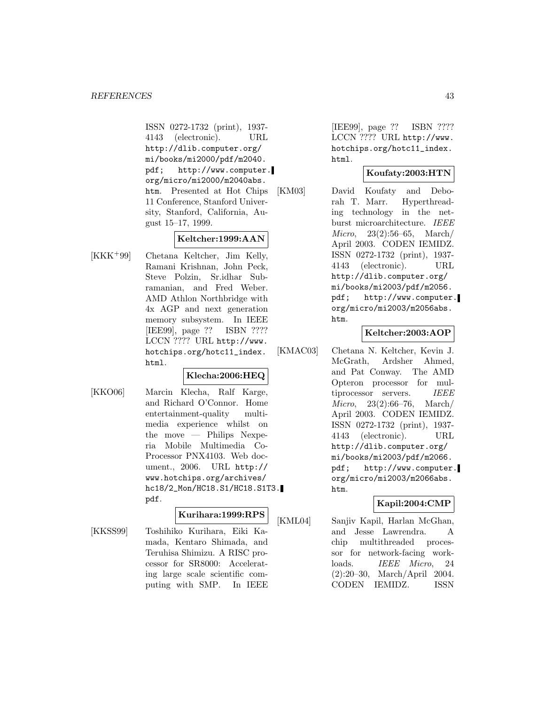ISSN 0272-1732 (print), 1937- 4143 (electronic). URL http://dlib.computer.org/ mi/books/mi2000/pdf/m2040. pdf; http://www.computer. org/micro/mi2000/m2040abs. htm. Presented at Hot Chips 11 Conference, Stanford University, Stanford, California, August 15–17, 1999.

# **Keltcher:1999:AAN**

[KKK<sup>+</sup>99] Chetana Keltcher, Jim Kelly, Ramani Krishnan, John Peck, Steve Polzin, Sr.idhar Subramanian, and Fred Weber. AMD Athlon Northbridge with 4x AGP and next generation memory subsystem. In IEEE [IEE99], page ?? ISBN ???? LCCN ???? URL http://www. hotchips.org/hotc11\_index. html.

# **Klecha:2006:HEQ**

[KKO06] Marcin Klecha, Ralf Karge, and Richard O'Connor. Home entertainment-quality multimedia experience whilst on the move — Philips Nexperia Mobile Multimedia Co-Processor PNX4103. Web document., 2006. URL http:// www.hotchips.org/archives/ hc18/2\_Mon/HC18.S1/HC18.S1T3. pdf.

# **Kurihara:1999:RPS**

puting with SMP. In IEEE

[KKSS99] Toshihiko Kurihara, Eiki Kamada, Kentaro Shimada, and Teruhisa Shimizu. A RISC processor for SR8000: Accelerating large scale scientific com-

[IEE99], page ?? ISBN ???? LCCN ???? URL http://www. hotchips.org/hotc11\_index. html.

# **Koufaty:2003:HTN**

[KM03] David Koufaty and Deborah T. Marr. Hyperthreading technology in the netburst microarchitecture. IEEE Micro, 23(2):56–65, March/ April 2003. CODEN IEMIDZ. ISSN 0272-1732 (print), 1937- 4143 (electronic). URL http://dlib.computer.org/ mi/books/mi2003/pdf/m2056. pdf; http://www.computer. org/micro/mi2003/m2056abs. htm.

# **Keltcher:2003:AOP**

[KMAC03] Chetana N. Keltcher, Kevin J. McGrath, Ardsher Ahmed, and Pat Conway. The AMD Opteron processor for multiprocessor servers. IEEE Micro, 23(2):66–76, March/ April 2003. CODEN IEMIDZ. ISSN 0272-1732 (print), 1937- 4143 (electronic). URL http://dlib.computer.org/ mi/books/mi2003/pdf/m2066. pdf; http://www.computer. org/micro/mi2003/m2066abs. htm.

# **Kapil:2004:CMP**

[KML04] Sanjiv Kapil, Harlan McGhan, and Jesse Lawrendra. A chip multithreaded processor for network-facing workloads. IEEE Micro, 24 (2):20–30, March/April 2004. CODEN IEMIDZ. ISSN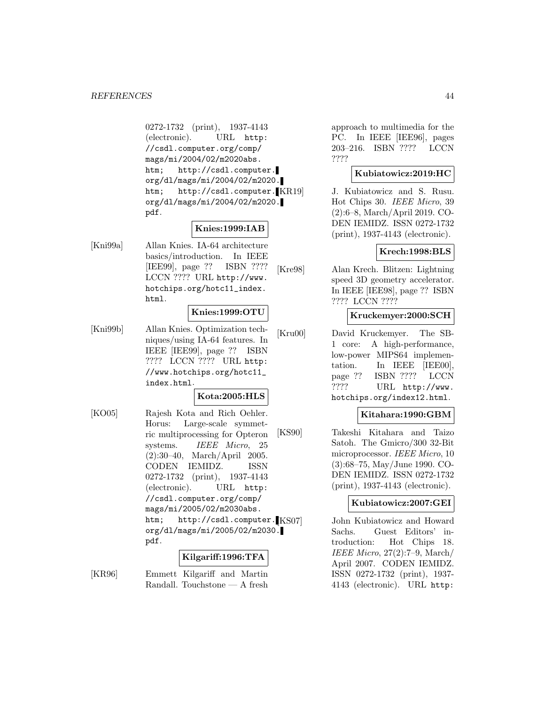0272-1732 (print), 1937-4143 (electronic). URL http: //csdl.computer.org/comp/ mags/mi/2004/02/m2020abs. htm; http://csdl.computer. org/dl/mags/mi/2004/02/m2020. htm; http://csdl.computer.<sup>[KR19]</sup> org/dl/mags/mi/2004/02/m2020. pdf.

# **Knies:1999:IAB**

[Kni99a] Allan Knies. IA-64 architecture basics/introduction. In IEEE [IEE99], page ?? ISBN ???? LCCN ???? URL http://www. hotchips.org/hotc11\_index. html.

# **Knies:1999:OTU**

[Kni99b] Allan Knies. Optimization techniques/using IA-64 features. In IEEE [IEE99], page ?? ISBN ???? LCCN ???? URL http: //www.hotchips.org/hotc11\_ index.html.

### **Kota:2005:HLS**

[KO05] Rajesh Kota and Rich Oehler. Horus: Large-scale symmetric multiprocessing for Opteron systems. IEEE Micro, 25 (2):30–40, March/April 2005. CODEN IEMIDZ. ISSN 0272-1732 (print), 1937-4143 (electronic). URL http: //csdl.computer.org/comp/ mags/mi/2005/02/m2030abs. htm; http://csdl.computer. KS07 org/dl/mags/mi/2005/02/m2030. pdf.

# **Kilgariff:1996:TFA**

[KR96] Emmett Kilgariff and Martin Randall. Touchstone — A fresh approach to multimedia for the PC. In IEEE [IEE96], pages 203–216. ISBN ???? LCCN ????

#### **Kubiatowicz:2019:HC**

J. Kubiatowicz and S. Rusu. Hot Chips 30. IEEE Micro, 39 (2):6–8, March/April 2019. CO-DEN IEMIDZ. ISSN 0272-1732 (print), 1937-4143 (electronic).

#### **Krech:1998:BLS**

[Kre98] Alan Krech. Blitzen: Lightning speed 3D geometry accelerator. In IEEE [IEE98], page ?? ISBN ???? LCCN ????

#### **Kruckemyer:2000:SCH**

[Kru00] David Kruckemyer. The SB-1 core: A high-performance, low-power MIPS64 implementation. In IEEE [IEE00], page ?? ISBN ???? LCCN ???? URL http://www. hotchips.org/index12.html.

# **Kitahara:1990:GBM**

[KS90] Takeshi Kitahara and Taizo Satoh. The Gmicro/300 32-Bit microprocessor. IEEE Micro, 10 (3):68–75, May/June 1990. CO-DEN IEMIDZ. ISSN 0272-1732 (print), 1937-4143 (electronic).

### **Kubiatowicz:2007:GEI**

John Kubiatowicz and Howard Sachs. Guest Editors' introduction: Hot Chips 18. IEEE Micro, 27(2):7–9, March/ April 2007. CODEN IEMIDZ. ISSN 0272-1732 (print), 1937- 4143 (electronic). URL http: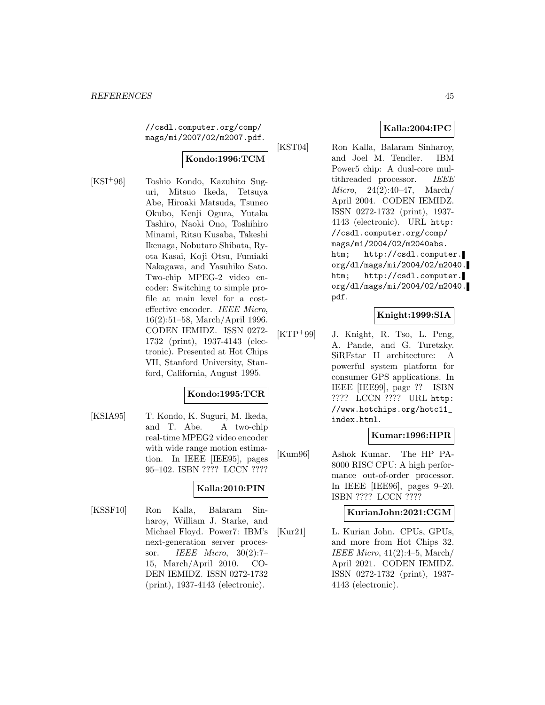//csdl.computer.org/comp/ mags/mi/2007/02/m2007.pdf.

# **Kondo:1996:TCM**

[KSI<sup>+</sup>96] Toshio Kondo, Kazuhito Suguri, Mitsuo Ikeda, Tetsuya Abe, Hiroaki Matsuda, Tsuneo Okubo, Kenji Ogura, Yutaka Tashiro, Naoki Ono, Toshihiro Minami, Ritsu Kusaba, Takeshi Ikenaga, Nobutaro Shibata, Ryota Kasai, Koji Otsu, Fumiaki Nakagawa, and Yasuhiko Sato. Two-chip MPEG-2 video encoder: Switching to simple profile at main level for a costeffective encoder. IEEE Micro, 16(2):51–58, March/April 1996. CODEN IEMIDZ. ISSN 0272- 1732 (print), 1937-4143 (electronic). Presented at Hot Chips VII, Stanford University, Stanford, California, August 1995.

# **Kondo:1995:TCR**

[KSIA95] T. Kondo, K. Suguri, M. Ikeda, and T. Abe. A two-chip real-time MPEG2 video encoder with wide range motion estimation. In IEEE [IEE95], pages 95–102. ISBN ???? LCCN ????

# **Kalla:2010:PIN**

[KSSF10] Ron Kalla, Balaram Sinharoy, William J. Starke, and Michael Floyd. Power7: IBM's next-generation server processor. IEEE Micro, 30(2):7– 15, March/April 2010. CO-DEN IEMIDZ. ISSN 0272-1732 (print), 1937-4143 (electronic).

# **Kalla:2004:IPC**

[KST04] Ron Kalla, Balaram Sinharoy, and Joel M. Tendler. IBM Power5 chip: A dual-core multithreaded processor. IEEE Micro, 24(2):40–47, March/ April 2004. CODEN IEMIDZ. ISSN 0272-1732 (print), 1937- 4143 (electronic). URL http: //csdl.computer.org/comp/ mags/mi/2004/02/m2040abs. htm; http://csdl.computer. org/dl/mags/mi/2004/02/m2040. htm; http://csdl.computer. org/dl/mags/mi/2004/02/m2040. pdf.

#### **Knight:1999:SIA**

[KTP<sup>+</sup>99] J. Knight, R. Tso, L. Peng, A. Pande, and G. Turetzky. SiRFstar II architecture: A powerful system platform for consumer GPS applications. In IEEE [IEE99], page ?? ISBN ???? LCCN ???? URL http: //www.hotchips.org/hotc11\_ index.html.

#### **Kumar:1996:HPR**

[Kum96] Ashok Kumar. The HP PA-8000 RISC CPU: A high performance out-of-order processor. In IEEE [IEE96], pages 9–20. ISBN ???? LCCN ????

### **KurianJohn:2021:CGM**

[Kur21] L. Kurian John. CPUs, GPUs, and more from Hot Chips 32. IEEE Micro, 41(2):4–5, March/ April 2021. CODEN IEMIDZ. ISSN 0272-1732 (print), 1937- 4143 (electronic).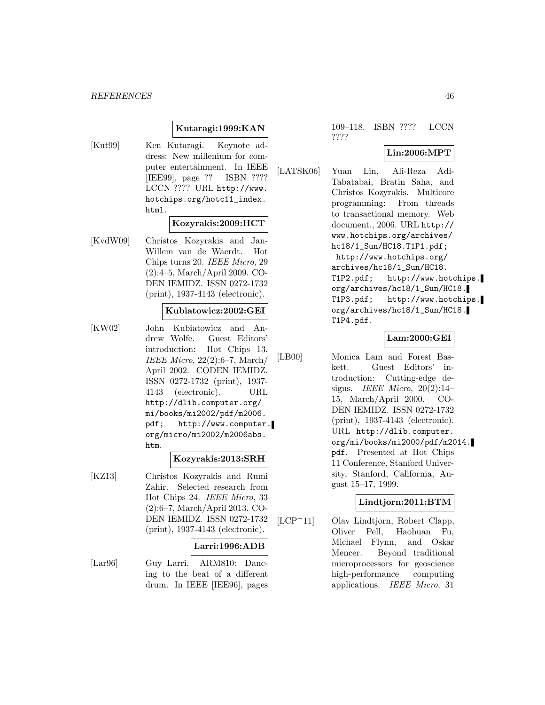# **Kutaragi:1999:KAN**

[Kut99] Ken Kutaragi. Keynote address: New millenium for computer entertainment. In IEEE [IEE99], page ?? ISBN ???? LCCN ???? URL http://www. hotchips.org/hotc11\_index. html.

#### **Kozyrakis:2009:HCT**

[KvdW09] Christos Kozyrakis and Jan-Willem van de Waerdt. Hot Chips turns 20. IEEE Micro, 29 (2):4–5, March/April 2009. CO-DEN IEMIDZ. ISSN 0272-1732 (print), 1937-4143 (electronic).

#### **Kubiatowicz:2002:GEI**

[KW02] John Kubiatowicz and Andrew Wolfe. Guest Editors' introduction: Hot Chips 13. IEEE Micro, 22(2):6–7, March/ April 2002. CODEN IEMIDZ. ISSN 0272-1732 (print), 1937- 4143 (electronic). URL http://dlib.computer.org/ mi/books/mi2002/pdf/m2006. pdf; http://www.computer. org/micro/mi2002/m2006abs. htm.

#### **Kozyrakis:2013:SRH**

[KZ13] Christos Kozyrakis and Rumi Zahir. Selected research from Hot Chips 24. IEEE Micro, 33 (2):6–7, March/April 2013. CO-DEN IEMIDZ. ISSN 0272-1732 (print), 1937-4143 (electronic).

#### **Larri:1996:ADB**

[Lar96] Guy Larri. ARM810: Dancing to the beat of a different drum. In IEEE [IEE96], pages 109–118. ISBN ???? LCCN ????

#### **Lin:2006:MPT**

[LATSK06] Yuan Lin, Ali-Reza Adl-Tabatabai, Bratin Saha, and Christos Kozyrakis. Multicore programming: From threads to transactional memory. Web document., 2006. URL http:// www.hotchips.org/archives/ hc18/1\_Sun/HC18.T1P1.pdf; http://www.hotchips.org/ archives/hc18/1\_Sun/HC18. T1P2.pdf; http://www.hotchips. org/archives/hc18/1\_Sun/HC18. T1P3.pdf; http://www.hotchips. org/archives/hc18/1\_Sun/HC18. T1P4.pdf.

# **Lam:2000:GEI**

[LB00] Monica Lam and Forest Baskett. Guest Editors' introduction: Cutting-edge designs. IEEE Micro,  $20(2):14-$ 15, March/April 2000. CO-DEN IEMIDZ. ISSN 0272-1732 (print), 1937-4143 (electronic). URL http://dlib.computer. org/mi/books/mi2000/pdf/m2014. pdf. Presented at Hot Chips 11 Conference, Stanford University, Stanford, California, August 15–17, 1999.

### **Lindtjorn:2011:BTM**

[LCP<sup>+</sup>11] Olav Lindtjorn, Robert Clapp, Oliver Pell, Haohuan Fu, Michael Flynn, and Oskar Mencer. Beyond traditional microprocessors for geoscience high-performance computing applications. IEEE Micro, 31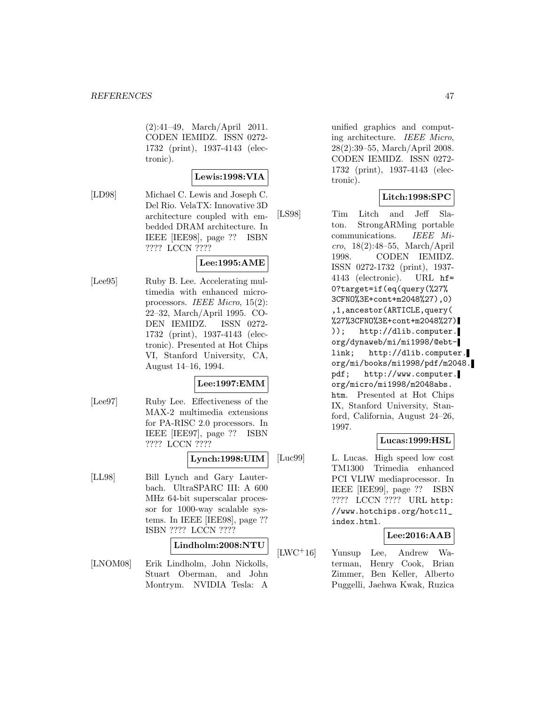(2):41–49, March/April 2011. CODEN IEMIDZ. ISSN 0272- 1732 (print), 1937-4143 (electronic).

#### **Lewis:1998:VIA**

[LD98] Michael C. Lewis and Joseph C. Del Rio. VelaTX: Innovative 3D architecture coupled with embedded DRAM architecture. In IEEE [IEE98], page ?? ISBN ???? LCCN ????

# **Lee:1995:AME**

[Lee95] Ruby B. Lee. Accelerating multimedia with enhanced microprocessors. IEEE Micro, 15(2): 22–32, March/April 1995. CO-DEN IEMIDZ. ISSN 0272- 1732 (print), 1937-4143 (electronic). Presented at Hot Chips VI, Stanford University, CA, August 14–16, 1994.

#### **Lee:1997:EMM**

[Lee97] Ruby Lee. Effectiveness of the MAX-2 multimedia extensions for PA-RISC 2.0 processors. In IEEE [IEE97], page ?? ISBN ???? LCCN ????

# **Lynch:1998:UIM**

[LL98] Bill Lynch and Gary Lauterbach. UltraSPARC III: A 600 MHz 64-bit superscalar processor for 1000-way scalable systems. In IEEE [IEE98], page ?? ISBN ???? LCCN ????

# **Lindholm:2008:NTU**

[LNOM08] Erik Lindholm, John Nickolls, Stuart Oberman, and John Montrym. NVIDIA Tesla: A

unified graphics and computing architecture. IEEE Micro, 28(2):39–55, March/April 2008. CODEN IEMIDZ. ISSN 0272- 1732 (print), 1937-4143 (electronic).

# **Litch:1998:SPC**

[LS98] Tim Litch and Jeff Slaton. StrongARMing portable communications. IEEE Mi $cro, 18(2):48-55, March/April$ 1998. CODEN IEMIDZ. ISSN 0272-1732 (print), 1937- 4143 (electronic). URL hf= 0?target=if(eq(query(%27% 3CFNO%3E+cont+m2048%27),0) ,1,ancestor(ARTICLE,query( %27%3CFNO%3E+cont+m2048%27) )); http://dlib.computer. org/dynaweb/mi/mi1998/@ebtlink; http://dlib.computer. org/mi/books/mi1998/pdf/m2048. pdf; http://www.computer. org/micro/mi1998/m2048abs. htm. Presented at Hot Chips IX, Stanford University, Stanford, California, August 24–26, 1997.

# **Lucas:1999:HSL**

[Luc99] L. Lucas. High speed low cost TM1300 Trimedia enhanced PCI VLIW mediaprocessor. In IEEE [IEE99], page ?? ISBN ???? LCCN ???? URL http: //www.hotchips.org/hotc11\_ index.html.

#### **Lee:2016:AAB**

[LWC<sup>+</sup>16] Yunsup Lee, Andrew Waterman, Henry Cook, Brian Zimmer, Ben Keller, Alberto Puggelli, Jaehwa Kwak, Ruzica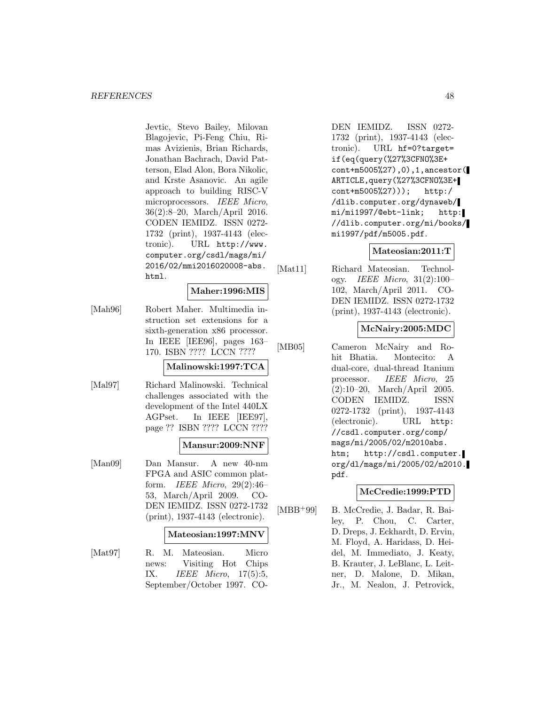Jevtic, Stevo Bailey, Milovan Blagojevic, Pi-Feng Chiu, Rimas Avizienis, Brian Richards, Jonathan Bachrach, David Patterson, Elad Alon, Bora Nikolic, and Krste Asanovic. An agile approach to building RISC-V microprocessors. IEEE Micro, 36(2):8–20, March/April 2016. CODEN IEMIDZ. ISSN 0272- 1732 (print), 1937-4143 (electronic). URL http://www. computer.org/csdl/mags/mi/ 2016/02/mmi2016020008-abs. html.

#### **Maher:1996:MIS**

[Mah96] Robert Maher. Multimedia instruction set extensions for a sixth-generation x86 processor. In IEEE [IEE96], pages 163– 170. ISBN ???? LCCN ????

# **Malinowski:1997:TCA**

[Mal97] Richard Malinowski. Technical challenges associated with the development of the Intel 440LX AGPset. In IEEE [IEE97], page ?? ISBN ???? LCCN ????

# **Mansur:2009:NNF**

[Man09] Dan Mansur. A new 40-nm FPGA and ASIC common platform. IEEE Micro, 29(2):46– 53, March/April 2009. CO-DEN IEMIDZ. ISSN 0272-1732 (print), 1937-4143 (electronic).

#### **Mateosian:1997:MNV**

[Mat97] R. M. Mateosian. Micro news: Visiting Hot Chips IX. IEEE Micro, 17(5):5, September/October 1997. CO-

DEN IEMIDZ. ISSN 0272- 1732 (print), 1937-4143 (electronic). URL hf=0?target= if(eq(query(%27%3CFNO%3E+ cont+m5005%27),0),1,ancestor( ARTICLE,query(%27%3CFNO%3E+ cont+m5005%27))); http:/ /dlib.computer.org/dynaweb/ mi/mi1997/@ebt-link; http: //dlib.computer.org/mi/books/ mi1997/pdf/m5005.pdf.

# **Mateosian:2011:T**

[Mat11] Richard Mateosian. Technology. IEEE Micro, 31(2):100– 102, March/April 2011. CO-DEN IEMIDZ. ISSN 0272-1732 (print), 1937-4143 (electronic).

# **McNairy:2005:MDC**

[MB05] Cameron McNairy and Rohit Bhatia. Montecito: A dual-core, dual-thread Itanium processor. IEEE Micro, 25 (2):10–20, March/April 2005. CODEN IEMIDZ. ISSN 0272-1732 (print), 1937-4143 (electronic). URL http: //csdl.computer.org/comp/ mags/mi/2005/02/m2010abs. htm; http://csdl.computer. org/dl/mags/mi/2005/02/m2010. pdf.

# **McCredie:1999:PTD**

[MBB<sup>+</sup>99] B. McCredie, J. Badar, R. Bailey, P. Chou, C. Carter, D. Dreps, J. Eckhardt, D. Ervin, M. Floyd, A. Haridass, D. Heidel, M. Immediato, J. Keaty, B. Krauter, J. LeBlanc, L. Leitner, D. Malone, D. Mikan, Jr., M. Nealon, J. Petrovick,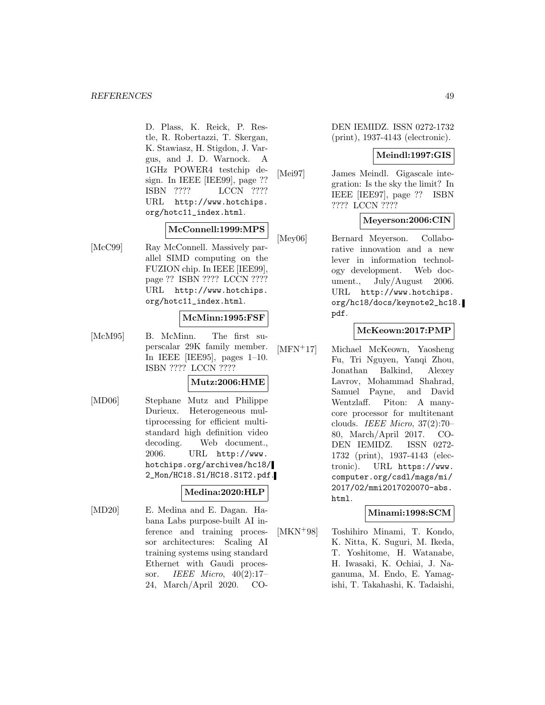D. Plass, K. Reick, P. Restle, R. Robertazzi, T. Skergan, K. Stawiasz, H. Stigdon, J. Vargus, and J. D. Warnock. A 1GHz POWER4 testchip design. In IEEE [IEE99], page ?? ISBN ???? LCCN ???? URL http://www.hotchips. org/hotc11\_index.html.

# **McConnell:1999:MPS**

[McC99] Ray McConnell. Massively parallel SIMD computing on the FUZION chip. In IEEE [IEE99], page ?? ISBN ???? LCCN ???? URL http://www.hotchips. org/hotc11\_index.html.

### **McMinn:1995:FSF**

[McM95] B. McMinn. The first superscalar 29K family member. In IEEE [IEE95], pages 1–10. ISBN ???? LCCN ????

# **Mutz:2006:HME**

[MD06] Stephane Mutz and Philippe Durieux. Heterogeneous multiprocessing for efficient multistandard high definition video decoding. Web document., 2006. URL http://www. hotchips.org/archives/hc18/ 2\_Mon/HC18.S1/HC18.S1T2.pdf.

#### **Medina:2020:HLP**

[MD20] E. Medina and E. Dagan. Habana Labs purpose-built AI inference and training processor architectures: Scaling AI training systems using standard Ethernet with Gaudi processor. IEEE Micro, 40(2):17– 24, March/April 2020. CO- DEN IEMIDZ. ISSN 0272-1732 (print), 1937-4143 (electronic).

#### **Meindl:1997:GIS**

[Mei97] James Meindl. Gigascale integration: Is the sky the limit? In IEEE [IEE97], page ?? ISBN ???? LCCN ????

#### **Meyerson:2006:CIN**

[Mey06] Bernard Meyerson. Collaborative innovation and a new lever in information technology development. Web document., July/August 2006. URL http://www.hotchips. org/hc18/docs/keynote2\_hc18. pdf.

# **McKeown:2017:PMP**

[MFN<sup>+</sup>17] Michael McKeown, Yaosheng Fu, Tri Nguyen, Yanqi Zhou, Jonathan Balkind, Alexey Lavrov, Mohammad Shahrad, Samuel Payne, and David Wentzlaff. Piton: A manycore processor for multitenant clouds. IEEE Micro, 37(2):70– 80, March/April 2017. CO-DEN IEMIDZ. ISSN 0272- 1732 (print), 1937-4143 (electronic). URL https://www. computer.org/csdl/mags/mi/ 2017/02/mmi2017020070-abs. html.

#### **Minami:1998:SCM**

[MKN<sup>+</sup>98] Toshihiro Minami, T. Kondo, K. Nitta, K. Suguri, M. Ikeda, T. Yoshitome, H. Watanabe, H. Iwasaki, K. Ochiai, J. Naganuma, M. Endo, E. Yamagishi, T. Takahashi, K. Tadaishi,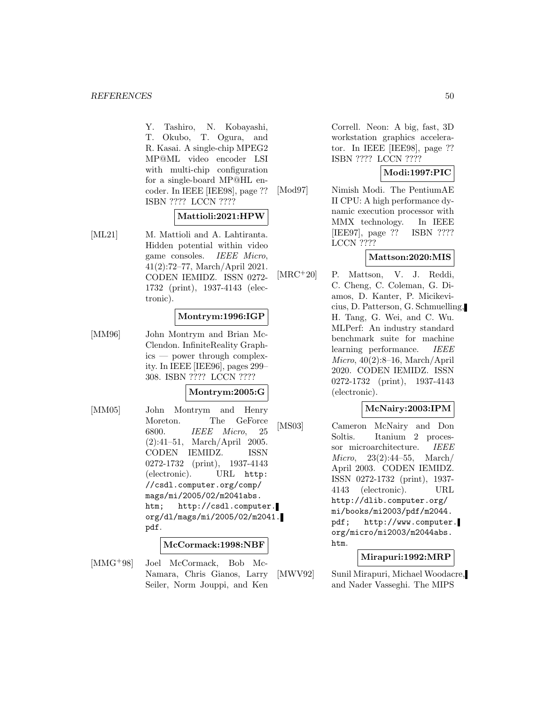Y. Tashiro, N. Kobayashi, T. Okubo, T. Ogura, and R. Kasai. A single-chip MPEG2 MP@ML video encoder LSI with multi-chip configuration for a single-board MP@HL encoder. In IEEE [IEE98], page ?? ISBN ???? LCCN ????

# **Mattioli:2021:HPW**

[ML21] M. Mattioli and A. Lahtiranta. Hidden potential within video game consoles. IEEE Micro, 41(2):72–77, March/April 2021. CODEN IEMIDZ. ISSN 0272- 1732 (print), 1937-4143 (electronic).

# **Montrym:1996:IGP**

[MM96] John Montrym and Brian Mc-Clendon. InfiniteReality Graphics — power through complexity. In IEEE [IEE96], pages 299– 308. ISBN ???? LCCN ????

#### **Montrym:2005:G**

[MM05] John Montrym and Henry Moreton. The GeForce 6800. IEEE Micro, 25 (2):41–51, March/April 2005. CODEN IEMIDZ. ISSN 0272-1732 (print), 1937-4143 (electronic). URL http: //csdl.computer.org/comp/ mags/mi/2005/02/m2041abs. htm; http://csdl.computer. org/dl/mags/mi/2005/02/m2041. pdf.

#### **McCormack:1998:NBF**

[MMG<sup>+</sup>98] Joel McCormack, Bob Mc-Namara, Chris Gianos, Larry Seiler, Norm Jouppi, and Ken Correll. Neon: A big, fast, 3D workstation graphics accelerator. In IEEE [IEE98], page ?? ISBN ???? LCCN ????

# **Modi:1997:PIC**

[Mod97] Nimish Modi. The PentiumAE II CPU: A high performance dynamic execution processor with MMX technology. In IEEE [IEE97], page ?? ISBN ???? LCCN ????

#### **Mattson:2020:MIS**

[MRC<sup>+</sup>20] P. Mattson, V. J. Reddi, C. Cheng, C. Coleman, G. Diamos, D. Kanter, P. Micikevicius, D. Patterson, G. Schmuelling, H. Tang, G. Wei, and C. Wu. MLPerf: An industry standard benchmark suite for machine learning performance. *IEEE*  $Micro, 40(2):8–16, March/April$ 2020. CODEN IEMIDZ. ISSN 0272-1732 (print), 1937-4143 (electronic).

#### **McNairy:2003:IPM**

[MS03] Cameron McNairy and Don Soltis. Itanium 2 processor microarchitecture. IEEE Micro, 23(2):44–55, March/ April 2003. CODEN IEMIDZ. ISSN 0272-1732 (print), 1937- 4143 (electronic). URL http://dlib.computer.org/ mi/books/mi2003/pdf/m2044. pdf; http://www.computer. org/micro/mi2003/m2044abs. htm.

# **Mirapuri:1992:MRP**

[MWV92] Sunil Mirapuri, Michael Woodacre, and Nader Vasseghi. The MIPS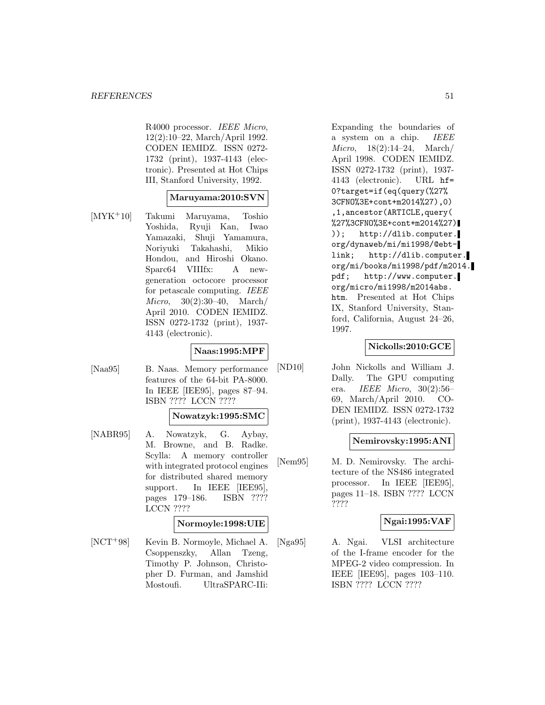R4000 processor. IEEE Micro, 12(2):10–22, March/April 1992. CODEN IEMIDZ. ISSN 0272- 1732 (print), 1937-4143 (electronic). Presented at Hot Chips III, Stanford University, 1992.

#### **Maruyama:2010:SVN**

[MYK<sup>+</sup>10] Takumi Maruyama, Toshio Yoshida, Ryuji Kan, Iwao Yamazaki, Shuji Yamamura, Noriyuki Takahashi, Mikio Hondou, and Hiroshi Okano. Sparc64 VIIIfx: A newgeneration octocore processor for petascale computing. IEEE Micro, 30(2):30–40, March/ April 2010. CODEN IEMIDZ. ISSN 0272-1732 (print), 1937- 4143 (electronic).

# **Naas:1995:MPF**

[Naa95] B. Naas. Memory performance features of the 64-bit PA-8000. In IEEE [IEE95], pages 87–94. ISBN ???? LCCN ????

#### **Nowatzyk:1995:SMC**

[NABR95] A. Nowatzyk, G. Aybay, M. Browne, and B. Radke. Scylla: A memory controller with integrated protocol engines for distributed shared memory support. In IEEE [IEE95], pages 179–186. ISBN ???? LCCN ????

#### **Normoyle:1998:UIE**

[NCT<sup>+</sup>98] Kevin B. Normoyle, Michael A. Csoppenszky, Allan Tzeng, Timothy P. Johnson, Christopher D. Furman, and Jamshid Mostoufi. UltraSPARC-IIi:

Expanding the boundaries of a system on a chip. IEEE Micro, 18(2):14–24, March/ April 1998. CODEN IEMIDZ. ISSN 0272-1732 (print), 1937- 4143 (electronic). URL hf= 0?target=if(eq(query(%27% 3CFNO%3E+cont+m2014%27),0) ,1,ancestor(ARTICLE,query( %27%3CFNO%3E+cont+m2014%27) )); http://dlib.computer. org/dynaweb/mi/mi1998/@ebtlink; http://dlib.computer. org/mi/books/mi1998/pdf/m2014. pdf; http://www.computer. org/micro/mi1998/m2014abs. htm. Presented at Hot Chips IX, Stanford University, Stanford, California, August 24–26, 1997.

#### **Nickolls:2010:GCE**

[ND10] John Nickolls and William J. Dally. The GPU computing era. *IEEE Micro*,  $30(2):56-$ 69, March/April 2010. CO-DEN IEMIDZ. ISSN 0272-1732 (print), 1937-4143 (electronic).

### **Nemirovsky:1995:ANI**

[Nem95] M. D. Nemirovsky. The architecture of the NS486 integrated processor. In IEEE [IEE95], pages 11–18. ISBN ???? LCCN ????

#### **Ngai:1995:VAF**

[Nga95] A. Ngai. VLSI architecture of the I-frame encoder for the MPEG-2 video compression. In IEEE [IEE95], pages 103–110. ISBN ???? LCCN ????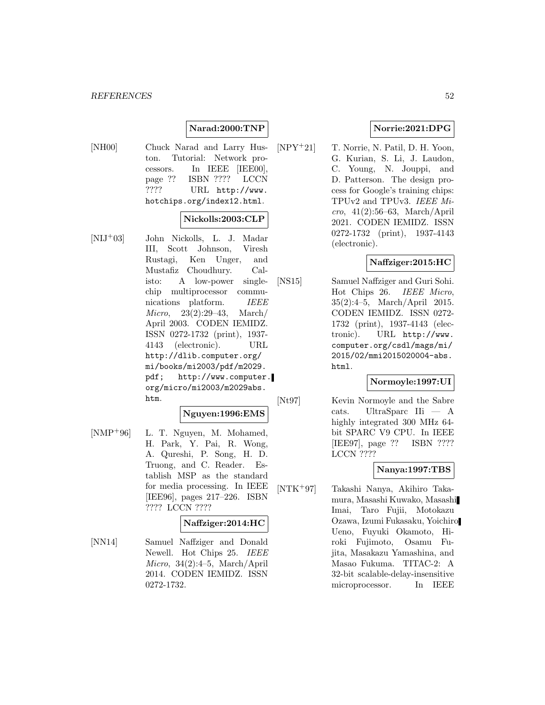# **Narad:2000:TNP**

[NH00] Chuck Narad and Larry Huston. Tutorial: Network processors. In IEEE [IEE00], page ?? ISBN ???? LCCN ???? URL http://www. hotchips.org/index12.html.

### **Nickolls:2003:CLP**

[NIJ<sup>+</sup>03] John Nickolls, L. J. Madar III, Scott Johnson, Viresh Rustagi, Ken Unger, and Mustafiz Choudhury. Calisto: A low-power singlechip multiprocessor communications platform. IEEE Micro, 23(2):29–43, March/ April 2003. CODEN IEMIDZ. ISSN 0272-1732 (print), 1937- 4143 (electronic). URL http://dlib.computer.org/ mi/books/mi2003/pdf/m2029. pdf; http://www.computer. org/micro/mi2003/m2029abs. htm.

#### **Nguyen:1996:EMS**

[NMP<sup>+</sup>96] L. T. Nguyen, M. Mohamed, H. Park, Y. Pai, R. Wong, A. Qureshi, P. Song, H. D. Truong, and C. Reader. Establish MSP as the standard for media processing. In IEEE [IEE96], pages 217–226. ISBN ???? LCCN ????

# **Naffziger:2014:HC**

[NN14] Samuel Naffziger and Donald Newell. Hot Chips 25. IEEE Micro, 34(2):4–5, March/April 2014. CODEN IEMIDZ. ISSN 0272-1732.

# **Norrie:2021:DPG**

[NPY<sup>+</sup>21] T. Norrie, N. Patil, D. H. Yoon, G. Kurian, S. Li, J. Laudon, C. Young, N. Jouppi, and D. Patterson. The design process for Google's training chips: TPUv2 and TPUv3. IEEE Micro, 41(2):56–63, March/April 2021. CODEN IEMIDZ. ISSN 0272-1732 (print), 1937-4143 (electronic).

# **Naffziger:2015:HC**

[NS15] Samuel Naffziger and Guri Sohi. Hot Chips 26. IEEE Micro, 35(2):4–5, March/April 2015. CODEN IEMIDZ. ISSN 0272- 1732 (print), 1937-4143 (electronic). URL http://www. computer.org/csdl/mags/mi/ 2015/02/mmi2015020004-abs. html.

### **Normoyle:1997:UI**

[Nt97] Kevin Normoyle and the Sabre cats. UltraSparc IIi — A highly integrated 300 MHz 64 bit SPARC V9 CPU. In IEEE [IEE97], page ?? ISBN ???? LCCN ????

### **Nanya:1997:TBS**

[NTK<sup>+</sup>97] Takashi Nanya, Akihiro Takamura, Masashi Kuwako, Masashi Imai, Taro Fujii, Motokazu Ozawa, Izumi Fukasaku, Yoichiro Ueno, Fuyuki Okamoto, Hiroki Fujimoto, Osamu Fujita, Masakazu Yamashina, and Masao Fukuma. TITAC-2: A 32-bit scalable-delay-insensitive microprocessor. In IEEE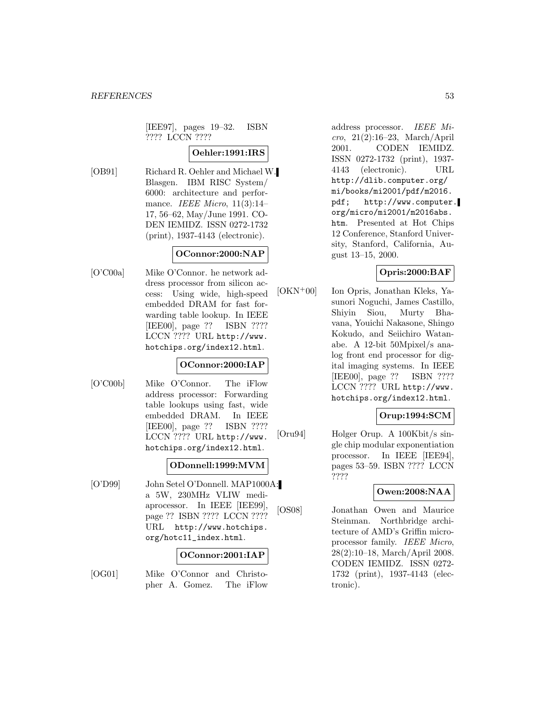[IEE97], pages 19–32. ISBN ???? LCCN ????

# **Oehler:1991:IRS**

[OB91] Richard R. Oehler and Michael W. Blasgen. IBM RISC System/ 6000: architecture and performance. IEEE Micro,  $11(3):14-$ 17, 56–62, May/June 1991. CO-DEN IEMIDZ. ISSN 0272-1732 (print), 1937-4143 (electronic).

# **OConnor:2000:NAP**

[O'C00a] Mike O'Connor. he network address processor from silicon access: Using wide, high-speed embedded DRAM for fast forwarding table lookup. In IEEE [IEE00], page ?? ISBN ???? LCCN ???? URL http://www. hotchips.org/index12.html.

# **OConnor:2000:IAP**

[O'C00b] Mike O'Connor. The iFlow address processor: Forwarding table lookups using fast, wide embedded DRAM. In IEEE [IEE00], page ?? ISBN ???? LCCN ???? URL http://www. hotchips.org/index12.html.

# **ODonnell:1999:MVM**

[O'D99] John Setel O'Donnell. MAP1000A: a 5W, 230MHz VLIW mediaprocessor. In IEEE [IEE99], page ?? ISBN ???? LCCN ???? URL http://www.hotchips. org/hotc11\_index.html.

#### **OConnor:2001:IAP**

[OG01] Mike O'Connor and Christopher A. Gomez. The iFlow

address processor. IEEE Micro, 21(2):16–23, March/April 2001. CODEN IEMIDZ. ISSN 0272-1732 (print), 1937- 4143 (electronic). URL http://dlib.computer.org/ mi/books/mi2001/pdf/m2016. pdf; http://www.computer. org/micro/mi2001/m2016abs. htm. Presented at Hot Chips 12 Conference, Stanford University, Stanford, California, August 13–15, 2000.

# **Opris:2000:BAF**

[OKN<sup>+</sup>00] Ion Opris, Jonathan Kleks, Yasunori Noguchi, James Castillo, Shiyin Siou, Murty Bhavana, Youichi Nakasone, Shingo Kokudo, and Seiichiro Watanabe. A 12-bit 50Mpixel/s analog front end processor for digital imaging systems. In IEEE [IEE00], page ?? ISBN ???? LCCN ???? URL http://www. hotchips.org/index12.html.

# **Orup:1994:SCM**

[Oru94] Holger Orup. A 100Kbit/s single chip modular exponentiation processor. In IEEE [IEE94], pages 53–59. ISBN ???? LCCN ????

#### **Owen:2008:NAA**

[OS08] Jonathan Owen and Maurice Steinman. Northbridge architecture of AMD's Griffin microprocessor family. IEEE Micro, 28(2):10–18, March/April 2008. CODEN IEMIDZ. ISSN 0272- 1732 (print), 1937-4143 (electronic).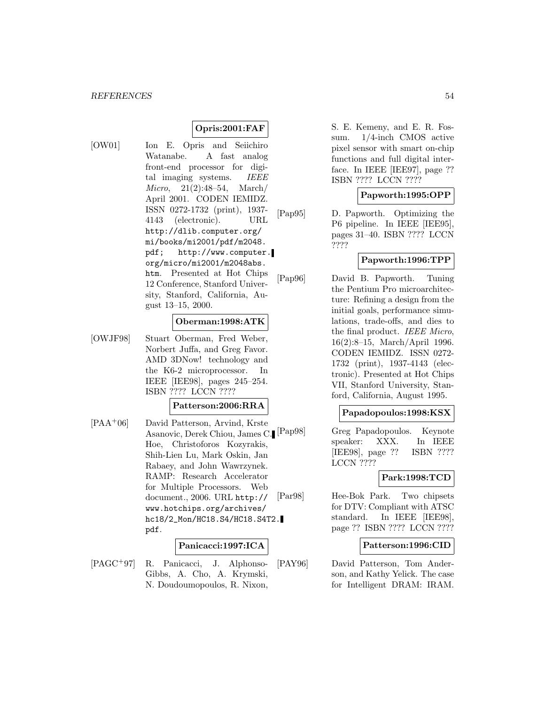### **Opris:2001:FAF**

[OW01] Ion E. Opris and Seiichiro Watanabe. A fast analog front-end processor for digital imaging systems. IEEE Micro, 21(2):48–54, March/ April 2001. CODEN IEMIDZ. ISSN 0272-1732 (print), 1937- 4143 (electronic). URL http://dlib.computer.org/ mi/books/mi2001/pdf/m2048. pdf; http://www.computer. org/micro/mi2001/m2048abs. htm. Presented at Hot Chips 12 Conference, Stanford University, Stanford, California, August 13–15, 2000.

#### **Oberman:1998:ATK**

[OWJF98] Stuart Oberman, Fred Weber, Norbert Juffa, and Greg Favor. AMD 3DNow! technology and the K6-2 microprocessor. In IEEE [IEE98], pages 245–254. ISBN ???? LCCN ????

#### **Patterson:2006:RRA**

[PAA<sup>+</sup>06] David Patterson, Arvind, Krste Asanovic, Derek Chiou, James C. Hoe, Christoforos Kozyrakis, Shih-Lien Lu, Mark Oskin, Jan Rabaey, and John Wawrzynek. RAMP: Research Accelerator for Multiple Processors. Web document., 2006. URL http:// www.hotchips.org/archives/ hc18/2\_Mon/HC18.S4/HC18.S4T2. pdf.

### **Panicacci:1997:ICA**

[PAGC<sup>+</sup>97] R. Panicacci, J. Alphonso-Gibbs, A. Cho, A. Krymski, N. Doudoumopoulos, R. Nixon,

S. E. Kemeny, and E. R. Fossum. 1/4-inch CMOS active pixel sensor with smart on-chip functions and full digital interface. In IEEE [IEE97], page ?? ISBN ???? LCCN ????

#### **Papworth:1995:OPP**

[Pap95] D. Papworth. Optimizing the P6 pipeline. In IEEE [IEE95], pages 31–40. ISBN ???? LCCN ????

# **Papworth:1996:TPP**

[Pap96] David B. Papworth. Tuning the Pentium Pro microarchitecture: Refining a design from the initial goals, performance simulations, trade-offs, and dies to the final product. IEEE Micro, 16(2):8–15, March/April 1996. CODEN IEMIDZ. ISSN 0272- 1732 (print), 1937-4143 (electronic). Presented at Hot Chips VII, Stanford University, Stanford, California, August 1995.

#### **Papadopoulos:1998:KSX**

[Pap98] Greg Papadopoulos. Keynote speaker: XXX. In IEEE [IEE98], page ?? ISBN ???? LCCN ????

#### **Park:1998:TCD**

[Par98] Hee-Bok Park. Two chipsets for DTV: Compliant with ATSC standard. In IEEE [IEE98], page ?? ISBN ???? LCCN ????

### **Patterson:1996:CID**

[PAY96] David Patterson, Tom Anderson, and Kathy Yelick. The case for Intelligent DRAM: IRAM.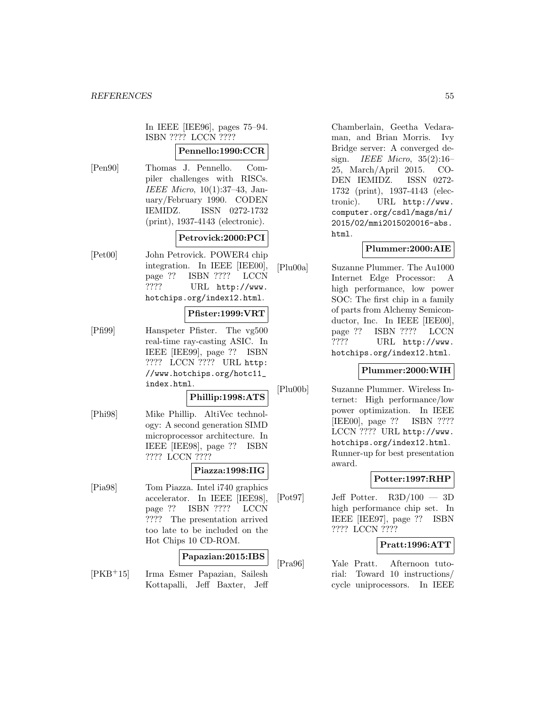In IEEE [IEE96], pages 75–94. ISBN ???? LCCN ????

# **Pennello:1990:CCR**

[Pen90] Thomas J. Pennello. Compiler challenges with RISCs. IEEE Micro, 10(1):37–43, January/February 1990. CODEN IEMIDZ. ISSN 0272-1732 (print), 1937-4143 (electronic).

# **Petrovick:2000:PCI**

[Pet00] John Petrovick. POWER4 chip integration. In IEEE [IEE00], page ?? ISBN ???? LCCN ???? URL http://www. hotchips.org/index12.html.

# **Pfister:1999:VRT**

[Pfi99] Hanspeter Pfister. The vg500 real-time ray-casting ASIC. In IEEE [IEE99], page ?? ISBN ???? LCCN ???? URL http: //www.hotchips.org/hotc11\_ index.html.

#### **Phillip:1998:ATS**

[Phi98] Mike Phillip. AltiVec technology: A second generation SIMD microprocessor architecture. In IEEE [IEE98], page ?? ISBN ???? LCCN ????

# **Piazza:1998:IIG**

[Pia98] Tom Piazza. Intel i740 graphics accelerator. In IEEE [IEE98], page ?? ISBN ???? LCCN ???? The presentation arrived too late to be included on the Hot Chips 10 CD-ROM.

#### **Papazian:2015:IBS**

[PKB<sup>+</sup>15] Irma Esmer Papazian, Sailesh Kottapalli, Jeff Baxter, Jeff

Chamberlain, Geetha Vedaraman, and Brian Morris. Ivy Bridge server: A converged design. IEEE Micro, 35(2):16– 25, March/April 2015. CO-DEN IEMIDZ. ISSN 0272- 1732 (print), 1937-4143 (electronic). URL http://www. computer.org/csdl/mags/mi/ 2015/02/mmi2015020016-abs. html.

# **Plummer:2000:AIE**

[Plu00a] Suzanne Plummer. The Au1000 Internet Edge Processor: A high performance, low power SOC: The first chip in a family of parts from Alchemy Semiconductor, Inc. In IEEE [IEE00], page ?? ISBN ???? LCCN ???? URL http://www. hotchips.org/index12.html.

### **Plummer:2000:WIH**

[Plu00b] Suzanne Plummer. Wireless Internet: High performance/low power optimization. In IEEE [IEE00], page ?? ISBN ???? LCCN ???? URL http://www. hotchips.org/index12.html. Runner-up for best presentation award.

# **Potter:1997:RHP**

 $[Pot97]$  Jeff Potter.  $R3D/100 - 3D$ high performance chip set. In IEEE [IEE97], page ?? ISBN ???? LCCN ????

# **Pratt:1996:ATT**

[Pra96] Yale Pratt. Afternoon tutorial: Toward 10 instructions/ cycle uniprocessors. In IEEE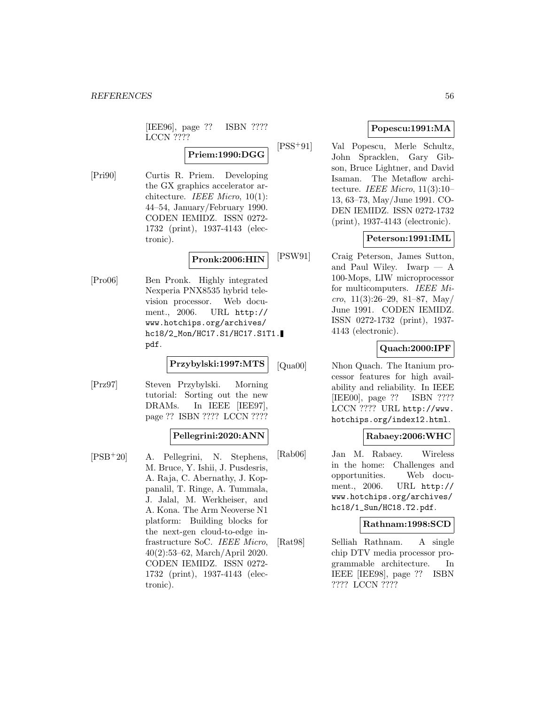[IEE96], page ?? ISBN ???? LCCN ????

**Priem:1990:DGG**

[Pri90] Curtis R. Priem. Developing the GX graphics accelerator architecture. IEEE Micro, 10(1): 44–54, January/February 1990. CODEN IEMIDZ. ISSN 0272- 1732 (print), 1937-4143 (electronic).

# **Pronk:2006:HIN**

[Pro06] Ben Pronk. Highly integrated Nexperia PNX8535 hybrid television processor. Web document., 2006. URL http:// www.hotchips.org/archives/ hc18/2\_Mon/HC17.S1/HC17.S1T1. pdf.

**Przybylski:1997:MTS**

[Prz97] Steven Przybylski. Morning tutorial: Sorting out the new DRAMs. In IEEE [IEE97], page ?? ISBN ???? LCCN ????

### **Pellegrini:2020:ANN**

[PSB<sup>+</sup>20] A. Pellegrini, N. Stephens, M. Bruce, Y. Ishii, J. Pusdesris, A. Raja, C. Abernathy, J. Koppanalil, T. Ringe, A. Tummala, J. Jalal, M. Werkheiser, and A. Kona. The Arm Neoverse N1 platform: Building blocks for the next-gen cloud-to-edge infrastructure SoC. IEEE Micro, 40(2):53–62, March/April 2020. CODEN IEMIDZ. ISSN 0272- 1732 (print), 1937-4143 (electronic).

# **Popescu:1991:MA**

[PSS<sup>+</sup>91] Val Popescu, Merle Schultz, John Spracklen, Gary Gibson, Bruce Lightner, and David Isaman. The Metaflow architecture. IEEE Micro,  $11(3):10-$ 13, 63–73, May/June 1991. CO-DEN IEMIDZ. ISSN 0272-1732 (print), 1937-4143 (electronic).

# **Peterson:1991:IML**

[PSW91] Craig Peterson, James Sutton, and Paul Wiley. Iwarp  $- A$ 100-Mops, LIW microprocessor for multicomputers. IEEE Micro,  $11(3):26-29$ ,  $81-87$ , May/ June 1991. CODEN IEMIDZ. ISSN 0272-1732 (print), 1937- 4143 (electronic).

# **Quach:2000:IPF**

[Qua00] Nhon Quach. The Itanium processor features for high availability and reliability. In IEEE [IEE00], page ?? ISBN ???? LCCN ???? URL http://www. hotchips.org/index12.html.

# **Rabaey:2006:WHC**

[Rab06] Jan M. Rabaey. Wireless in the home: Challenges and opportunities. Web document., 2006. URL http:// www.hotchips.org/archives/ hc18/1\_Sun/HC18.T2.pdf.

# **Rathnam:1998:SCD**

[Rat98] Selliah Rathnam. A single chip DTV media processor programmable architecture. In IEEE [IEE98], page ?? ISBN ???? LCCN ????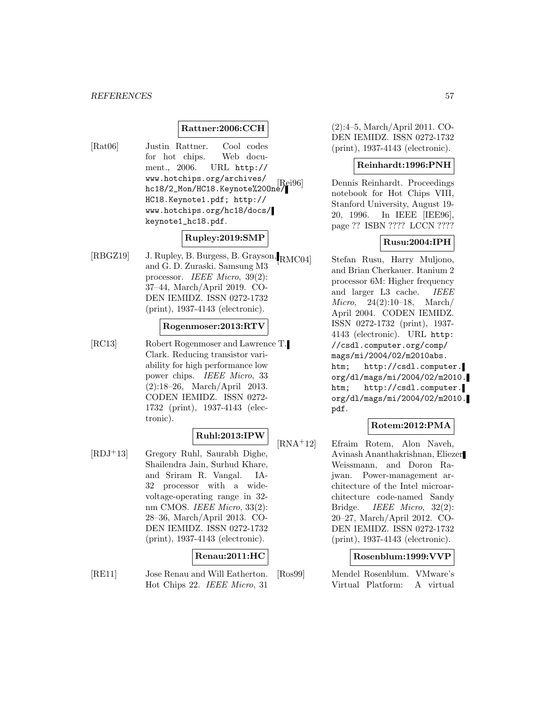# **Rattner:2006:CCH**

[Rat06] Justin Rattner. Cool codes for hot chips. Web document., 2006. URL http:// www.hotchips.org/archives/ hc18/2\_Mon/HC18.Keynote%20One/ HC18.Keynote1.pdf; http:// www.hotchips.org/hc18/docs/ keynote1\_hc18.pdf.

# **Rupley:2019:SMP**

[RBGZ19] J. Rupley, B. Burgess, B. Grayson, RMC04] and G. D. Zuraski. Samsung M3 processor. IEEE Micro, 39(2): 37–44, March/April 2019. CO-DEN IEMIDZ. ISSN 0272-1732 (print), 1937-4143 (electronic).

#### **Rogenmoser:2013:RTV**

[RC13] Robert Rogenmoser and Lawrence T. Clark. Reducing transistor variability for high performance low power chips. IEEE Micro, 33 (2):18–26, March/April 2013. CODEN IEMIDZ. ISSN 0272- 1732 (print), 1937-4143 (electronic).

### **Ruhl:2013:IPW**

[RDJ<sup>+</sup>13] Gregory Ruhl, Saurabh Dighe, Shailendra Jain, Surhud Khare, and Sriram R. Vangal. IA-32 processor with a widevoltage-operating range in 32 nm CMOS. IEEE Micro, 33(2): 28–36, March/April 2013. CO-DEN IEMIDZ. ISSN 0272-1732 (print), 1937-4143 (electronic).

#### **Renau:2011:HC**

[RE11] Jose Renau and Will Eatherton. Hot Chips 22. IEEE Micro, 31

(2):4–5, March/April 2011. CO-DEN IEMIDZ. ISSN 0272-1732 (print), 1937-4143 (electronic).

# **Reinhardt:1996:PNH**

Dennis Reinhardt. Proceedings notebook for Hot Chips VIII, Stanford University, August 19- 20, 1996. In IEEE [IEE96], page ?? ISBN ???? LCCN ????

#### **Rusu:2004:IPH**

Stefan Rusu, Harry Muljono, and Brian Cherkauer. Itanium 2 processor 6M: Higher frequency and larger L3 cache. IEEE Micro, 24(2):10–18, March/ April 2004. CODEN IEMIDZ. ISSN 0272-1732 (print), 1937- 4143 (electronic). URL http: //csdl.computer.org/comp/ mags/mi/2004/02/m2010abs. htm; http://csdl.computer. org/dl/mags/mi/2004/02/m2010. htm; http://csdl.computer. org/dl/mags/mi/2004/02/m2010. pdf.

# **Rotem:2012:PMA**

[RNA<sup>+</sup>12] Efraim Rotem, Alon Naveh, Avinash Ananthakrishnan, Eliezer Weissmann, and Doron Rajwan. Power-management architecture of the Intel microarchitecture code-named Sandy Bridge. IEEE Micro, 32(2): 20–27, March/April 2012. CO-DEN IEMIDZ. ISSN 0272-1732 (print), 1937-4143 (electronic).

#### **Rosenblum:1999:VVP**

[Ros99] Mendel Rosenblum. VMware's Virtual Platform: A virtual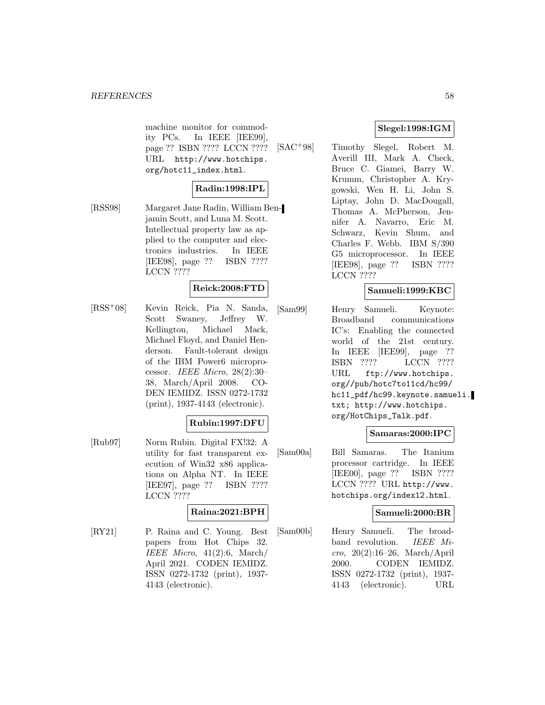machine monitor for commodity PCs. In IEEE [IEE99], page ?? ISBN ???? LCCN ???? URL http://www.hotchips. org/hotc11\_index.html.

# **Radin:1998:IPL**

[RSS98] Margaret Jane Radin, William Benjamin Scott, and Luna M. Scott. Intellectual property law as applied to the computer and electronics industries. In IEEE [IEE98], page ?? ISBN ???? LCCN ????

# **Reick:2008:FTD**

[RSS<sup>+</sup>08] Kevin Reick, Pia N. Sanda, Scott Swaney, Jeffrey W. Kellington, Michael Mack, Michael Floyd, and Daniel Henderson. Fault-tolerant design of the IBM Power6 microprocessor. IEEE Micro, 28(2):30– 38, March/April 2008. CO-DEN IEMIDZ. ISSN 0272-1732 (print), 1937-4143 (electronic).

#### **Rubin:1997:DFU**

[Rub97] Norm Rubin. Digital FX!32: A utility for fast transparent execution of Win32 x86 applications on Alpha NT. In IEEE [IEE97], page ?? ISBN ???? LCCN ????

# **Raina:2021:BPH**

[RY21] P. Raina and C. Young. Best papers from Hot Chips 32. IEEE Micro,  $41(2):6$ , March/ April 2021. CODEN IEMIDZ. ISSN 0272-1732 (print), 1937- 4143 (electronic).

# **Slegel:1998:IGM**

[SAC<sup>+</sup>98] Timothy Slegel, Robert M. Averill III, Mark A. Check, Bruce C. Giamei, Barry W. Krumm, Christopher A. Krygowski, Wen H. Li, John S. Liptay, John D. MacDougall, Thomas A. McPherson, Jennifer A. Navarro, Eric M. Schwarz, Kevin Shum, and Charles F. Webb. IBM S/390 G5 microprocessor. In IEEE [IEE98], page ?? ISBN ???? LCCN ????

# **Samueli:1999:KBC**

[Sam99] Henry Samueli. Keynote: Broadband communications IC's: Enabling the connected world of the 21st century. In IEEE [IEE99], page ?? ISBN ???? LCCN ???? URL ftp://www.hotchips. org//pub/hotc7to11cd/hc99/ hc11\_pdf/hc99.keynote.samueli. txt; http://www.hotchips. org/HotChips\_Talk.pdf.

#### **Samaras:2000:IPC**

[Sam00a] Bill Samaras. The Itanium processor cartridge. In IEEE [IEE00], page ?? ISBN ???? LCCN ???? URL http://www. hotchips.org/index12.html.

#### **Samueli:2000:BR**

[Sam00b] Henry Samueli. The broadband revolution. IEEE Micro, 20(2):16–26, March/April 2000. CODEN IEMIDZ. ISSN 0272-1732 (print), 1937- 4143 (electronic). URL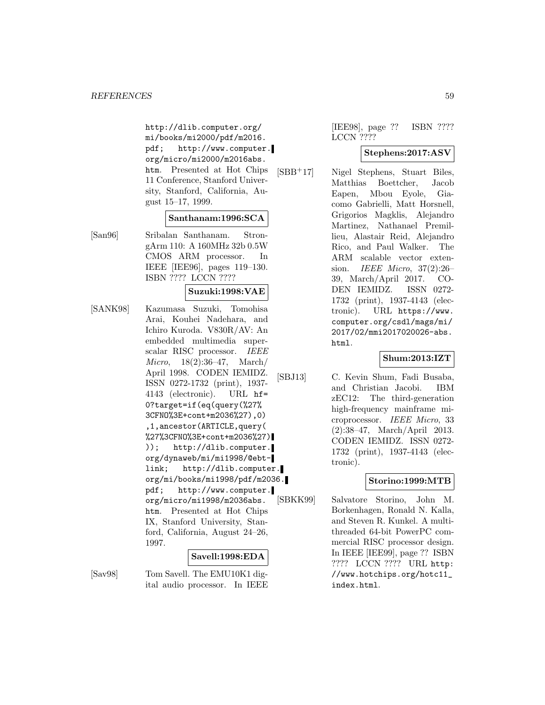http://dlib.computer.org/ mi/books/mi2000/pdf/m2016. pdf; http://www.computer. org/micro/mi2000/m2016abs. htm. Presented at Hot Chips 11 Conference, Stanford University, Stanford, California, August 15–17, 1999.

#### **Santhanam:1996:SCA**

[San96] Sribalan Santhanam. StrongArm 110: A 160MHz 32b 0.5W CMOS ARM processor. In IEEE [IEE96], pages 119–130. ISBN ???? LCCN ????

# **Suzuki:1998:VAE**

[SANK98] Kazumasa Suzuki, Tomohisa Arai, Kouhei Nadehara, and Ichiro Kuroda. V830R/AV: An embedded multimedia superscalar RISC processor. IEEE Micro, 18(2):36–47, March/ April 1998. CODEN IEMIDZ. ISSN 0272-1732 (print), 1937- 4143 (electronic). URL hf= 0?target=if(eq(query(%27% 3CFNO%3E+cont+m2036%27),0) ,1,ancestor(ARTICLE,query( %27%3CFNO%3E+cont+m2036%27) )); http://dlib.computer. org/dynaweb/mi/mi1998/@ebtlink; http://dlib.computer. org/mi/books/mi1998/pdf/m2036. pdf; http://www.computer. org/micro/mi1998/m2036abs. htm. Presented at Hot Chips IX, Stanford University, Stanford, California, August 24–26, 1997.

# **Savell:1998:EDA**

[Sav98] Tom Savell. The EMU10K1 digital audio processor. In IEEE [IEE98], page ?? ISBN ???? LCCN ????

### **Stephens:2017:ASV**

[SBB<sup>+</sup>17] Nigel Stephens, Stuart Biles, Matthias Boettcher, Jacob Eapen, Mbou Eyole, Giacomo Gabrielli, Matt Horsnell, Grigorios Magklis, Alejandro Martinez, Nathanael Premillieu, Alastair Reid, Alejandro Rico, and Paul Walker. The ARM scalable vector extension. IEEE Micro, 37(2):26– 39, March/April 2017. CO-DEN IEMIDZ. ISSN 0272- 1732 (print), 1937-4143 (electronic). URL https://www. computer.org/csdl/mags/mi/ 2017/02/mmi2017020026-abs. html.

# **Shum:2013:IZT**

[SBJ13] C. Kevin Shum, Fadi Busaba, and Christian Jacobi. IBM zEC12: The third-generation high-frequency mainframe microprocessor. IEEE Micro, 33 (2):38–47, March/April 2013. CODEN IEMIDZ. ISSN 0272- 1732 (print), 1937-4143 (electronic).

# **Storino:1999:MTB**

[SBKK99] Salvatore Storino, John M. Borkenhagen, Ronald N. Kalla, and Steven R. Kunkel. A multithreaded 64-bit PowerPC commercial RISC processor design. In IEEE [IEE99], page ?? ISBN ???? LCCN ???? URL http: //www.hotchips.org/hotc11\_ index.html.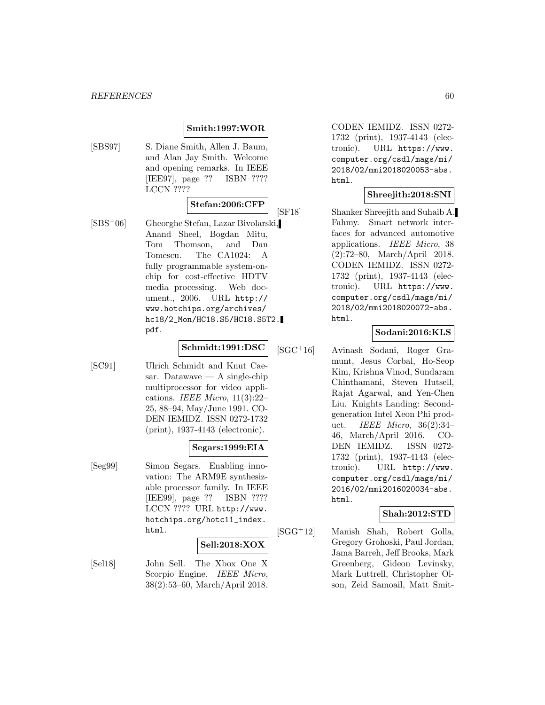# **Smith:1997:WOR**

[SBS97] S. Diane Smith, Allen J. Baum, and Alan Jay Smith. Welcome and opening remarks. In IEEE [IEE97], page ?? ISBN ???? LCCN ????

# **Stefan:2006:CFP**

[SBS<sup>+</sup>06] Gheorghe Stefan, Lazar Bivolarski, Anand Sheel, Bogdan Mitu, Tom Thomson, and Dan Tomescu. The CA1024: A fully programmable system-onchip for cost-effective HDTV media processing. Web document., 2006. URL http:// www.hotchips.org/archives/ hc18/2\_Mon/HC18.S5/HC18.S5T2. pdf.

# **Schmidt:1991:DSC**

- 
- [SC91] Ulrich Schmidt and Knut Caesar. Datawave — A single-chip multiprocessor for video applications. IEEE Micro,  $11(3):22-$ 25, 88–94, May/June 1991. CO-DEN IEMIDZ. ISSN 0272-1732 (print), 1937-4143 (electronic).

# **Segars:1999:EIA**

[Seg99] Simon Segars. Enabling innovation: The ARM9E synthesizable processor family. In IEEE [IEE99], page ?? ISBN ???? LCCN ???? URL http://www. hotchips.org/hotc11\_index. html.

#### **Sell:2018:XOX**

[Sel18] John Sell. The Xbox One X Scorpio Engine. IEEE Micro, 38(2):53–60, March/April 2018.

CODEN IEMIDZ. ISSN 0272- 1732 (print), 1937-4143 (electronic). URL https://www. computer.org/csdl/mags/mi/ 2018/02/mmi2018020053-abs. html.

# **Shreejith:2018:SNI**

[SF18] Shanker Shreejith and Suhaib A. Fahmy. Smart network interfaces for advanced automotive applications. IEEE Micro, 38 (2):72–80, March/April 2018. CODEN IEMIDZ. ISSN 0272- 1732 (print), 1937-4143 (electronic). URL https://www. computer.org/csdl/mags/mi/ 2018/02/mmi2018020072-abs. html.

# **Sodani:2016:KLS**

[SGC<sup>+</sup>16] Avinash Sodani, Roger Gramunt, Jesus Corbal, Ho-Seop Kim, Krishna Vinod, Sundaram Chinthamani, Steven Hutsell, Rajat Agarwal, and Yen-Chen Liu. Knights Landing: Secondgeneration Intel Xeon Phi product. IEEE Micro, 36(2):34– 46, March/April 2016. CO-DEN IEMIDZ. ISSN 0272- 1732 (print), 1937-4143 (electronic). URL http://www. computer.org/csdl/mags/mi/ 2016/02/mmi2016020034-abs. html.

# **Shah:2012:STD**

[SGG<sup>+</sup>12] Manish Shah, Robert Golla, Gregory Grohoski, Paul Jordan, Jama Barreh, Jeff Brooks, Mark Greenberg, Gideon Levinsky, Mark Luttrell, Christopher Olson, Zeid Samoail, Matt Smit-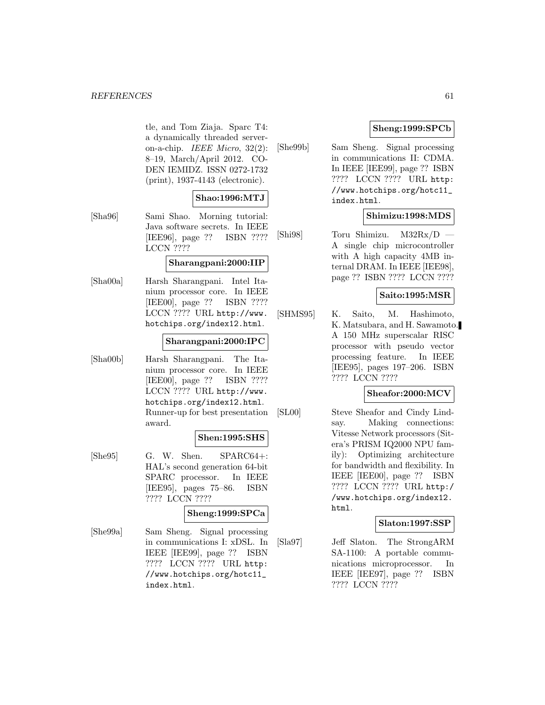#### *REFERENCES* 61

tle, and Tom Ziaja. Sparc T4: a dynamically threaded serveron-a-chip. IEEE Micro, 32(2): 8–19, March/April 2012. CO-DEN IEMIDZ. ISSN 0272-1732 (print), 1937-4143 (electronic).

#### **Shao:1996:MTJ**

[Sha96] Sami Shao. Morning tutorial: Java software secrets. In IEEE [IEE96], page ?? ISBN ???? LCCN ????

#### **Sharangpani:2000:IIP**

[Sha00a] Harsh Sharangpani. Intel Itanium processor core. In IEEE [IEE00], page ?? ISBN ???? LCCN ???? URL http://www. hotchips.org/index12.html.

#### **Sharangpani:2000:IPC**

[Sha00b] Harsh Sharangpani. The Itanium processor core. In IEEE [IEE00], page ?? ISBN ???? LCCN ???? URL http://www. hotchips.org/index12.html. Runner-up for best presentation award.

#### **Shen:1995:SHS**

[She95] G. W. Shen. SPARC64+: HAL's second generation 64-bit SPARC processor. In IEEE [IEE95], pages 75–86. ISBN ???? LCCN ????

# **Sheng:1999:SPCa**

[She99a] Sam Sheng. Signal processing in communications I: xDSL. In IEEE [IEE99], page ?? ISBN ???? LCCN ???? URL http: //www.hotchips.org/hotc11\_ index.html.

# **Sheng:1999:SPCb**

[She99b] Sam Sheng. Signal processing in communications II: CDMA. In IEEE [IEE99], page ?? ISBN ???? LCCN ???? URL http: //www.hotchips.org/hotc11\_ index.html.

# **Shimizu:1998:MDS**

[Shi98] Toru Shimizu. M32Rx/D — A single chip microcontroller with A high capacity 4MB internal DRAM. In IEEE [IEE98], page ?? ISBN ???? LCCN ????

#### **Saito:1995:MSR**

[SHMS95] K. Saito, M. Hashimoto, K. Matsubara, and H. Sawamoto. A 150 MHz superscalar RISC processor with pseudo vector processing feature. In IEEE [IEE95], pages 197–206. ISBN ???? LCCN ????

#### **Sheafor:2000:MCV**

[SL00] Steve Sheafor and Cindy Lindsay. Making connections: Vitesse Network processors (Sitera's PRISM IQ2000 NPU family): Optimizing architecture for bandwidth and flexibility. In IEEE [IEE00], page ?? ISBN ???? LCCN ???? URL http:/ /www.hotchips.org/index12. html.

#### **Slaton:1997:SSP**

[Sla97] Jeff Slaton. The StrongARM SA-1100: A portable communications microprocessor. In IEEE [IEE97], page ?? ISBN ???? LCCN ????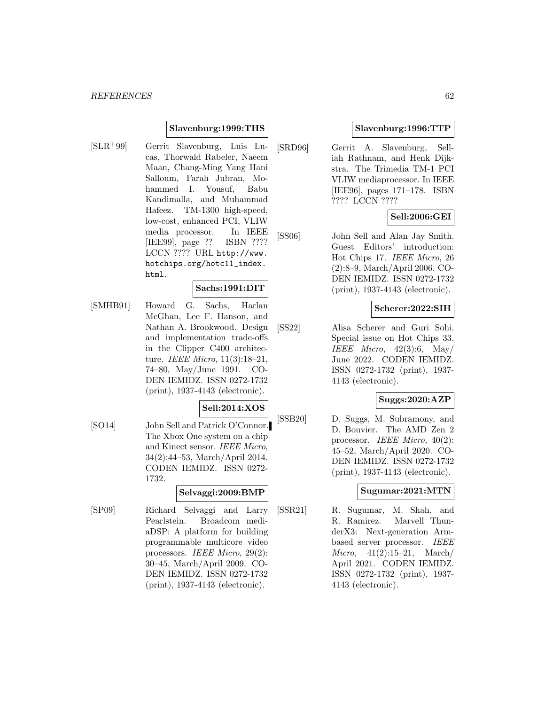### **Slavenburg:1999:THS**

[SLR<sup>+</sup>99] Gerrit Slavenburg, Luis Lucas, Thorwald Rabeler, Naeem Maan, Chang-Ming Yang Hani Salloum, Farah Jubran, Mohammed I. Yousuf, Babu Kandimalla, and Muhammad Hafeez. TM-1300 high-speed, low-cost, enhanced PCI, VLIW media processor. In IEEE [IEE99], page ?? ISBN ???? LCCN ???? URL http://www. hotchips.org/hotc11\_index. html.

#### **Sachs:1991:DIT**

[SMHB91] Howard G. Sachs, Harlan McGhan, Lee F. Hanson, and Nathan A. Brookwood. Design and implementation trade-offs in the Clipper C400 architecture. IEEE Micro, 11(3):18–21, 74–80, May/June 1991. CO-DEN IEMIDZ. ISSN 0272-1732 (print), 1937-4143 (electronic).

#### **Sell:2014:XOS**

[SO14] John Sell and Patrick O'Connor. The Xbox One system on a chip and Kinect sensor. IEEE Micro, 34(2):44–53, March/April 2014. CODEN IEMIDZ. ISSN 0272- 1732.

#### **Selvaggi:2009:BMP**

[SP09] Richard Selvaggi and Larry Pearlstein. Broadcom mediaDSP: A platform for building programmable multicore video processors. IEEE Micro, 29(2): 30–45, March/April 2009. CO-DEN IEMIDZ. ISSN 0272-1732 (print), 1937-4143 (electronic).

#### **Slavenburg:1996:TTP**

[SRD96] Gerrit A. Slavenburg, Selliah Rathnam, and Henk Dijkstra. The Trimedia TM-1 PCI VLIW mediaprocessor. In IEEE [IEE96], pages 171–178. ISBN ???? LCCN ????

# **Sell:2006:GEI**

[SS06] John Sell and Alan Jay Smith. Guest Editors' introduction: Hot Chips 17. IEEE Micro, 26 (2):8–9, March/April 2006. CO-DEN IEMIDZ. ISSN 0272-1732 (print), 1937-4143 (electronic).

#### **Scherer:2022:SIH**

[SS22] Alisa Scherer and Guri Sohi. Special issue on Hot Chips 33. IEEE Micro,  $42(3):6$ , May/ June 2022. CODEN IEMIDZ. ISSN 0272-1732 (print), 1937- 4143 (electronic).

# **Suggs:2020:AZP**

[SSB20] D. Suggs, M. Subramony, and D. Bouvier. The AMD Zen 2 processor. IEEE Micro, 40(2): 45–52, March/April 2020. CO-DEN IEMIDZ. ISSN 0272-1732 (print), 1937-4143 (electronic).

# **Sugumar:2021:MTN**

[SSR21] R. Sugumar, M. Shah, and R. Ramirez. Marvell ThunderX3: Next-generation Armbased server processor. IEEE Micro, 41(2):15–21, March/ April 2021. CODEN IEMIDZ. ISSN 0272-1732 (print), 1937- 4143 (electronic).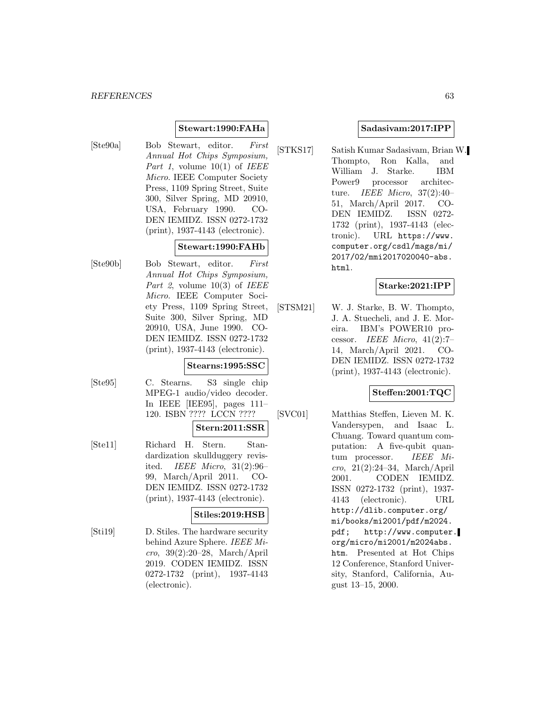### **Stewart:1990:FAHa**

[Ste90a] Bob Stewart, editor. First Annual Hot Chips Symposium, Part 1, volume  $10(1)$  of IEEE Micro. IEEE Computer Society Press, 1109 Spring Street, Suite 300, Silver Spring, MD 20910, USA, February 1990. CO-DEN IEMIDZ. ISSN 0272-1732 (print), 1937-4143 (electronic).

# **Stewart:1990:FAHb**

[Ste90b] Bob Stewart, editor. First Annual Hot Chips Symposium, Part 2, volume  $10(3)$  of IEEE Micro. IEEE Computer Society Press, 1109 Spring Street, Suite 300, Silver Spring, MD 20910, USA, June 1990. CO-DEN IEMIDZ. ISSN 0272-1732 (print), 1937-4143 (electronic).

#### **Stearns:1995:SSC**

[Ste95] C. Stearns. S3 single chip MPEG-1 audio/video decoder. In IEEE [IEE95], pages 111– 120. ISBN ???? LCCN ????

# **Stern:2011:SSR**

[Ste11] Richard H. Stern. Standardization skullduggery revisited. IEEE Micro, 31(2):96– 99, March/April 2011. CO-DEN IEMIDZ. ISSN 0272-1732 (print), 1937-4143 (electronic).

#### **Stiles:2019:HSB**

[Sti19] D. Stiles. The hardware security behind Azure Sphere. IEEE Micro, 39(2):20–28, March/April 2019. CODEN IEMIDZ. ISSN 0272-1732 (print), 1937-4143 (electronic).

# **Sadasivam:2017:IPP**

[STKS17] Satish Kumar Sadasivam, Brian W. Thompto, Ron Kalla, and William J. Starke. IBM Power9 processor architecture. IEEE Micro, 37(2):40– 51, March/April 2017. CO-DEN IEMIDZ. ISSN 0272- 1732 (print), 1937-4143 (electronic). URL https://www. computer.org/csdl/mags/mi/ 2017/02/mmi2017020040-abs. html.

#### **Starke:2021:IPP**

[STSM21] W. J. Starke, B. W. Thompto, J. A. Stuecheli, and J. E. Moreira. IBM's POWER10 processor. IEEE Micro,  $41(2):7$ 14, March/April 2021. CO-DEN IEMIDZ. ISSN 0272-1732 (print), 1937-4143 (electronic).

# **Steffen:2001:TQC**

[SVC01] Matthias Steffen, Lieven M. K. Vandersypen, and Isaac L. Chuang. Toward quantum computation: A five-qubit quantum processor. IEEE Micro, 21(2):24–34, March/April 2001. CODEN IEMIDZ. ISSN 0272-1732 (print), 1937- 4143 (electronic). URL http://dlib.computer.org/ mi/books/mi2001/pdf/m2024. pdf; http://www.computer. org/micro/mi2001/m2024abs. htm. Presented at Hot Chips 12 Conference, Stanford University, Stanford, California, August 13–15, 2000.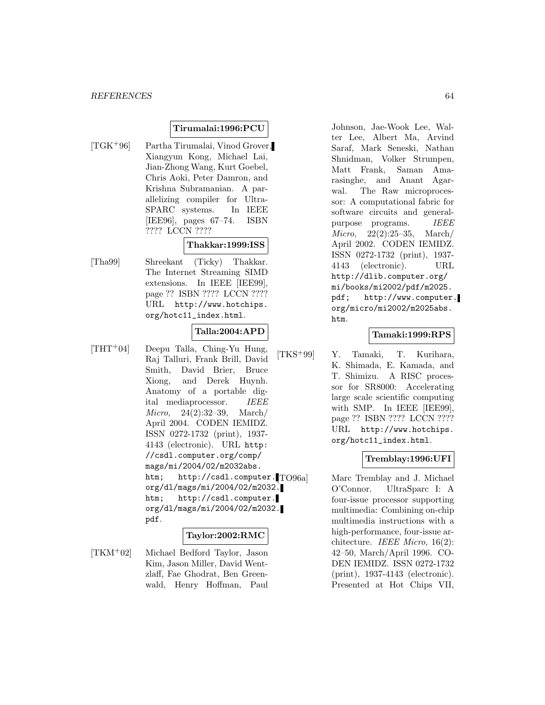#### **Tirumalai:1996:PCU**

[TGK<sup>+</sup>96] Partha Tirumalai, Vinod Grover, Xiangyun Kong, Michael Lai, Jian-Zhong Wang, Kurt Goebel, Chris Aoki, Peter Damron, and Krishna Subramanian. A parallelizing compiler for Ultra-SPARC systems. In IEEE [IEE96], pages 67–74. ISBN ???? LCCN ????

# **Thakkar:1999:ISS**

[Tha99] Shreekant (Ticky) Thakkar. The Internet Streaming SIMD extensions. In IEEE [IEE99], page ?? ISBN ???? LCCN ???? URL http://www.hotchips. org/hotc11\_index.html.

#### **Talla:2004:APD**

[THT<sup>+</sup>04] Deepu Talla, Ching-Yu Hung, Raj Talluri, Frank Brill, David Smith, David Brier, Bruce Xiong, and Derek Huynh. Anatomy of a portable digital mediaprocessor. IEEE Micro, 24(2):32–39, March/ April 2004. CODEN IEMIDZ. ISSN 0272-1732 (print), 1937- 4143 (electronic). URL http: //csdl.computer.org/comp/ mags/mi/2004/02/m2032abs. htm; http://csdl.computer. TO96al org/dl/mags/mi/2004/02/m2032. htm; http://csdl.computer. org/dl/mags/mi/2004/02/m2032. pdf.

#### **Taylor:2002:RMC**

[TKM<sup>+</sup>02] Michael Bedford Taylor, Jason Kim, Jason Miller, David Wentzlaff, Fae Ghodrat, Ben Greenwald, Henry Hoffman, Paul

Johnson, Jae-Wook Lee, Walter Lee, Albert Ma, Arvind Saraf, Mark Seneski, Nathan Shnidman, Volker Strumpen, Matt Frank, Saman Amarasinghe, and Anant Agarwal. The Raw microprocessor: A computational fabric for software circuits and generalpurpose programs. IEEE Micro, 22(2):25–35, March/ April 2002. CODEN IEMIDZ. ISSN 0272-1732 (print), 1937- 4143 (electronic). URL http://dlib.computer.org/ mi/books/mi2002/pdf/m2025. pdf; http://www.computer. org/micro/mi2002/m2025abs. htm.

#### **Tamaki:1999:RPS**

[TKS<sup>+</sup>99] Y. Tamaki, T. Kurihara, K. Shimada, E. Kamada, and T. Shimizu. A RISC processor for SR8000: Accelerating large scale scientific computing with SMP. In IEEE [IEE99], page ?? ISBN ???? LCCN ???? URL http://www.hotchips. org/hotc11\_index.html.

#### **Tremblay:1996:UFI**

Marc Tremblay and J. Michael O'Connor. UltraSparc I: A four-issue processor supporting multimedia: Combining on-chip multimedia instructions with a high-performance, four-issue architecture. IEEE Micro, 16(2): 42–50, March/April 1996. CO-DEN IEMIDZ. ISSN 0272-1732 (print), 1937-4143 (electronic). Presented at Hot Chips VII,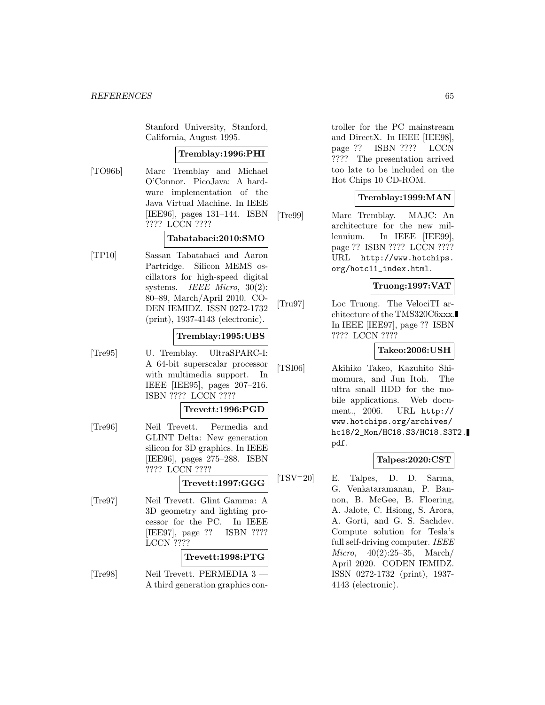Stanford University, Stanford, California, August 1995.

#### **Tremblay:1996:PHI**

[TO96b] Marc Tremblay and Michael O'Connor. PicoJava: A hardware implementation of the Java Virtual Machine. In IEEE [IEE96], pages 131–144. ISBN ???? LCCN ????

# **Tabatabaei:2010:SMO**

[TP10] Sassan Tabatabaei and Aaron Partridge. Silicon MEMS oscillators for high-speed digital systems. IEEE Micro, 30(2): 80–89, March/April 2010. CO-DEN IEMIDZ. ISSN 0272-1732 (print), 1937-4143 (electronic).

#### **Tremblay:1995:UBS**

[Tre95] U. Tremblay. UltraSPARC-I: A 64-bit superscalar processor with multimedia support. In IEEE [IEE95], pages 207–216. ISBN ???? LCCN ????

#### **Trevett:1996:PGD**

[Tre96] Neil Trevett. Permedia and GLINT Delta: New generation silicon for 3D graphics. In IEEE [IEE96], pages 275–288. ISBN ???? LCCN ????

#### **Trevett:1997:GGG**

[Tre97] Neil Trevett. Glint Gamma: A 3D geometry and lighting processor for the PC. In IEEE [IEE97], page ?? ISBN ???? LCCN ????

#### **Trevett:1998:PTG**

[Tre98] Neil Trevett. PERMEDIA 3 A third generation graphics con-

troller for the PC mainstream and DirectX. In IEEE [IEE98], page ?? ISBN ???? LCCN ???? The presentation arrived too late to be included on the Hot Chips 10 CD-ROM.

#### **Tremblay:1999:MAN**

[Tre99] Marc Tremblay. MAJC: An architecture for the new millennium. In IEEE [IEE99], page ?? ISBN ???? LCCN ???? URL http://www.hotchips. org/hotc11\_index.html.

#### **Truong:1997:VAT**

[Tru97] Loc Truong. The VelociTI architecture of the TMS320C6xxx. In IEEE [IEE97], page ?? ISBN ???? LCCN ????

#### **Takeo:2006:USH**

[TSI06] Akihiko Takeo, Kazuhito Shimomura, and Jun Itoh. The ultra small HDD for the mobile applications. Web document., 2006. URL http:// www.hotchips.org/archives/ hc18/2\_Mon/HC18.S3/HC18.S3T2. pdf.

#### **Talpes:2020:CST**

[TSV<sup>+</sup>20] E. Talpes, D. D. Sarma, G. Venkataramanan, P. Bannon, B. McGee, B. Floering, A. Jalote, C. Hsiong, S. Arora, A. Gorti, and G. S. Sachdev. Compute solution for Tesla's full self-driving computer. IEEE Micro, 40(2):25–35, March/ April 2020. CODEN IEMIDZ. ISSN 0272-1732 (print), 1937- 4143 (electronic).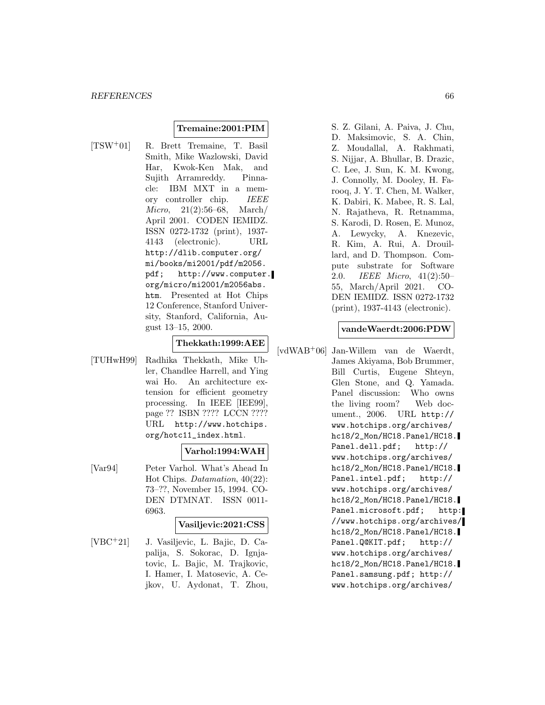#### **Tremaine:2001:PIM**

[TSW<sup>+</sup>01] R. Brett Tremaine, T. Basil Smith, Mike Wazlowski, David Har, Kwok-Ken Mak, and Sujith Arramreddy. Pinnacle: IBM MXT in a memory controller chip. IEEE Micro, 21(2):56–68, March/ April 2001. CODEN IEMIDZ. ISSN 0272-1732 (print), 1937- 4143 (electronic). URL http://dlib.computer.org/ mi/books/mi2001/pdf/m2056. pdf; http://www.computer. org/micro/mi2001/m2056abs. htm. Presented at Hot Chips 12 Conference, Stanford University, Stanford, California, August 13–15, 2000.

# **Thekkath:1999:AEE**

[TUHwH99] Radhika Thekkath, Mike Uhler, Chandlee Harrell, and Ying wai Ho. An architecture extension for efficient geometry processing. In IEEE [IEE99], page ?? ISBN ???? LCCN ???? URL http://www.hotchips. org/hotc11\_index.html.

#### **Varhol:1994:WAH**

[Var94] Peter Varhol. What's Ahead In Hot Chips. Datamation, 40(22): 73–??, November 15, 1994. CO-DEN DTMNAT. ISSN 0011- 6963.

#### **Vasiljevic:2021:CSS**

[VBC<sup>+</sup>21] J. Vasiljevic, L. Bajic, D. Capalija, S. Sokorac, D. Ignjatovic, L. Bajic, M. Trajkovic, I. Hamer, I. Matosevic, A. Cejkov, U. Aydonat, T. Zhou,

S. Z. Gilani, A. Paiva, J. Chu, D. Maksimovic, S. A. Chin, Z. Moudallal, A. Rakhmati, S. Nijjar, A. Bhullar, B. Drazic, C. Lee, J. Sun, K. M. Kwong, J. Connolly, M. Dooley, H. Farooq, J. Y. T. Chen, M. Walker, K. Dabiri, K. Mabee, R. S. Lal, N. Rajatheva, R. Retnamma, S. Karodi, D. Rosen, E. Munoz, A. Lewycky, A. Knezevic, R. Kim, A. Rui, A. Drouillard, and D. Thompson. Compute substrate for Software 2.0. IEEE Micro, 41(2):50– 55, March/April 2021. CO-DEN IEMIDZ. ISSN 0272-1732 (print), 1937-4143 (electronic).

#### **vandeWaerdt:2006:PDW**

[vdWAB<sup>+</sup>06] Jan-Willem van de Waerdt, James Akiyama, Bob Brummer, Bill Curtis, Eugene Shteyn, Glen Stone, and Q. Yamada. Panel discussion: Who owns the living room? Web document., 2006. URL http:// www.hotchips.org/archives/ hc18/2\_Mon/HC18.Panel/HC18. Panel.dell.pdf; http:// www.hotchips.org/archives/ hc18/2\_Mon/HC18.Panel/HC18. Panel.intel.pdf; http:// www.hotchips.org/archives/ hc18/2\_Mon/HC18.Panel/HC18. Panel.microsoft.pdf; http: //www.hotchips.org/archives/ hc18/2\_Mon/HC18.Panel/HC18. Panel.Q@KIT.pdf; http:// www.hotchips.org/archives/ hc18/2\_Mon/HC18.Panel/HC18. Panel.samsung.pdf; http:// www.hotchips.org/archives/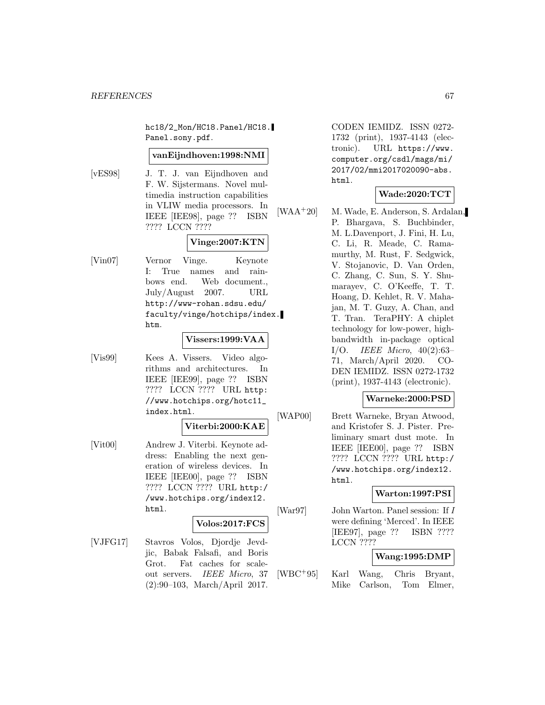hc18/2\_Mon/HC18.Panel/HC18. Panel.sony.pdf.

#### **vanEijndhoven:1998:NMI**

[vES98] J. T. J. van Eijndhoven and F. W. Sijstermans. Novel multimedia instruction capabilities in VLIW media processors. In IEEE [IEE98], page ?? ISBN ???? LCCN ????

# **Vinge:2007:KTN**

[Vin07] Vernor Vinge. Keynote I: True names and rainbows end. Web document., July/August 2007. URL http://www-rohan.sdsu.edu/ faculty/vinge/hotchips/index. htm.

#### **Vissers:1999:VAA**

[Vis99] Kees A. Vissers. Video algorithms and architectures. In IEEE [IEE99], page ?? ISBN ???? LCCN ???? URL http: //www.hotchips.org/hotc11\_ index.html.

### **Viterbi:2000:KAE**

[Vit00] Andrew J. Viterbi. Keynote address: Enabling the next generation of wireless devices. In IEEE [IEE00], page ?? ISBN ???? LCCN ???? URL http:/ /www.hotchips.org/index12. html.

#### **Volos:2017:FCS**

[VJFG17] Stavros Volos, Djordje Jevdjic, Babak Falsafi, and Boris Grot. Fat caches for scaleout servers. IEEE Micro, 37 (2):90–103, March/April 2017.

CODEN IEMIDZ. ISSN 0272- 1732 (print), 1937-4143 (electronic). URL https://www. computer.org/csdl/mags/mi/ 2017/02/mmi2017020090-abs. html.

# **Wade:2020:TCT**

[WAA<sup>+</sup>20] M. Wade, E. Anderson, S. Ardalan, P. Bhargava, S. Buchbinder, M. L.Davenport, J. Fini, H. Lu, C. Li, R. Meade, C. Ramamurthy, M. Rust, F. Sedgwick, V. Stojanovic, D. Van Orden, C. Zhang, C. Sun, S. Y. Shumarayev, C. O'Keeffe, T. T. Hoang, D. Kehlet, R. V. Mahajan, M. T. Guzy, A. Chan, and T. Tran. TeraPHY: A chiplet technology for low-power, highbandwidth in-package optical I/O. IEEE Micro, 40(2):63– 71, March/April 2020. CO-DEN IEMIDZ. ISSN 0272-1732 (print), 1937-4143 (electronic).

#### **Warneke:2000:PSD**

[WAP00] Brett Warneke, Bryan Atwood, and Kristofer S. J. Pister. Preliminary smart dust mote. In IEEE [IEE00], page ?? ISBN ???? LCCN ???? URL http:/ /www.hotchips.org/index12. html.

### **Warton:1997:PSI**

[War97] John Warton. Panel session: If I were defining 'Merced'. In IEEE [IEE97], page ?? ISBN ???? LCCN ????

#### **Wang:1995:DMP**

[WBC<sup>+</sup>95] Karl Wang, Chris Bryant, Mike Carlson, Tom Elmer,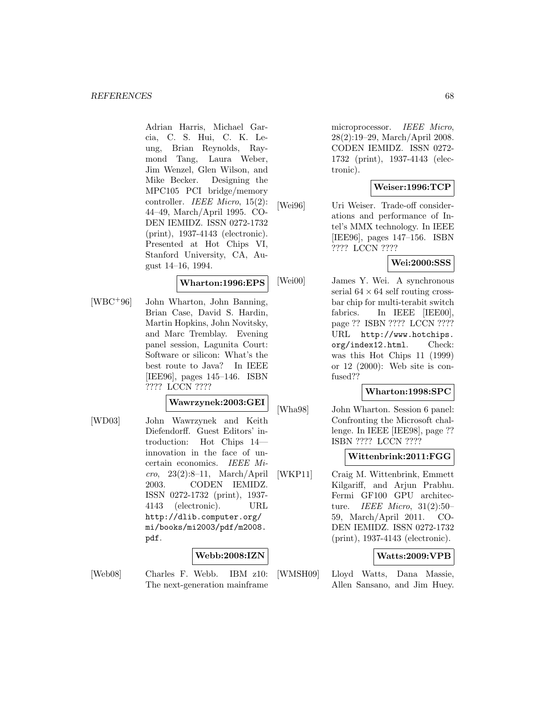Adrian Harris, Michael Garcia, C. S. Hui, C. K. Leung, Brian Reynolds, Raymond Tang, Laura Weber, Jim Wenzel, Glen Wilson, and Mike Becker. Designing the MPC105 PCI bridge/memory controller. IEEE Micro, 15(2): 44–49, March/April 1995. CO-DEN IEMIDZ. ISSN 0272-1732 (print), 1937-4143 (electronic). Presented at Hot Chips VI, Stanford University, CA, August 14–16, 1994.

#### **Wharton:1996:EPS**

[WBC<sup>+</sup>96] John Wharton, John Banning, Brian Case, David S. Hardin, Martin Hopkins, John Novitsky, and Marc Tremblay. Evening panel session, Lagunita Court: Software or silicon: What's the best route to Java? In IEEE [IEE96], pages 145–146. ISBN ???? LCCN ????

### **Wawrzynek:2003:GEI**

[WD03] John Wawrzynek and Keith Diefendorff. Guest Editors' introduction: Hot Chips 14 innovation in the face of uncertain economics. IEEE Micro, 23(2):8–11, March/April 2003. CODEN IEMIDZ. ISSN 0272-1732 (print), 1937- 4143 (electronic). URL http://dlib.computer.org/ mi/books/mi2003/pdf/m2008. pdf.

#### **Webb:2008:IZN**

[Web08] Charles F. Webb. IBM z10: The next-generation mainframe

microprocessor. IEEE Micro, 28(2):19–29, March/April 2008. CODEN IEMIDZ. ISSN 0272- 1732 (print), 1937-4143 (electronic).

# **Weiser:1996:TCP**

[Wei96] Uri Weiser. Trade-off considerations and performance of Intel's MMX technology. In IEEE [IEE96], pages 147–156. ISBN ???? LCCN ????

# **Wei:2000:SSS**

[Wei00] James Y. Wei. A synchronous serial  $64 \times 64$  self routing crossbar chip for multi-terabit switch fabrics. In IEEE [IEE00], page ?? ISBN ???? LCCN ???? URL http://www.hotchips. org/index12.html. Check: was this Hot Chips 11 (1999) or 12 (2000): Web site is confused??

#### **Wharton:1998:SPC**

[Wha98] John Wharton. Session 6 panel: Confronting the Microsoft challenge. In IEEE [IEE98], page ?? ISBN ???? LCCN ????

#### **Wittenbrink:2011:FGG**

[WKP11] Craig M. Wittenbrink, Emmett Kilgariff, and Arjun Prabhu. Fermi GF100 GPU architecture. IEEE Micro, 31(2):50– 59, March/April 2011. CO-DEN IEMIDZ. ISSN 0272-1732 (print), 1937-4143 (electronic).

#### **Watts:2009:VPB**

[WMSH09] Lloyd Watts, Dana Massie, Allen Sansano, and Jim Huey.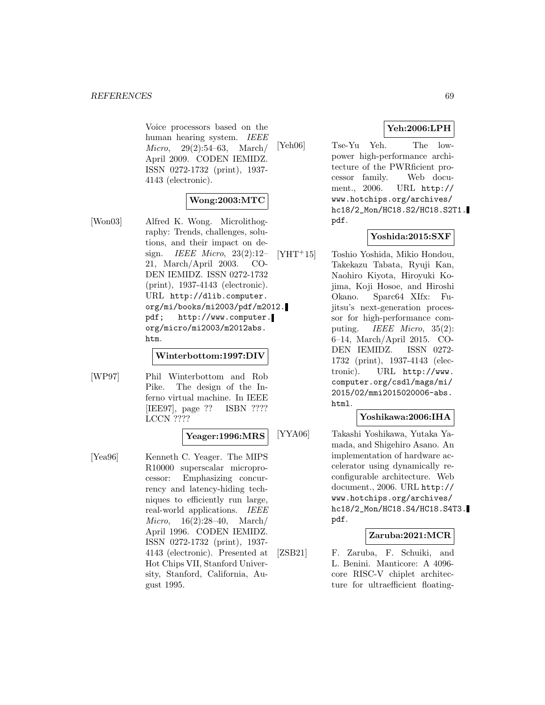Voice processors based on the human hearing system. IEEE Micro, 29(2):54–63, March/ April 2009. CODEN IEMIDZ. ISSN 0272-1732 (print), 1937- 4143 (electronic).

# **Wong:2003:MTC**

[Won03] Alfred K. Wong. Microlithography: Trends, challenges, solutions, and their impact on design. IEEE Micro,  $23(2):12-$ 21, March/April 2003. CO-DEN IEMIDZ. ISSN 0272-1732 (print), 1937-4143 (electronic). URL http://dlib.computer. org/mi/books/mi2003/pdf/m2012. pdf; http://www.computer. org/micro/mi2003/m2012abs. htm.

### **Winterbottom:1997:DIV**

[WP97] Phil Winterbottom and Rob Pike. The design of the Inferno virtual machine. In IEEE [IEE97], page ?? ISBN ???? LCCN ????

# **Yeager:1996:MRS**

[Yea96] Kenneth C. Yeager. The MIPS R10000 superscalar microprocessor: Emphasizing concurrency and latency-hiding techniques to efficiently run large, real-world applications. IEEE Micro, 16(2):28–40, March/ April 1996. CODEN IEMIDZ. ISSN 0272-1732 (print), 1937- 4143 (electronic). Presented at Hot Chips VII, Stanford University, Stanford, California, August 1995.

# **Yeh:2006:LPH**

[Yeh06] Tse-Yu Yeh. The lowpower high-performance architecture of the PWRficient processor family. Web document., 2006. URL http:// www.hotchips.org/archives/ hc18/2\_Mon/HC18.S2/HC18.S2T1. pdf.

# **Yoshida:2015:SXF**

[YHT<sup>+</sup>15] Toshio Yoshida, Mikio Hondou, Takekazu Tabata, Ryuji Kan, Naohiro Kiyota, Hiroyuki Kojima, Koji Hosoe, and Hiroshi Okano. Sparc64 XIfx: Fujitsu's next-generation processor for high-performance computing. *IEEE Micro*, 35(2): 6–14, March/April 2015. CO-DEN IEMIDZ. ISSN 0272- 1732 (print), 1937-4143 (electronic). URL http://www. computer.org/csdl/mags/mi/ 2015/02/mmi2015020006-abs. html.

# **Yoshikawa:2006:IHA**

[YYA06] Takashi Yoshikawa, Yutaka Yamada, and Shigehiro Asano. An implementation of hardware accelerator using dynamically reconfigurable architecture. Web document., 2006. URL http:// www.hotchips.org/archives/ hc18/2\_Mon/HC18.S4/HC18.S4T3. pdf.

### **Zaruba:2021:MCR**

[ZSB21] F. Zaruba, F. Schuiki, and L. Benini. Manticore: A 4096 core RISC-V chiplet architecture for ultraefficient floating-